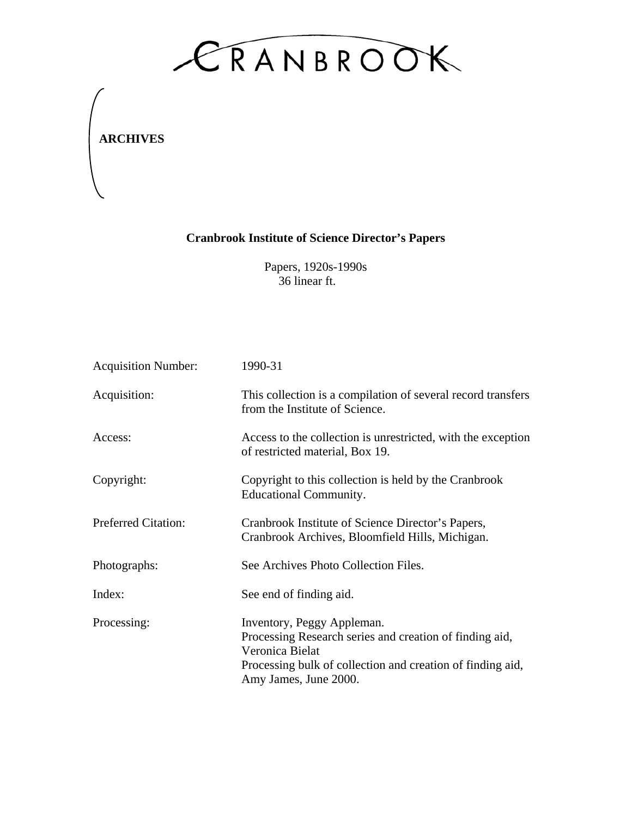

**ARCHIVES**

## **Cranbrook Institute of Science Director's Papers**

Papers, 1920s-1990s 36 linear ft.

| <b>Acquisition Number:</b> | 1990-31                                                                                                                                                                                         |
|----------------------------|-------------------------------------------------------------------------------------------------------------------------------------------------------------------------------------------------|
| Acquisition:               | This collection is a compilation of several record transfers<br>from the Institute of Science.                                                                                                  |
| Access:                    | Access to the collection is unrestricted, with the exception<br>of restricted material, Box 19.                                                                                                 |
| Copyright:                 | Copyright to this collection is held by the Cranbrook<br><b>Educational Community.</b>                                                                                                          |
| <b>Preferred Citation:</b> | Cranbrook Institute of Science Director's Papers,<br>Cranbrook Archives, Bloomfield Hills, Michigan.                                                                                            |
| Photographs:               | See Archives Photo Collection Files.                                                                                                                                                            |
| Index:                     | See end of finding aid.                                                                                                                                                                         |
| Processing:                | Inventory, Peggy Appleman.<br>Processing Research series and creation of finding aid,<br>Veronica Bielat<br>Processing bulk of collection and creation of finding aid,<br>Amy James, June 2000. |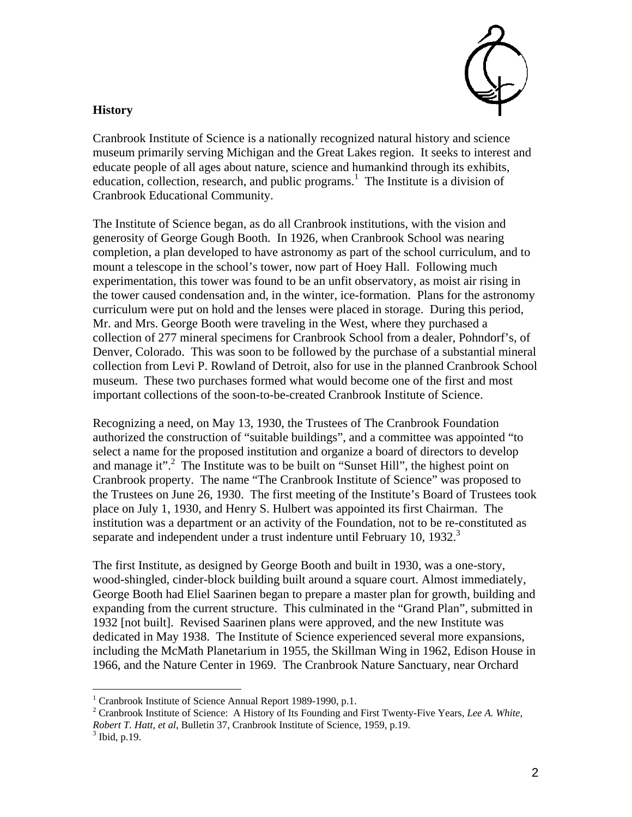

## **History**

Cranbrook Institute of Science is a nationally recognized natural history and science museum primarily serving Michigan and the Great Lakes region. It seeks to interest and educate people of all ages about nature, science and humankind through its exhibits, education, collection, research, and public programs.<sup>[1](#page-1-0)</sup> The Institute is a division of Cranbrook Educational Community.

The Institute of Science began, as do all Cranbrook institutions, with the vision and generosity of George Gough Booth. In 1926, when Cranbrook School was nearing completion, a plan developed to have astronomy as part of the school curriculum, and to mount a telescope in the school's tower, now part of Hoey Hall. Following much experimentation, this tower was found to be an unfit observatory, as moist air rising in the tower caused condensation and, in the winter, ice-formation. Plans for the astronomy curriculum were put on hold and the lenses were placed in storage. During this period, Mr. and Mrs. George Booth were traveling in the West, where they purchased a collection of 277 mineral specimens for Cranbrook School from a dealer, Pohndorf's, of Denver, Colorado. This was soon to be followed by the purchase of a substantial mineral collection from Levi P. Rowland of Detroit, also for use in the planned Cranbrook School museum. These two purchases formed what would become one of the first and most important collections of the soon-to-be-created Cranbrook Institute of Science.

Recognizing a need, on May 13, 1930, the Trustees of The Cranbrook Foundation authorized the construction of "suitable buildings", and a committee was appointed "to select a name for the proposed institution and organize a board of directors to develop and manage it".<sup>2</sup> The Institute was to be built on "Sunset Hill", the highest point on Cranbrook property. The name "The Cranbrook Institute of Science" was proposed to the Trustees on June 26, 1930. The first meeting of the Institute's Board of Trustees took place on July 1, 1930, and Henry S. Hulbert was appointed its first Chairman. The institution was a department or an activity of the Foundation, not to be re-constituted as separate and independent under a trust indenture until February 10, 1932. $3$ 

The first Institute, as designed by George Booth and built in 1930, was a one-story, wood-shingled, cinder-block building built around a square court. Almost immediately, George Booth had Eliel Saarinen began to prepare a master plan for growth, building and expanding from the current structure. This culminated in the "Grand Plan", submitted in 1932 [not built]. Revised Saarinen plans were approved, and the new Institute was dedicated in May 1938. The Institute of Science experienced several more expansions, including the McMath Planetarium in 1955, the Skillman Wing in 1962, Edison House in 1966, and the Nature Center in 1969. The Cranbrook Nature Sanctuary, near Orchard

<u>.</u>

<span id="page-1-0"></span><sup>&</sup>lt;sup>1</sup> Cranbrook Institute of Science Annual Report 1989-1990, p.1.<br><sup>2</sup> Cranbrook Institute of Science: A History of Its Founding and

<span id="page-1-1"></span><sup>&</sup>lt;sup>2</sup> Cranbrook Institute of Science: A History of Its Founding and First Twenty-Five Years, Lee A. White, *Robert T. Hatt, et al*, Bulletin 37, Cranbrook Institute of Science, 1959, p.19. 3

<span id="page-1-2"></span> $3$  Ibid, p.19.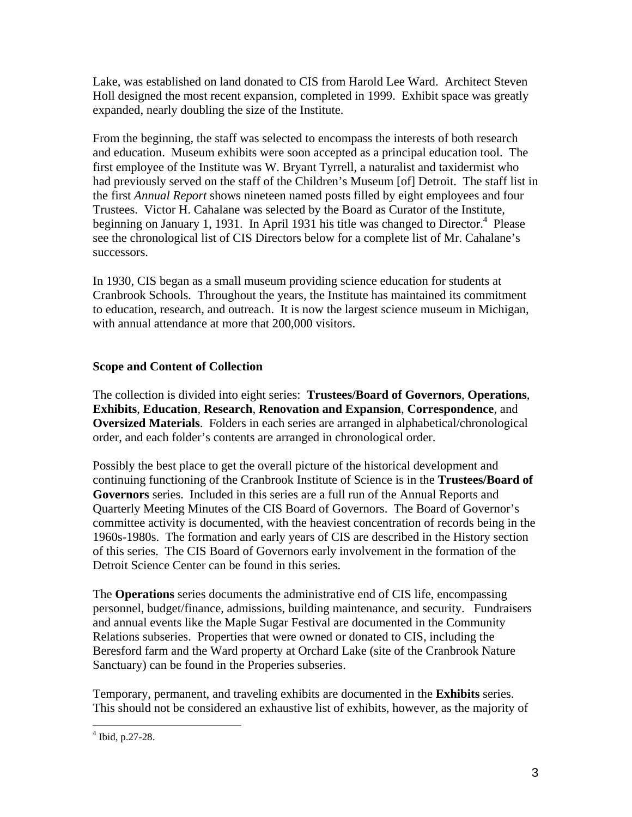Lake, was established on land donated to CIS from Harold Lee Ward. Architect Steven Holl designed the most recent expansion, completed in 1999. Exhibit space was greatly expanded, nearly doubling the size of the Institute.

From the beginning, the staff was selected to encompass the interests of both research and education. Museum exhibits were soon accepted as a principal education tool. The first employee of the Institute was W. Bryant Tyrrell, a naturalist and taxidermist who had previously served on the staff of the Children's Museum [of] Detroit. The staff list in the first *Annual Report* shows nineteen named posts filled by eight employees and four Trustees. Victor H. Cahalane was selected by the Board as Curator of the Institute, beginning on January 1, 1931. In April 1931 his title was changed to Director.<sup>4</sup> Please see the chronological list of CIS Directors below for a complete list of Mr. Cahalane's successors.

In 1930, CIS began as a small museum providing science education for students at Cranbrook Schools. Throughout the years, the Institute has maintained its commitment to education, research, and outreach. It is now the largest science museum in Michigan, with annual attendance at more that 200,000 visitors.

## **Scope and Content of Collection**

The collection is divided into eight series: **Trustees/Board of Governors**, **Operations**, **Exhibits**, **Education**, **Research**, **Renovation and Expansion**, **Correspondence**, and **Oversized Materials**. Folders in each series are arranged in alphabetical/chronological order, and each folder's contents are arranged in chronological order.

Possibly the best place to get the overall picture of the historical development and continuing functioning of the Cranbrook Institute of Science is in the **Trustees/Board of Governors** series. Included in this series are a full run of the Annual Reports and Quarterly Meeting Minutes of the CIS Board of Governors. The Board of Governor's committee activity is documented, with the heaviest concentration of records being in the 1960s-1980s. The formation and early years of CIS are described in the History section of this series. The CIS Board of Governors early involvement in the formation of the Detroit Science Center can be found in this series.

The **Operations** series documents the administrative end of CIS life, encompassing personnel, budget/finance, admissions, building maintenance, and security. Fundraisers and annual events like the Maple Sugar Festival are documented in the Community Relations subseries. Properties that were owned or donated to CIS, including the Beresford farm and the Ward property at Orchard Lake (site of the Cranbrook Nature Sanctuary) can be found in the Properies subseries.

Temporary, permanent, and traveling exhibits are documented in the **Exhibits** series. This should not be considered an exhaustive list of exhibits, however, as the majority of

<u>.</u>

<span id="page-2-0"></span><sup>4</sup> Ibid, p.27-28.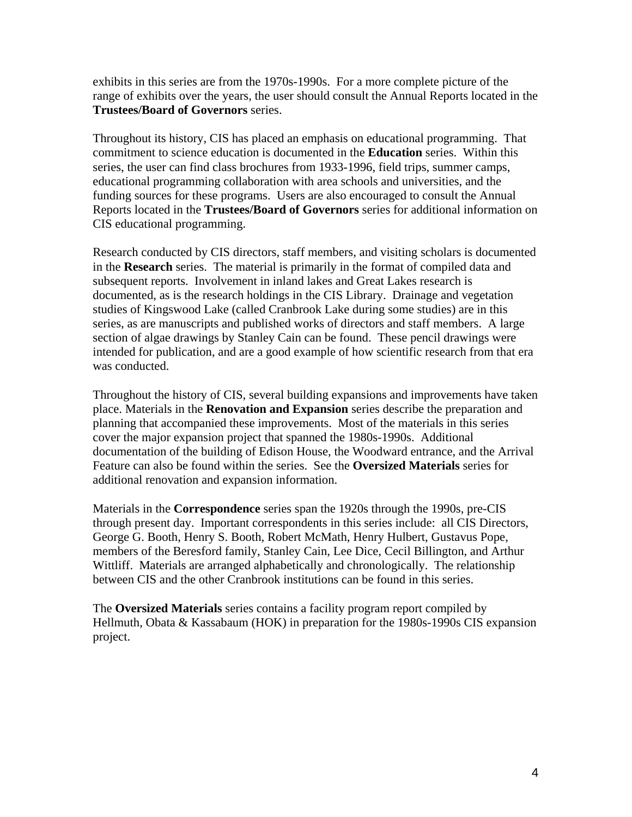exhibits in this series are from the 1970s-1990s. For a more complete picture of the range of exhibits over the years, the user should consult the Annual Reports located in the **Trustees/Board of Governors** series.

Throughout its history, CIS has placed an emphasis on educational programming. That commitment to science education is documented in the **Education** series. Within this series, the user can find class brochures from 1933-1996, field trips, summer camps, educational programming collaboration with area schools and universities, and the funding sources for these programs. Users are also encouraged to consult the Annual Reports located in the **Trustees/Board of Governors** series for additional information on CIS educational programming.

Research conducted by CIS directors, staff members, and visiting scholars is documented in the **Research** series. The material is primarily in the format of compiled data and subsequent reports. Involvement in inland lakes and Great Lakes research is documented, as is the research holdings in the CIS Library. Drainage and vegetation studies of Kingswood Lake (called Cranbrook Lake during some studies) are in this series, as are manuscripts and published works of directors and staff members. A large section of algae drawings by Stanley Cain can be found. These pencil drawings were intended for publication, and are a good example of how scientific research from that era was conducted.

Throughout the history of CIS, several building expansions and improvements have taken place. Materials in the **Renovation and Expansion** series describe the preparation and planning that accompanied these improvements. Most of the materials in this series cover the major expansion project that spanned the 1980s-1990s. Additional documentation of the building of Edison House, the Woodward entrance, and the Arrival Feature can also be found within the series. See the **Oversized Materials** series for additional renovation and expansion information.

Materials in the **Correspondence** series span the 1920s through the 1990s, pre-CIS through present day. Important correspondents in this series include: all CIS Directors, George G. Booth, Henry S. Booth, Robert McMath, Henry Hulbert, Gustavus Pope, members of the Beresford family, Stanley Cain, Lee Dice, Cecil Billington, and Arthur Wittliff. Materials are arranged alphabetically and chronologically. The relationship between CIS and the other Cranbrook institutions can be found in this series.

The **Oversized Materials** series contains a facility program report compiled by Hellmuth, Obata & Kassabaum (HOK) in preparation for the 1980s-1990s CIS expansion project.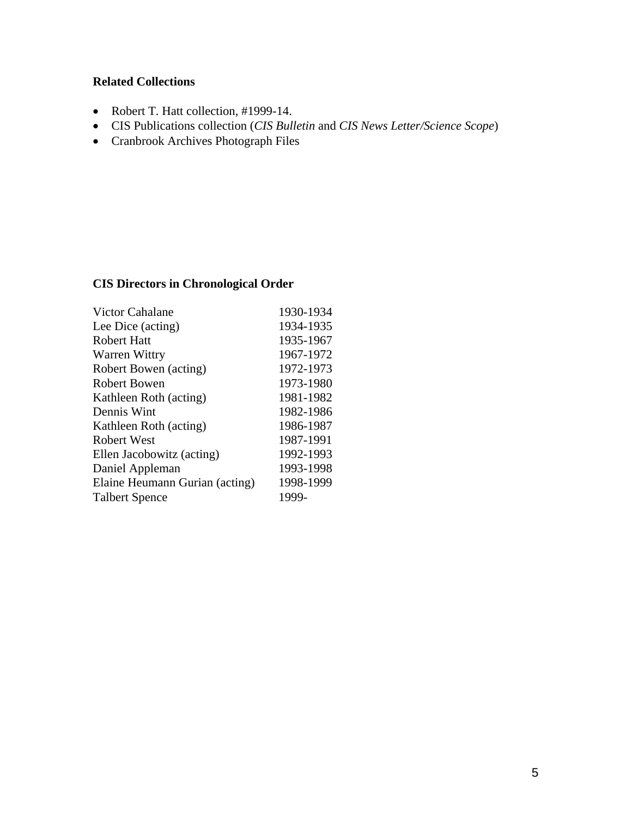## **Related Collections**

- Robert T. Hatt collection, #1999-14.
- CIS Publications collection (*CIS Bulletin* and *CIS News Letter/Science Scope*)
- Cranbrook Archives Photograph Files

## **CIS Directors in Chronological Order**

| <b>Victor Cahalane</b>         | 1930-1934 |
|--------------------------------|-----------|
| Lee Dice (acting)              | 1934-1935 |
| <b>Robert Hatt</b>             | 1935-1967 |
| Warren Wittry                  | 1967-1972 |
| Robert Bowen (acting)          | 1972-1973 |
| Robert Bowen                   | 1973-1980 |
| Kathleen Roth (acting)         | 1981-1982 |
| Dennis Wint                    | 1982-1986 |
| Kathleen Roth (acting)         | 1986-1987 |
| <b>Robert West</b>             | 1987-1991 |
| Ellen Jacobowitz (acting)      | 1992-1993 |
| Daniel Appleman                | 1993-1998 |
| Elaine Heumann Gurian (acting) | 1998-1999 |
| <b>Talbert Spence</b>          | 1999-     |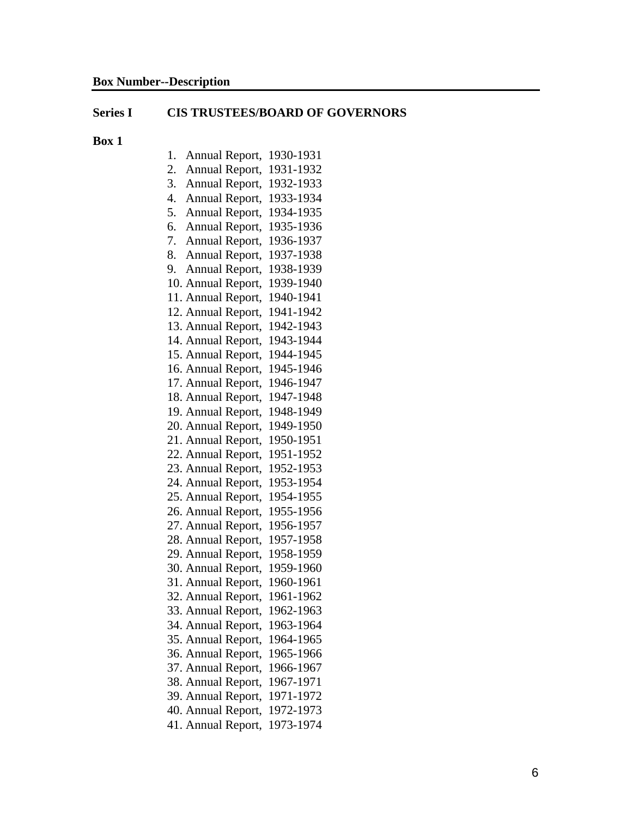#### **Series I CIS TRUSTEES/BOARD OF GOVERNORS**

- 1. Annual Report, 1930-1931
- 2. Annual Report, 1931-1932
- 3. Annual Report, 1932-1933
- 4. Annual Report, 1933-1934
- 5. Annual Report, 1934-1935
- 6. Annual Report, 1935-1936
- 7. Annual Report, 1936-1937
- 8. Annual Report, 1937-1938
- 9. Annual Report, 1938-1939
- 10. Annual Report, 1939-1940
- 11. Annual Report, 1940-1941
- 12. Annual Report, 1941-1942
- 13. Annual Report, 1942-1943
- 14. Annual Report, 1943-1944
- 15. Annual Report, 1944-1945
- 16. Annual Report, 1945-1946
- 17. Annual Report, 1946-1947
- 18. Annual Report, 1947-1948
- 19. Annual Report, 1948-1949
- 20. Annual Report, 1949-1950
- 21. Annual Report, 1950-1951 22. Annual Report, 1951-1952
- 23. Annual Report, 1952-1953
- 24. Annual Report, 1953-1954
- 25. Annual Report, 1954-1955
- 26. Annual Report, 1955-1956
- 27. Annual Report, 1956-1957
- 28. Annual Report, 1957-1958
- 29. Annual Report, 1958-1959
- 30. Annual Report, 1959-1960
- 31. Annual Report, 1960-1961
- 32. Annual Report, 1961-1962
- 33. Annual Report, 1962-1963
- 34. Annual Report, 1963-1964
- 35. Annual Report, 1964-1965
- 36. Annual Report, 1965-1966
- 37. Annual Report, 1966-1967
- 38. Annual Report, 1967-1971
- 39. Annual Report, 1971-1972
- 40. Annual Report, 1972-1973
- 41. Annual Report, 1973-1974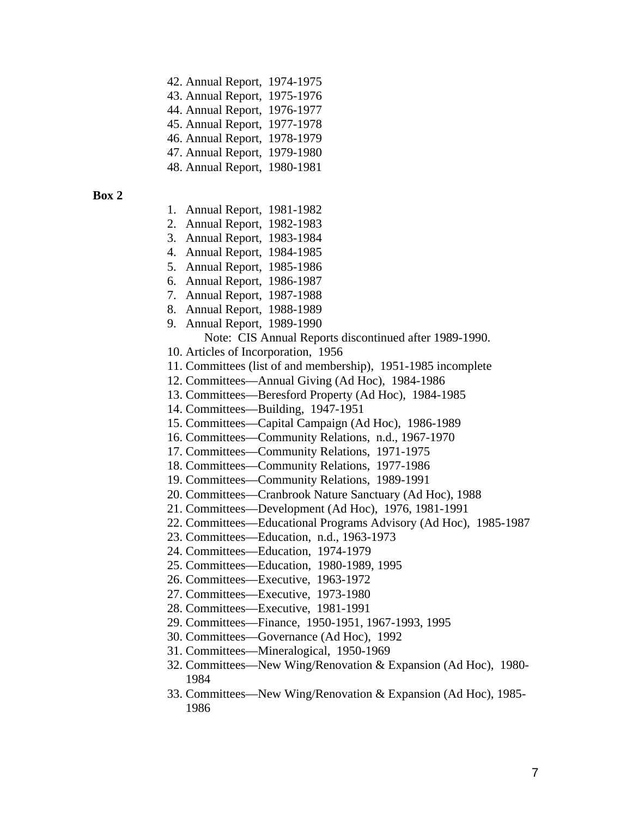| 42. Annual Report, 1974-1975 |  |
|------------------------------|--|
|------------------------------|--|

43. Annual Report, 1975-1976

44. Annual Report, 1976-1977

45. Annual Report, 1977-1978 46. Annual Report, 1978-1979

47. Annual Report, 1979-1980

48. Annual Report, 1980-1981

- 1. Annual Report, 1981-1982
- 2. Annual Report, 1982-1983
- 3. Annual Report, 1983-1984
- 4. Annual Report, 1984-1985
- 5. Annual Report, 1985-1986
- 6. Annual Report, 1986-1987
- 7. Annual Report, 1987-1988
- 8. Annual Report, 1988-1989
- 9. Annual Report, 1989-1990
	- Note: CIS Annual Reports discontinued after 1989-1990.
- 10. Articles of Incorporation, 1956
- 11. Committees (list of and membership), 1951-1985 incomplete
- 12. Committees—Annual Giving (Ad Hoc), 1984-1986
- 13. Committees—Beresford Property (Ad Hoc), 1984-1985
- 14. Committees—Building, 1947-1951
- 15. Committees—Capital Campaign (Ad Hoc), 1986-1989
- 16. Committees—Community Relations, n.d., 1967-1970
- 17. Committees—Community Relations, 1971-1975
- 18. Committees—Community Relations, 1977-1986
- 19. Committees—Community Relations, 1989-1991
- 20. Committees—Cranbrook Nature Sanctuary (Ad Hoc), 1988
- 21. Committees—Development (Ad Hoc), 1976, 1981-1991
- 22. Committees—Educational Programs Advisory (Ad Hoc), 1985-1987
- 23. Committees—Education, n.d., 1963-1973
- 24. Committees—Education, 1974-1979
- 25. Committees—Education, 1980-1989, 1995
- 26. Committees—Executive, 1963-1972
- 27. Committees—Executive, 1973-1980
- 28. Committees—Executive, 1981-1991
- 29. Committees—Finance, 1950-1951, 1967-1993, 1995
- 30. Committees—Governance (Ad Hoc), 1992
- 31. Committees—Mineralogical, 1950-1969
- 32. Committees—New Wing/Renovation & Expansion (Ad Hoc), 1980- 1984
- 33. Committees—New Wing/Renovation & Expansion (Ad Hoc), 1985- 1986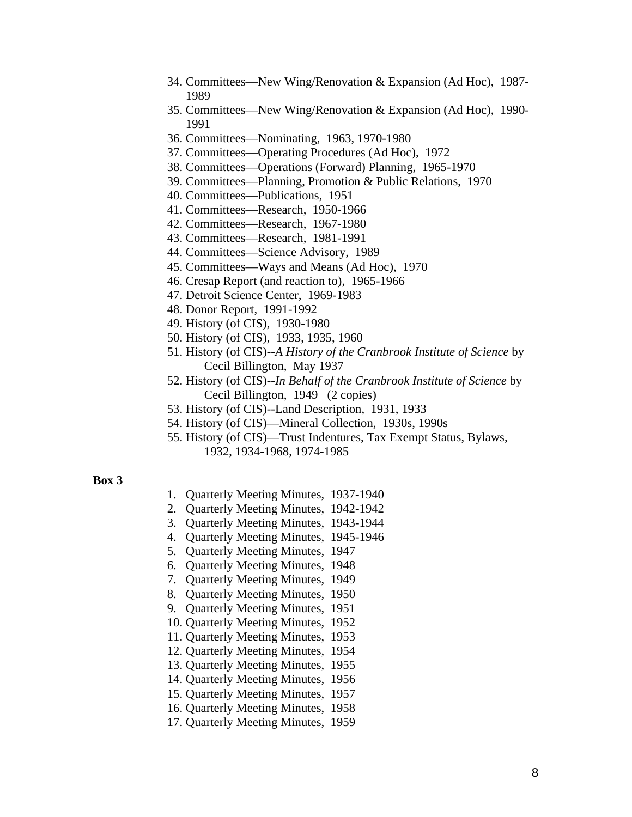- 34. Committees—New Wing/Renovation & Expansion (Ad Hoc), 1987- 1989
- 35. Committees—New Wing/Renovation & Expansion (Ad Hoc), 1990- 1991
- 36. Committees—Nominating, 1963, 1970-1980
- 37. Committees—Operating Procedures (Ad Hoc), 1972
- 38. Committees—Operations (Forward) Planning, 1965-1970
- 39. Committees—Planning, Promotion & Public Relations, 1970
- 40. Committees—Publications, 1951
- 41. Committees—Research, 1950-1966
- 42. Committees—Research, 1967-1980
- 43. Committees—Research, 1981-1991
- 44. Committees—Science Advisory, 1989
- 45. Committees—Ways and Means (Ad Hoc), 1970
- 46. Cresap Report (and reaction to), 1965-1966
- 47. Detroit Science Center, 1969-1983
- 48. Donor Report, 1991-1992
- 49. History (of CIS), 1930-1980
- 50. History (of CIS), 1933, 1935, 1960
- 51. History (of CIS)--*A History of the Cranbrook Institute of Science* by Cecil Billington, May 1937
- 52. History (of CIS)--*In Behalf of the Cranbrook Institute of Science* by Cecil Billington, 1949 (2 copies)
- 53. History (of CIS)--Land Description, 1931, 1933
- 54. History (of CIS)—Mineral Collection, 1930s, 1990s
- 55. History (of CIS)—Trust Indentures, Tax Exempt Status, Bylaws, 1932, 1934-1968, 1974-1985

- 1. Quarterly Meeting Minutes, 1937-1940
- 2. Quarterly Meeting Minutes, 1942-1942
- 3. Quarterly Meeting Minutes, 1943-1944
- 4. Quarterly Meeting Minutes, 1945-1946
- 5. Quarterly Meeting Minutes, 1947
- 6. Quarterly Meeting Minutes, 1948
- 7. Quarterly Meeting Minutes, 1949
- 8. Quarterly Meeting Minutes, 1950
- 9. Quarterly Meeting Minutes, 1951
- 10. Quarterly Meeting Minutes, 1952
- 11. Quarterly Meeting Minutes, 1953
- 12. Quarterly Meeting Minutes, 1954
- 13. Quarterly Meeting Minutes, 1955
- 14. Quarterly Meeting Minutes, 1956
- 15. Quarterly Meeting Minutes, 1957
- 16. Quarterly Meeting Minutes, 1958
- 17. Quarterly Meeting Minutes, 1959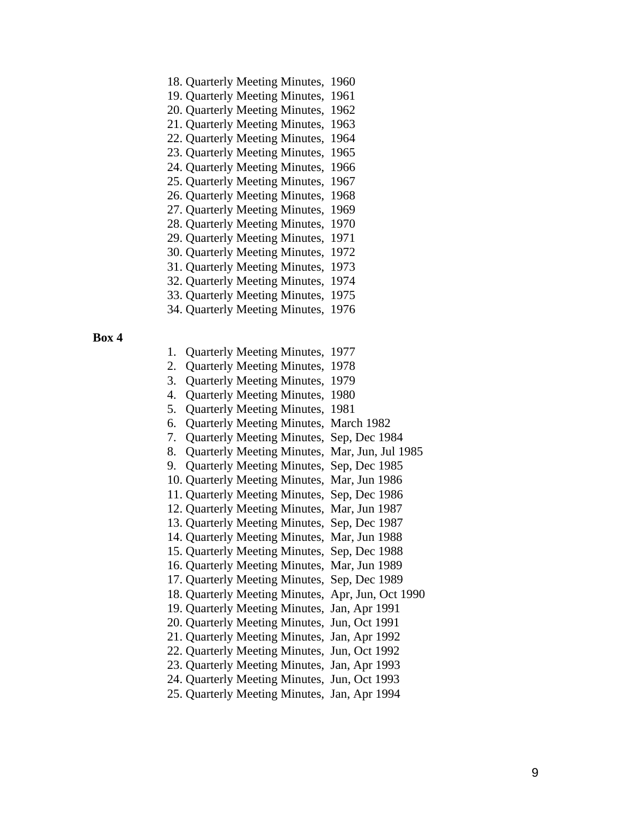- 18. Quarterly Meeting Minutes, 1960
- 19. Quarterly Meeting Minutes, 1961
- 20. Quarterly Meeting Minutes, 1962
- 21. Quarterly Meeting Minutes, 1963
- 22. Quarterly Meeting Minutes, 1964
- 23. Quarterly Meeting Minutes, 1965 24. Quarterly Meeting Minutes, 1966
- 25. Quarterly Meeting Minutes, 1967
- 26. Quarterly Meeting Minutes, 1968
- 27. Quarterly Meeting Minutes, 1969
- 28. Quarterly Meeting Minutes, 1970
- 29. Quarterly Meeting Minutes, 1971
- 30. Quarterly Meeting Minutes, 1972
- 31. Quarterly Meeting Minutes, 1973
- 32. Quarterly Meeting Minutes, 1974
- 33. Quarterly Meeting Minutes, 1975
- 34. Quarterly Meeting Minutes, 1976
- **Box 4**
- 1. Quarterly Meeting Minutes, 1977
- 2. Quarterly Meeting Minutes, 1978
- 3. Quarterly Meeting Minutes, 1979
- 4. Quarterly Meeting Minutes, 1980
- 5. Quarterly Meeting Minutes, 1981
- 6. Quarterly Meeting Minutes, March 1982
- 7. Quarterly Meeting Minutes, Sep, Dec 1984
- 8. Quarterly Meeting Minutes, Mar, Jun, Jul 1985
- 9. Quarterly Meeting Minutes, Sep, Dec 1985
- 10. Quarterly Meeting Minutes, Mar, Jun 1986
- 11. Quarterly Meeting Minutes, Sep, Dec 1986
- 12. Quarterly Meeting Minutes, Mar, Jun 1987
- 13. Quarterly Meeting Minutes, Sep, Dec 1987
- 14. Quarterly Meeting Minutes, Mar, Jun 1988
- 15. Quarterly Meeting Minutes, Sep, Dec 1988
- 16. Quarterly Meeting Minutes, Mar, Jun 1989
- 17. Quarterly Meeting Minutes, Sep, Dec 1989
- 18. Quarterly Meeting Minutes, Apr, Jun, Oct 1990
- 19. Quarterly Meeting Minutes, Jan, Apr 1991
- 20. Quarterly Meeting Minutes, Jun, Oct 1991
- 21. Quarterly Meeting Minutes, Jan, Apr 1992
- 22. Quarterly Meeting Minutes, Jun, Oct 1992
- 23. Quarterly Meeting Minutes, Jan, Apr 1993
- 24. Quarterly Meeting Minutes, Jun, Oct 1993
- 25. Quarterly Meeting Minutes, Jan, Apr 1994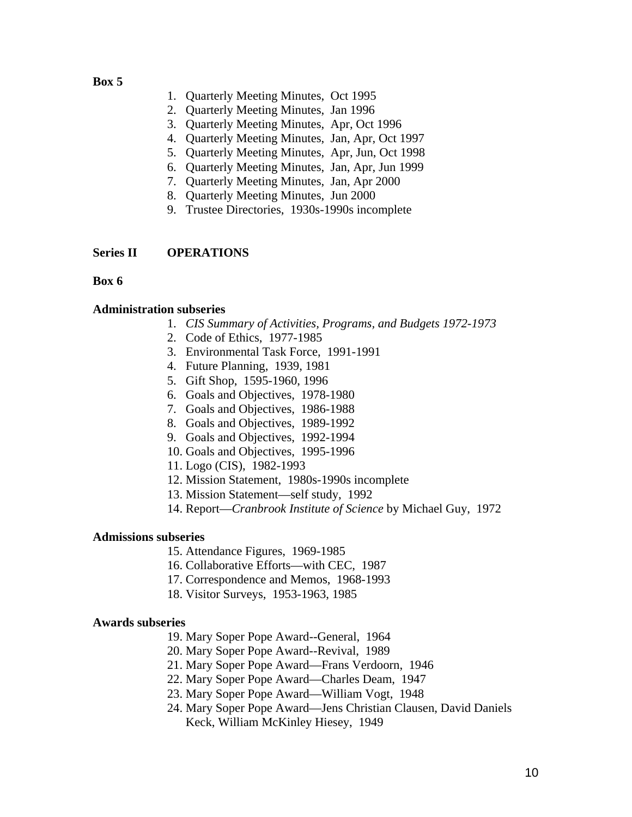### **Box 5**

- 1. Quarterly Meeting Minutes, Oct 1995
- 2. Quarterly Meeting Minutes, Jan 1996
- 3. Quarterly Meeting Minutes, Apr, Oct 1996
- 4. Quarterly Meeting Minutes, Jan, Apr, Oct 1997
- 5. Quarterly Meeting Minutes, Apr, Jun, Oct 1998
- 6. Quarterly Meeting Minutes, Jan, Apr, Jun 1999
- 7. Quarterly Meeting Minutes, Jan, Apr 2000
- 8. Quarterly Meeting Minutes, Jun 2000
- 9. Trustee Directories, 1930s-1990s incomplete

### **Series II OPERATIONS**

### **Box 6**

### **Administration subseries**

- 1. *CIS Summary of Activities, Programs, and Budgets 1972-1973*
- 2. Code of Ethics, 1977-1985
- 3. Environmental Task Force, 1991-1991
- 4. Future Planning, 1939, 1981
- 5. Gift Shop, 1595-1960, 1996
- 6. Goals and Objectives, 1978-1980
- 7. Goals and Objectives, 1986-1988
- 8. Goals and Objectives, 1989-1992
- 9. Goals and Objectives, 1992-1994
- 10. Goals and Objectives, 1995-1996
- 11. Logo (CIS), 1982-1993
- 12. Mission Statement, 1980s-1990s incomplete
- 13. Mission Statement—self study, 1992
- 14. Report—*Cranbrook Institute of Science* by Michael Guy, 1972

### **Admissions subseries**

- 15. Attendance Figures, 1969-1985
- 16. Collaborative Efforts—with CEC, 1987
- 17. Correspondence and Memos, 1968-1993
- 18. Visitor Surveys, 1953-1963, 1985

### **Awards subseries**

- 19. Mary Soper Pope Award--General, 1964
- 20. Mary Soper Pope Award--Revival, 1989
- 21. Mary Soper Pope Award—Frans Verdoorn, 1946
- 22. Mary Soper Pope Award—Charles Deam, 1947
- 23. Mary Soper Pope Award—William Vogt, 1948
- 24. Mary Soper Pope Award—Jens Christian Clausen, David Daniels Keck, William McKinley Hiesey, 1949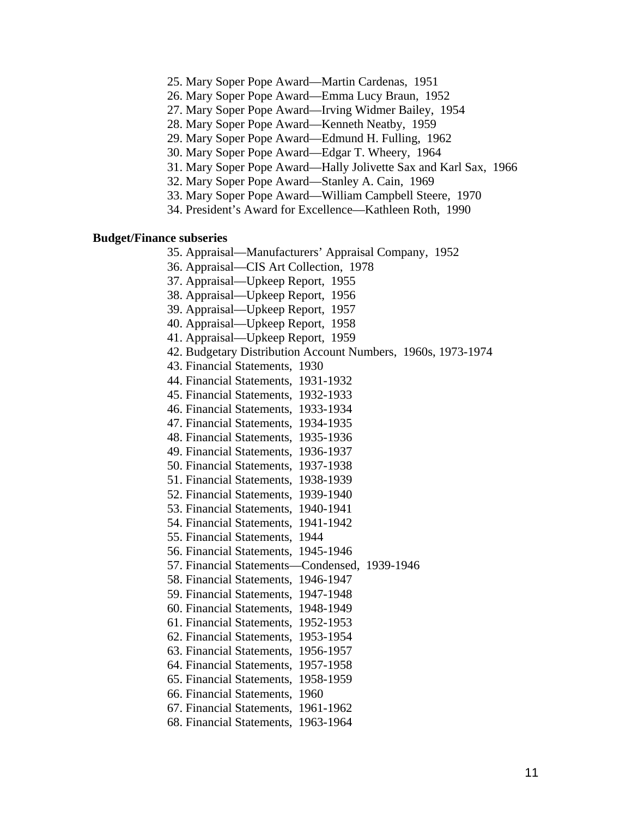- 25. Mary Soper Pope Award—Martin Cardenas, 1951
- 26. Mary Soper Pope Award—Emma Lucy Braun, 1952
- 27. Mary Soper Pope Award—Irving Widmer Bailey, 1954
- 28. Mary Soper Pope Award—Kenneth Neatby, 1959
- 29. Mary Soper Pope Award—Edmund H. Fulling, 1962
- 30. Mary Soper Pope Award—Edgar T. Wheery, 1964
- 31. Mary Soper Pope Award—Hally Jolivette Sax and Karl Sax, 1966
	- 32. Mary Soper Pope Award—Stanley A. Cain, 1969
	- 33. Mary Soper Pope Award—William Campbell Steere, 1970
	- 34. President's Award for Excellence—Kathleen Roth, 1990

#### **Budget/Finance subseries**

- 35. Appraisal—Manufacturers' Appraisal Company, 1952
- 36. Appraisal—CIS Art Collection, 1978
- 37. Appraisal—Upkeep Report, 1955
- 38. Appraisal—Upkeep Report, 1956
- 39. Appraisal—Upkeep Report, 1957
- 40. Appraisal—Upkeep Report, 1958
- 41. Appraisal—Upkeep Report, 1959
- 42. Budgetary Distribution Account Numbers, 1960s, 1973-1974
- 43. Financial Statements, 1930
- 44. Financial Statements, 1931-1932
- 45. Financial Statements, 1932-1933
- 46. Financial Statements, 1933-1934
- 47. Financial Statements, 1934-1935
- 48. Financial Statements, 1935-1936
- 49. Financial Statements, 1936-1937
- 50. Financial Statements, 1937-1938
- 51. Financial Statements, 1938-1939
- 52. Financial Statements, 1939-1940
- 53. Financial Statements, 1940-1941
- 54. Financial Statements, 1941-1942
- 55. Financial Statements, 1944
- 56. Financial Statements, 1945-1946
- 57. Financial Statements—Condensed, 1939-1946
- 58. Financial Statements, 1946-1947
- 59. Financial Statements, 1947-1948
- 60. Financial Statements, 1948-1949
- 61. Financial Statements, 1952-1953
- 62. Financial Statements, 1953-1954
- 63. Financial Statements, 1956-1957
- 64. Financial Statements, 1957-1958
- 65. Financial Statements, 1958-1959
- 66. Financial Statements, 1960
- 67. Financial Statements, 1961-1962
- 68. Financial Statements, 1963-1964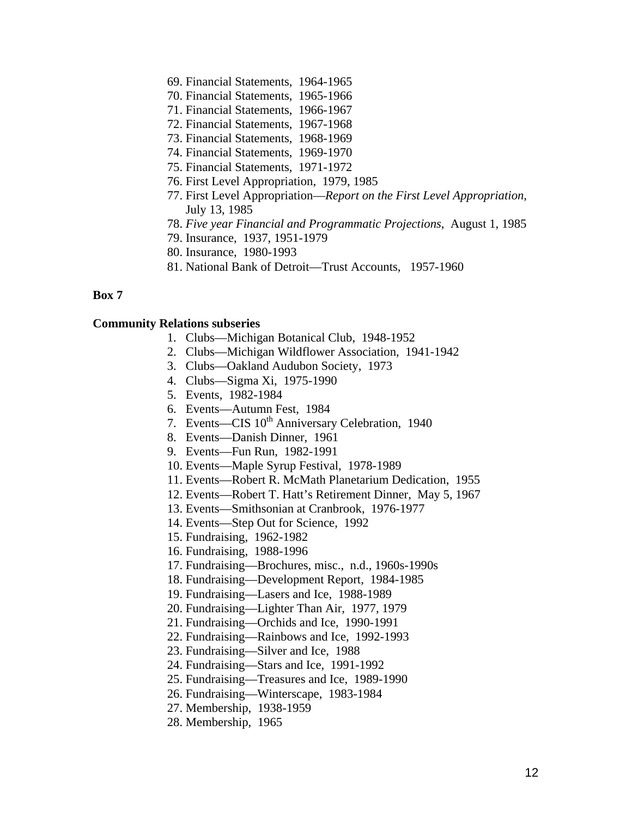- 69. Financial Statements, 1964-1965
- 70. Financial Statements, 1965-1966
- 71. Financial Statements, 1966-1967
- 72. Financial Statements, 1967-1968
- 73. Financial Statements, 1968-1969
- 74. Financial Statements, 1969-1970
- 75. Financial Statements, 1971-1972
- 76. First Level Appropriation, 1979, 1985
- 77. First Level Appropriation—*Report on the First Level Appropriation*, July 13, 1985
- 78. *Five year Financial and Programmatic Projections*, August 1, 1985
- 79. Insurance, 1937, 1951-1979
- 80. Insurance, 1980-1993
- 81. National Bank of Detroit—Trust Accounts, 1957-1960

### **Box 7**

#### **Community Relations subseries**

- 1. Clubs—Michigan Botanical Club, 1948-1952
- 2. Clubs—Michigan Wildflower Association, 1941-1942
- 3. Clubs—Oakland Audubon Society, 1973
- 4. Clubs—Sigma Xi, 1975-1990
- 5. Events, 1982-1984
- 6. Events—Autumn Fest, 1984
- 7. Events—CIS 10<sup>th</sup> Anniversary Celebration, 1940
- 8. Events—Danish Dinner, 1961
- 9. Events—Fun Run, 1982-1991
- 10. Events—Maple Syrup Festival, 1978-1989
- 11. Events—Robert R. McMath Planetarium Dedication, 1955
- 12. Events—Robert T. Hatt's Retirement Dinner, May 5, 1967
- 13. Events—Smithsonian at Cranbrook, 1976-1977
- 14. Events—Step Out for Science, 1992
- 15. Fundraising, 1962-1982
- 16. Fundraising, 1988-1996
- 17. Fundraising—Brochures, misc., n.d., 1960s-1990s
- 18. Fundraising—Development Report, 1984-1985
- 19. Fundraising—Lasers and Ice, 1988-1989
- 20. Fundraising—Lighter Than Air, 1977, 1979
- 21. Fundraising—Orchids and Ice, 1990-1991
- 22. Fundraising—Rainbows and Ice, 1992-1993
- 23. Fundraising—Silver and Ice, 1988
- 24. Fundraising—Stars and Ice, 1991-1992
- 25. Fundraising—Treasures and Ice, 1989-1990
- 26. Fundraising—Winterscape, 1983-1984
- 27. Membership, 1938-1959
- 28. Membership, 1965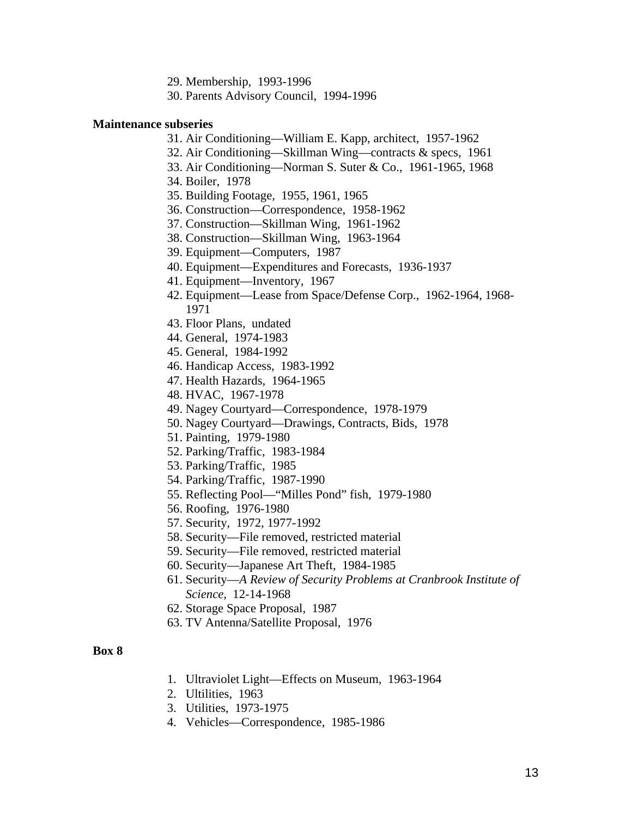- 29. Membership, 1993-1996
- 30. Parents Advisory Council, 1994-1996

#### **Maintenance subseries**

- 31. Air Conditioning—William E. Kapp, architect, 1957-1962
- 32. Air Conditioning—Skillman Wing—contracts & specs, 1961
- 33. Air Conditioning—Norman S. Suter & Co., 1961-1965, 1968
- 34. Boiler, 1978
- 35. Building Footage, 1955, 1961, 1965
- 36. Construction—Correspondence, 1958-1962
- 37. Construction—Skillman Wing, 1961-1962
- 38. Construction—Skillman Wing, 1963-1964
- 39. Equipment—Computers, 1987
- 40. Equipment—Expenditures and Forecasts, 1936-1937
- 41. Equipment—Inventory, 1967
- 42. Equipment—Lease from Space/Defense Corp., 1962-1964, 1968- 1971
- 43. Floor Plans, undated
- 44. General, 1974-1983
- 45. General, 1984-1992
- 46. Handicap Access, 1983-1992
- 47. Health Hazards, 1964-1965
- 48. HVAC, 1967-1978
- 49. Nagey Courtyard—Correspondence, 1978-1979
- 50. Nagey Courtyard—Drawings, Contracts, Bids, 1978
- 51. Painting, 1979-1980
- 52. Parking/Traffic, 1983-1984
- 53. Parking/Traffic, 1985
- 54. Parking/Traffic, 1987-1990
- 55. Reflecting Pool—"Milles Pond" fish, 1979-1980
- 56. Roofing, 1976-1980
- 57. Security, 1972, 1977-1992
- 58. Security—File removed, restricted material
- 59. Security—File removed, restricted material
- 60. Security—Japanese Art Theft, 1984-1985
- 61. Security—*A Review of Security Problems at Cranbrook Institute of Science*, 12-14-1968
- 62. Storage Space Proposal, 1987
- 63. TV Antenna/Satellite Proposal, 1976

- 1. Ultraviolet Light—Effects on Museum, 1963-1964
- 2. Ultilities, 1963
- 3. Utilities, 1973-1975
- 4. Vehicles—Correspondence, 1985-1986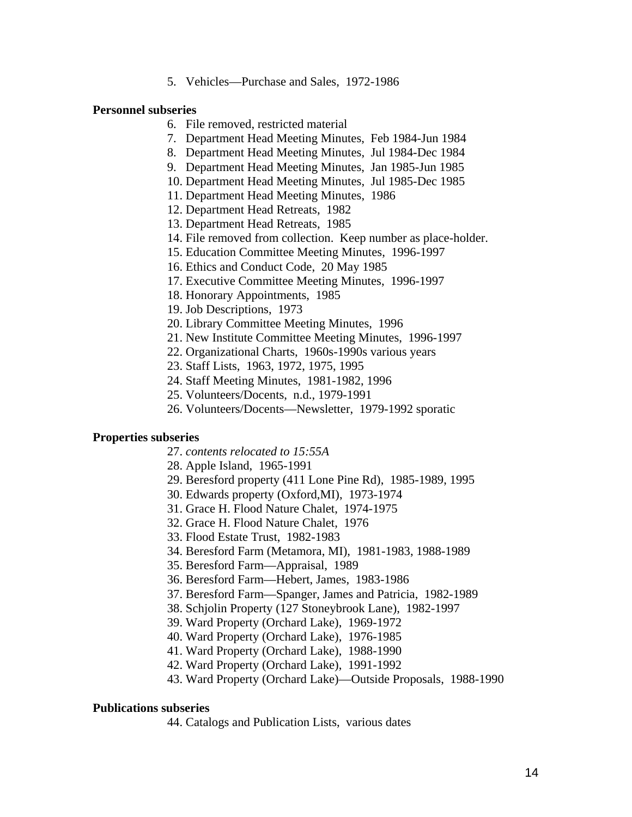5. Vehicles—Purchase and Sales, 1972-1986

#### **Personnel subseries**

- 6. File removed, restricted material
- 7. Department Head Meeting Minutes, Feb 1984-Jun 1984
- 8. Department Head Meeting Minutes, Jul 1984-Dec 1984
- 9. Department Head Meeting Minutes, Jan 1985-Jun 1985
- 10. Department Head Meeting Minutes, Jul 1985-Dec 1985
- 11. Department Head Meeting Minutes, 1986
- 12. Department Head Retreats, 1982
- 13. Department Head Retreats, 1985
- 14. File removed from collection. Keep number as place-holder.
- 15. Education Committee Meeting Minutes, 1996-1997
- 16. Ethics and Conduct Code, 20 May 1985
- 17. Executive Committee Meeting Minutes, 1996-1997
- 18. Honorary Appointments, 1985
- 19. Job Descriptions, 1973
- 20. Library Committee Meeting Minutes, 1996
- 21. New Institute Committee Meeting Minutes, 1996-1997
- 22. Organizational Charts, 1960s-1990s various years
- 23. Staff Lists, 1963, 1972, 1975, 1995
- 24. Staff Meeting Minutes, 1981-1982, 1996
- 25. Volunteers/Docents, n.d., 1979-1991
- 26. Volunteers/Docents—Newsletter, 1979-1992 sporatic

#### **Properties subseries**

- 27. *contents relocated to 15:55A*
- 28. Apple Island, 1965-1991
- 29. Beresford property (411 Lone Pine Rd), 1985-1989, 1995
- 30. Edwards property (Oxford,MI), 1973-1974
- 31. Grace H. Flood Nature Chalet, 1974-1975
- 32. Grace H. Flood Nature Chalet, 1976
- 33. Flood Estate Trust, 1982-1983
- 34. Beresford Farm (Metamora, MI), 1981-1983, 1988-1989
- 35. Beresford Farm—Appraisal, 1989
- 36. Beresford Farm—Hebert, James, 1983-1986
- 37. Beresford Farm—Spanger, James and Patricia, 1982-1989
- 38. Schjolin Property (127 Stoneybrook Lane), 1982-1997
- 39. Ward Property (Orchard Lake), 1969-1972
- 40. Ward Property (Orchard Lake), 1976-1985
- 41. Ward Property (Orchard Lake), 1988-1990
- 42. Ward Property (Orchard Lake), 1991-1992
- 43. Ward Property (Orchard Lake)—Outside Proposals, 1988-1990

#### **Publications subseries**

44. Catalogs and Publication Lists, various dates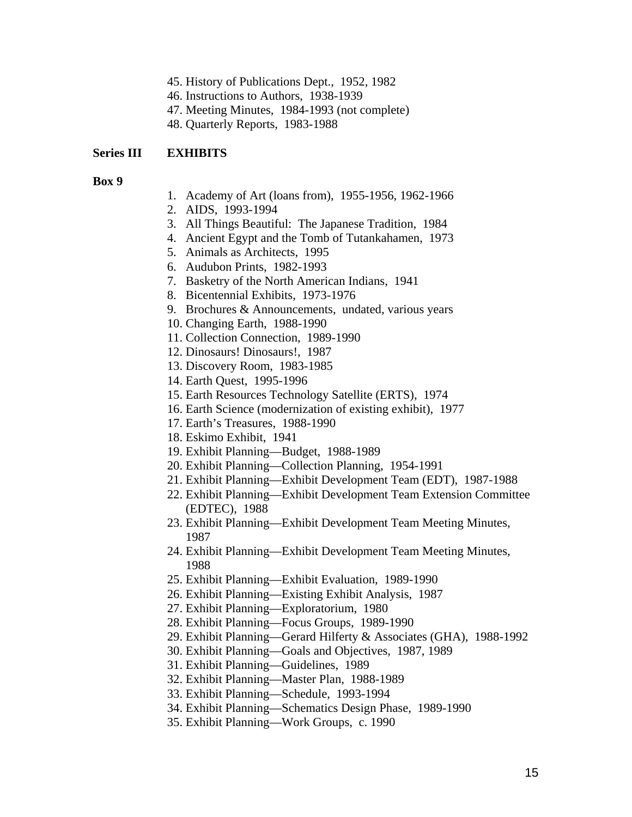- 45. History of Publications Dept., 1952, 1982
- 46. Instructions to Authors, 1938-1939
- 47. Meeting Minutes, 1984-1993 (not complete)
- 48. Quarterly Reports, 1983-1988

### **Series III EXHIBITS**

- **Box 9**
- 1. Academy of Art (loans from), 1955-1956, 1962-1966
- 2. AIDS, 1993-1994
- 3. All Things Beautiful: The Japanese Tradition, 1984
- 4. Ancient Egypt and the Tomb of Tutankahamen, 1973
- 5. Animals as Architects, 1995
- 6. Audubon Prints, 1982-1993
- 7. Basketry of the North American Indians, 1941
- 8. Bicentennial Exhibits, 1973-1976
- 9. Brochures & Announcements, undated, various years
- 10. Changing Earth, 1988-1990
- 11. Collection Connection, 1989-1990
- 12. Dinosaurs! Dinosaurs!, 1987
- 13. Discovery Room, 1983-1985
- 14. Earth Quest, 1995-1996
- 15. Earth Resources Technology Satellite (ERTS), 1974
- 16. Earth Science (modernization of existing exhibit), 1977
- 17. Earth's Treasures, 1988-1990
- 18. Eskimo Exhibit, 1941
- 19. Exhibit Planning—Budget, 1988-1989
- 20. Exhibit Planning—Collection Planning, 1954-1991
- 21. Exhibit Planning—Exhibit Development Team (EDT), 1987-1988
- 22. Exhibit Planning—Exhibit Development Team Extension Committee (EDTEC), 1988
- 23. Exhibit Planning—Exhibit Development Team Meeting Minutes, 1987
- 24. Exhibit Planning—Exhibit Development Team Meeting Minutes, 1988
- 25. Exhibit Planning—Exhibit Evaluation, 1989-1990
- 26. Exhibit Planning—Existing Exhibit Analysis, 1987
- 27. Exhibit Planning—Exploratorium, 1980
- 28. Exhibit Planning—Focus Groups, 1989-1990
- 29. Exhibit Planning—Gerard Hilferty & Associates (GHA), 1988-1992
- 30. Exhibit Planning—Goals and Objectives, 1987, 1989
- 31. Exhibit Planning—Guidelines, 1989
- 32. Exhibit Planning—Master Plan, 1988-1989
- 33. Exhibit Planning—Schedule, 1993-1994
- 34. Exhibit Planning—Schematics Design Phase, 1989-1990
- 35. Exhibit Planning—Work Groups, c. 1990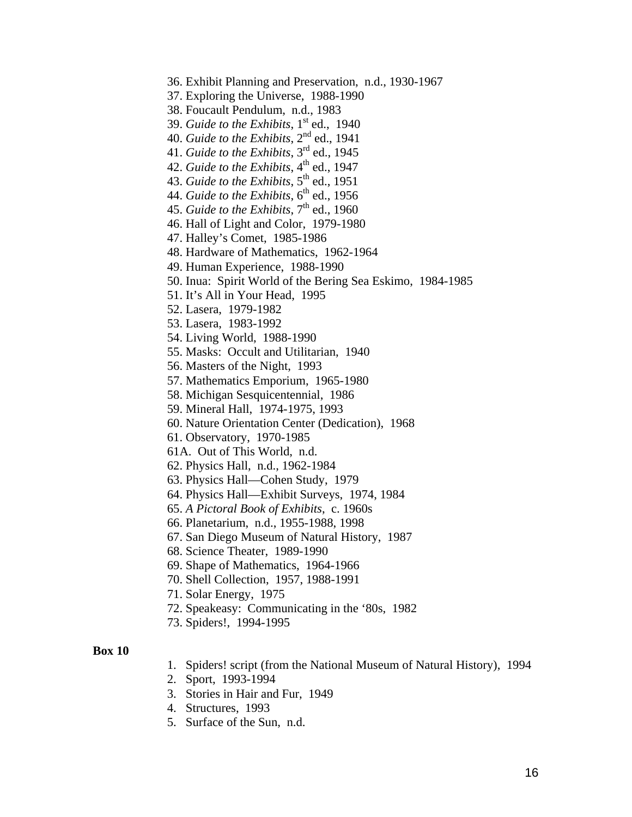36. Exhibit Planning and Preservation, n.d., 1930-1967

37. Exploring the Universe, 1988-1990

38. Foucault Pendulum, n.d., 1983

39. *Guide to the Exhibits*, 1<sup>st</sup> ed., 1940

40. *Guide to the Exhibits*, 2nd ed., 1941

41. *Guide to the Exhibits*, 3rd ed., 1945

42. *Guide to the Exhibits*, 4<sup>th</sup> ed., 1947

43. *Guide to the Exhibits*, 5th ed., 1951

44. *Guide to the Exhibits*,  $6^{\text{th}}$  ed., 1956

45. *Guide to the Exhibits*, 7<sup>th</sup> ed., 1960

46. Hall of Light and Color, 1979-1980

47. Halley's Comet, 1985-1986

48. Hardware of Mathematics, 1962-1964

49. Human Experience, 1988-1990

50. Inua: Spirit World of the Bering Sea Eskimo, 1984-1985

51. It's All in Your Head, 1995

52. Lasera, 1979-1982

53. Lasera, 1983-1992

54. Living World, 1988-1990

55. Masks: Occult and Utilitarian, 1940

56. Masters of the Night, 1993

57. Mathematics Emporium, 1965-1980

58. Michigan Sesquicentennial, 1986

59. Mineral Hall, 1974-1975, 1993

60. Nature Orientation Center (Dedication), 1968

61. Observatory, 1970-1985

61A. Out of This World, n.d.

62. Physics Hall, n.d., 1962-1984

63. Physics Hall—Cohen Study, 1979

64. Physics Hall—Exhibit Surveys, 1974, 1984

65. *A Pictoral Book of Exhibits*, c. 1960s

66. Planetarium, n.d., 1955-1988, 1998

67. San Diego Museum of Natural History, 1987

68. Science Theater, 1989-1990

69. Shape of Mathematics, 1964-1966

70. Shell Collection, 1957, 1988-1991

71. Solar Energy, 1975

72. Speakeasy: Communicating in the '80s, 1982

73. Spiders!, 1994-1995

#### **Box 10**

1. Spiders! script (from the National Museum of Natural History), 1994

2. Sport, 1993-1994

3. Stories in Hair and Fur, 1949

- 4. Structures, 1993
- 5. Surface of the Sun, n.d.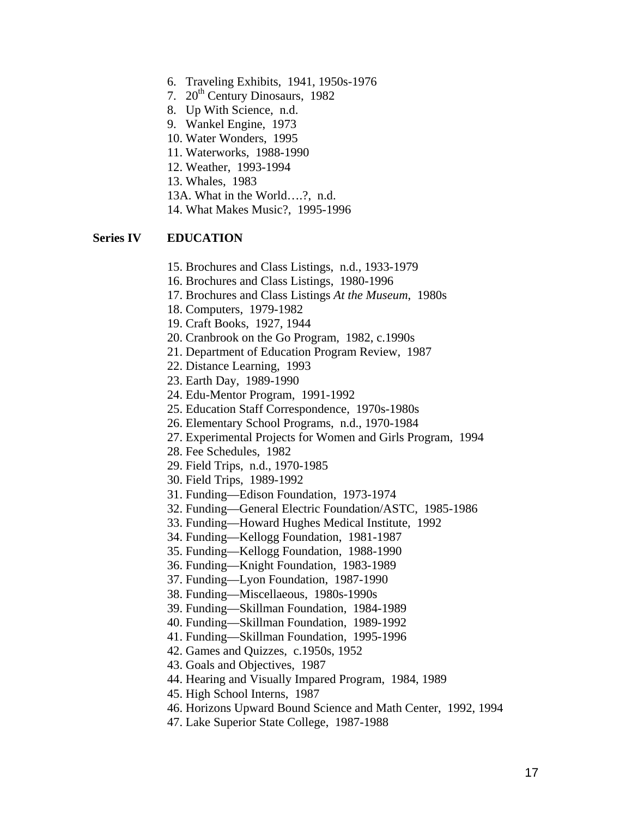- 6. Traveling Exhibits, 1941, 1950s-1976
- 7. 20<sup>th</sup> Century Dinosaurs, 1982
- 8. Up With Science, n.d.
- 9. Wankel Engine, 1973
- 10. Water Wonders, 1995
- 11. Waterworks, 1988-1990
- 12. Weather, 1993-1994
- 13. Whales, 1983
- 13A. What in the World….?, n.d.
- 14. What Makes Music?, 1995-1996

### **Series IV EDUCATION**

- 15. Brochures and Class Listings, n.d., 1933-1979
- 16. Brochures and Class Listings, 1980-1996
- 17. Brochures and Class Listings *At the Museum*, 1980s
- 18. Computers, 1979-1982
- 19. Craft Books, 1927, 1944
- 20. Cranbrook on the Go Program, 1982, c.1990s
- 21. Department of Education Program Review, 1987
- 22. Distance Learning, 1993
- 23. Earth Day, 1989-1990
- 24. Edu-Mentor Program, 1991-1992
- 25. Education Staff Correspondence, 1970s-1980s
- 26. Elementary School Programs, n.d., 1970-1984
- 27. Experimental Projects for Women and Girls Program, 1994
- 28. Fee Schedules, 1982
- 29. Field Trips, n.d., 1970-1985
- 30. Field Trips, 1989-1992
- 31. Funding—Edison Foundation, 1973-1974
- 32. Funding—General Electric Foundation/ASTC, 1985-1986
- 33. Funding—Howard Hughes Medical Institute, 1992
- 34. Funding—Kellogg Foundation, 1981-1987
- 35. Funding—Kellogg Foundation, 1988-1990
- 36. Funding—Knight Foundation, 1983-1989
- 37. Funding—Lyon Foundation, 1987-1990
- 38. Funding—Miscellaeous, 1980s-1990s
- 39. Funding—Skillman Foundation, 1984-1989
- 40. Funding—Skillman Foundation, 1989-1992
- 41. Funding—Skillman Foundation, 1995-1996
- 42. Games and Quizzes, c.1950s, 1952
- 43. Goals and Objectives, 1987
- 44. Hearing and Visually Impared Program, 1984, 1989
- 45. High School Interns, 1987
- 46. Horizons Upward Bound Science and Math Center, 1992, 1994
- 47. Lake Superior State College, 1987-1988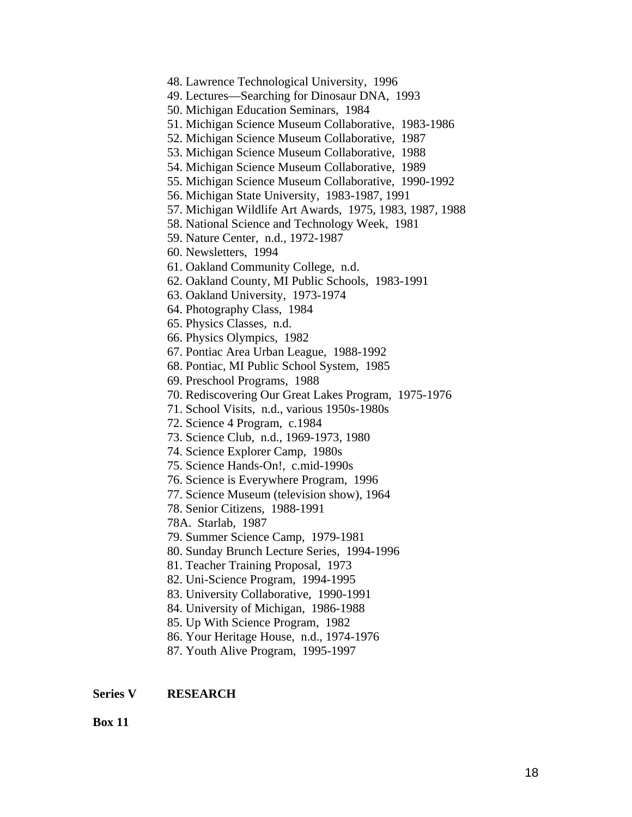```
48. Lawrence Technological University, 1996 
49. Lectures—Searching for Dinosaur DNA, 1993 
50. Michigan Education Seminars, 1984 
51. Michigan Science Museum Collaborative, 1983-1986 
52. Michigan Science Museum Collaborative, 1987 
53. Michigan Science Museum Collaborative, 1988 
54. Michigan Science Museum Collaborative, 1989 
55. Michigan Science Museum Collaborative, 1990-1992 
56. Michigan State University, 1983-1987, 1991 
57. Michigan Wildlife Art Awards, 1975, 1983, 1987, 1988 
58. National Science and Technology Week, 1981 
59. Nature Center, n.d., 1972-1987 
60. Newsletters, 1994 
61. Oakland Community College, n.d. 
62. Oakland County, MI Public Schools, 1983-1991 
63. Oakland University, 1973-1974 
64. Photography Class, 1984 
65. Physics Classes, n.d. 
66. Physics Olympics, 1982 
67. Pontiac Area Urban League, 1988-1992 
68. Pontiac, MI Public School System, 1985 
69. Preschool Programs, 1988 
70. Rediscovering Our Great Lakes Program, 1975-1976 
71. School Visits, n.d., various 1950s-1980s 
72. Science 4 Program, c.1984 
73. Science Club, n.d., 1969-1973, 1980 
74. Science Explorer Camp, 1980s 
75. Science Hands-On!, c.mid-1990s 
76. Science is Everywhere Program, 1996 
77. Science Museum (television show), 1964 
78. Senior Citizens, 1988-1991 
78A. Starlab, 1987 
79. Summer Science Camp, 1979-1981 
80. Sunday Brunch Lecture Series, 1994-1996 
81. Teacher Training Proposal, 1973 
82. Uni-Science Program, 1994-1995 
83. University Collaborative, 1990-1991 
84. University of Michigan, 1986-1988 
85. Up With Science Program, 1982 
86. Your Heritage House, n.d., 1974-1976 
87. Youth Alive Program, 1995-1997
```
### **Series V RESEARCH**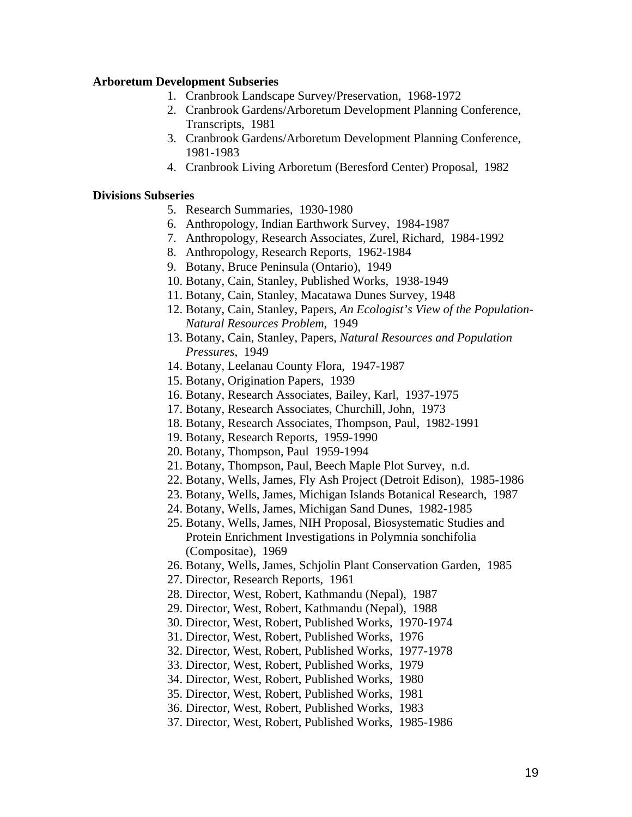### **Arboretum Development Subseries**

- 1. Cranbrook Landscape Survey/Preservation, 1968-1972
- 2. Cranbrook Gardens/Arboretum Development Planning Conference, Transcripts, 1981
- 3. Cranbrook Gardens/Arboretum Development Planning Conference, 1981-1983
- 4. Cranbrook Living Arboretum (Beresford Center) Proposal, 1982

#### **Divisions Subseries**

- 5. Research Summaries, 1930-1980
- 6. Anthropology, Indian Earthwork Survey, 1984-1987
- 7. Anthropology, Research Associates, Zurel, Richard, 1984-1992
- 8. Anthropology, Research Reports, 1962-1984
- 9. Botany, Bruce Peninsula (Ontario), 1949
- 10. Botany, Cain, Stanley, Published Works, 1938-1949
- 11. Botany, Cain, Stanley, Macatawa Dunes Survey, 1948
- 12. Botany, Cain, Stanley, Papers, *An Ecologist's View of the Population-Natural Resources Problem*, 1949
- 13. Botany, Cain, Stanley, Papers, *Natural Resources and Population Pressures*, 1949
- 14. Botany, Leelanau County Flora, 1947-1987
- 15. Botany, Origination Papers, 1939
- 16. Botany, Research Associates, Bailey, Karl, 1937-1975
- 17. Botany, Research Associates, Churchill, John, 1973
- 18. Botany, Research Associates, Thompson, Paul, 1982-1991
- 19. Botany, Research Reports, 1959-1990
- 20. Botany, Thompson, Paul 1959-1994
- 21. Botany, Thompson, Paul, Beech Maple Plot Survey, n.d.
- 22. Botany, Wells, James, Fly Ash Project (Detroit Edison), 1985-1986
- 23. Botany, Wells, James, Michigan Islands Botanical Research, 1987
- 24. Botany, Wells, James, Michigan Sand Dunes, 1982-1985
- 25. Botany, Wells, James, NIH Proposal, Biosystematic Studies and Protein Enrichment Investigations in Polymnia sonchifolia (Compositae), 1969
- 26. Botany, Wells, James, Schjolin Plant Conservation Garden, 1985
- 27. Director, Research Reports, 1961
- 28. Director, West, Robert, Kathmandu (Nepal), 1987
- 29. Director, West, Robert, Kathmandu (Nepal), 1988
- 30. Director, West, Robert, Published Works, 1970-1974
- 31. Director, West, Robert, Published Works, 1976
- 32. Director, West, Robert, Published Works, 1977-1978
- 33. Director, West, Robert, Published Works, 1979
- 34. Director, West, Robert, Published Works, 1980
- 35. Director, West, Robert, Published Works, 1981
- 36. Director, West, Robert, Published Works, 1983
- 37. Director, West, Robert, Published Works, 1985-1986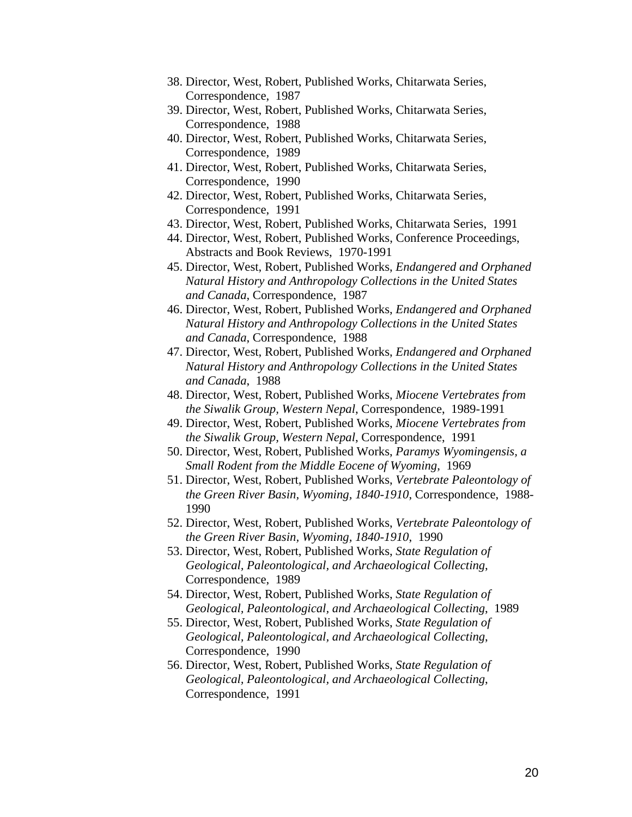- 38. Director, West, Robert, Published Works, Chitarwata Series, Correspondence, 1987
- 39. Director, West, Robert, Published Works, Chitarwata Series, Correspondence, 1988
- 40. Director, West, Robert, Published Works, Chitarwata Series, Correspondence, 1989
- 41. Director, West, Robert, Published Works, Chitarwata Series, Correspondence, 1990
- 42. Director, West, Robert, Published Works, Chitarwata Series, Correspondence, 1991
- 43. Director, West, Robert, Published Works, Chitarwata Series, 1991
- 44. Director, West, Robert, Published Works, Conference Proceedings, Abstracts and Book Reviews, 1970-1991
- 45. Director, West, Robert, Published Works, *Endangered and Orphaned Natural History and Anthropology Collections in the United States and Canada*, Correspondence, 1987
- 46. Director, West, Robert, Published Works, *Endangered and Orphaned Natural History and Anthropology Collections in the United States and Canada*, Correspondence, 1988
- 47. Director, West, Robert, Published Works, *Endangered and Orphaned Natural History and Anthropology Collections in the United States and Canada*, 1988
- 48. Director, West, Robert, Published Works, *Miocene Vertebrates from the Siwalik Group, Western Nepal*, Correspondence, 1989-1991
- 49. Director, West, Robert, Published Works, *Miocene Vertebrates from the Siwalik Group, Western Nepal*, Correspondence, 1991
- 50. Director, West, Robert, Published Works, *Paramys Wyomingensis, a Small Rodent from the Middle Eocene of Wyoming*, 1969
- 51. Director, West, Robert, Published Works, *Vertebrate Paleontology of the Green River Basin, Wyoming, 1840-1910*, Correspondence, 1988- 1990
- 52. Director, West, Robert, Published Works, *Vertebrate Paleontology of the Green River Basin, Wyoming, 1840-1910*, 1990
- 53. Director, West, Robert, Published Works, *State Regulation of Geological, Paleontological, and Archaeological Collecting*, Correspondence, 1989
- 54. Director, West, Robert, Published Works, *State Regulation of Geological, Paleontological, and Archaeological Collecting*, 1989
- 55. Director, West, Robert, Published Works, *State Regulation of Geological, Paleontological, and Archaeological Collecting*, Correspondence, 1990
- 56. Director, West, Robert, Published Works, *State Regulation of Geological, Paleontological, and Archaeological Collecting*, Correspondence, 1991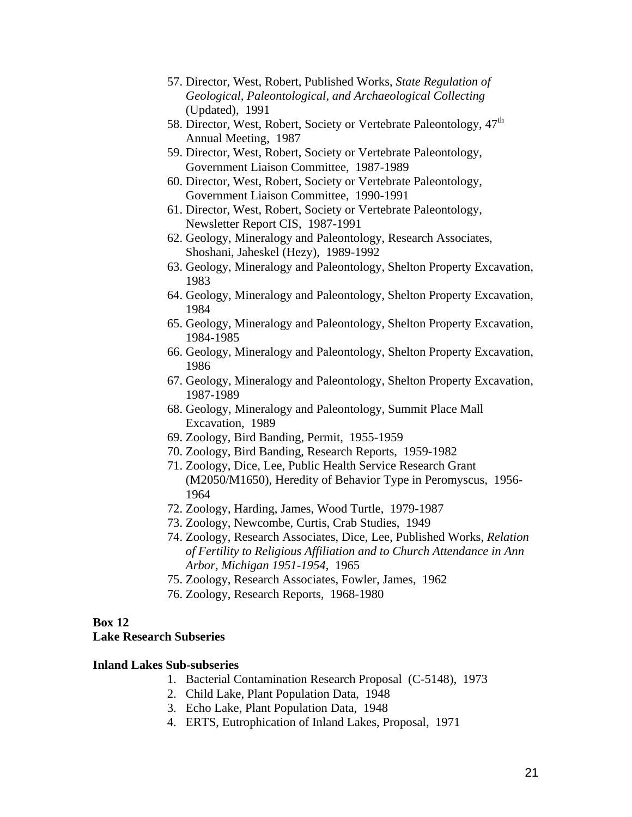- 57. Director, West, Robert, Published Works, *State Regulation of Geological, Paleontological, and Archaeological Collecting*  (Updated), 1991
- 58. Director, West, Robert, Society or Vertebrate Paleontology,  $47<sup>th</sup>$ Annual Meeting, 1987
- 59. Director, West, Robert, Society or Vertebrate Paleontology, Government Liaison Committee, 1987-1989
- 60. Director, West, Robert, Society or Vertebrate Paleontology, Government Liaison Committee, 1990-1991
- 61. Director, West, Robert, Society or Vertebrate Paleontology, Newsletter Report CIS, 1987-1991
- 62. Geology, Mineralogy and Paleontology, Research Associates, Shoshani, Jaheskel (Hezy), 1989-1992
- 63. Geology, Mineralogy and Paleontology, Shelton Property Excavation, 1983
- 64. Geology, Mineralogy and Paleontology, Shelton Property Excavation, 1984
- 65. Geology, Mineralogy and Paleontology, Shelton Property Excavation, 1984-1985
- 66. Geology, Mineralogy and Paleontology, Shelton Property Excavation, 1986
- 67. Geology, Mineralogy and Paleontology, Shelton Property Excavation, 1987-1989
- 68. Geology, Mineralogy and Paleontology, Summit Place Mall Excavation, 1989
- 69. Zoology, Bird Banding, Permit, 1955-1959
- 70. Zoology, Bird Banding, Research Reports, 1959-1982
- 71. Zoology, Dice, Lee, Public Health Service Research Grant (M2050/M1650), Heredity of Behavior Type in Peromyscus, 1956- 1964
- 72. Zoology, Harding, James, Wood Turtle, 1979-1987
- 73. Zoology, Newcombe, Curtis, Crab Studies, 1949
- 74. Zoology, Research Associates, Dice, Lee, Published Works, *Relation of Fertility to Religious Affiliation and to Church Attendance in Ann Arbor, Michigan 1951-1954*, 1965
- 75. Zoology, Research Associates, Fowler, James, 1962
- 76. Zoology, Research Reports, 1968-1980

### **Box 12**

### **Lake Research Subseries**

### **Inland Lakes Sub-subseries**

- 1. Bacterial Contamination Research Proposal (C-5148), 1973
- 2. Child Lake, Plant Population Data, 1948
- 3. Echo Lake, Plant Population Data, 1948
- 4. ERTS, Eutrophication of Inland Lakes, Proposal, 1971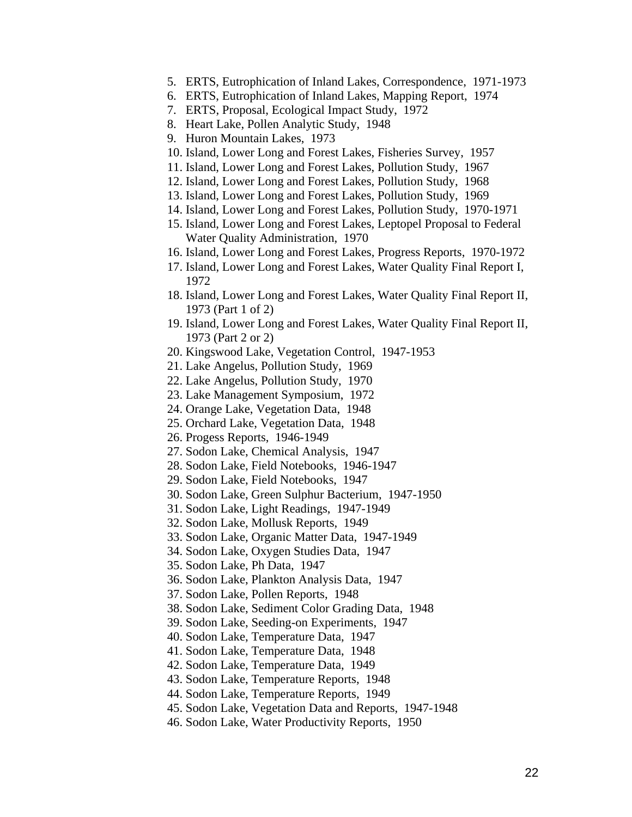- 5. ERTS, Eutrophication of Inland Lakes, Correspondence, 1971-1973
- 6. ERTS, Eutrophication of Inland Lakes, Mapping Report, 1974
- 7. ERTS, Proposal, Ecological Impact Study, 1972
- 8. Heart Lake, Pollen Analytic Study, 1948
- 9. Huron Mountain Lakes, 1973
- 10. Island, Lower Long and Forest Lakes, Fisheries Survey, 1957
- 11. Island, Lower Long and Forest Lakes, Pollution Study, 1967
- 12. Island, Lower Long and Forest Lakes, Pollution Study, 1968
- 13. Island, Lower Long and Forest Lakes, Pollution Study, 1969
- 14. Island, Lower Long and Forest Lakes, Pollution Study, 1970-1971
- 15. Island, Lower Long and Forest Lakes, Leptopel Proposal to Federal Water Quality Administration, 1970
- 16. Island, Lower Long and Forest Lakes, Progress Reports, 1970-1972
- 17. Island, Lower Long and Forest Lakes, Water Quality Final Report I, 1972
- 18. Island, Lower Long and Forest Lakes, Water Quality Final Report II, 1973 (Part 1 of 2)
- 19. Island, Lower Long and Forest Lakes, Water Quality Final Report II, 1973 (Part 2 or 2)
- 20. Kingswood Lake, Vegetation Control, 1947-1953
- 21. Lake Angelus, Pollution Study, 1969
- 22. Lake Angelus, Pollution Study, 1970
- 23. Lake Management Symposium, 1972
- 24. Orange Lake, Vegetation Data, 1948
- 25. Orchard Lake, Vegetation Data, 1948
- 26. Progess Reports, 1946-1949
- 27. Sodon Lake, Chemical Analysis, 1947
- 28. Sodon Lake, Field Notebooks, 1946-1947
- 29. Sodon Lake, Field Notebooks, 1947
- 30. Sodon Lake, Green Sulphur Bacterium, 1947-1950
- 31. Sodon Lake, Light Readings, 1947-1949
- 32. Sodon Lake, Mollusk Reports, 1949
- 33. Sodon Lake, Organic Matter Data, 1947-1949
- 34. Sodon Lake, Oxygen Studies Data, 1947
- 35. Sodon Lake, Ph Data, 1947
- 36. Sodon Lake, Plankton Analysis Data, 1947
- 37. Sodon Lake, Pollen Reports, 1948
- 38. Sodon Lake, Sediment Color Grading Data, 1948
- 39. Sodon Lake, Seeding-on Experiments, 1947
- 40. Sodon Lake, Temperature Data, 1947
- 41. Sodon Lake, Temperature Data, 1948
- 42. Sodon Lake, Temperature Data, 1949
- 43. Sodon Lake, Temperature Reports, 1948
- 44. Sodon Lake, Temperature Reports, 1949
- 45. Sodon Lake, Vegetation Data and Reports, 1947-1948
- 46. Sodon Lake, Water Productivity Reports, 1950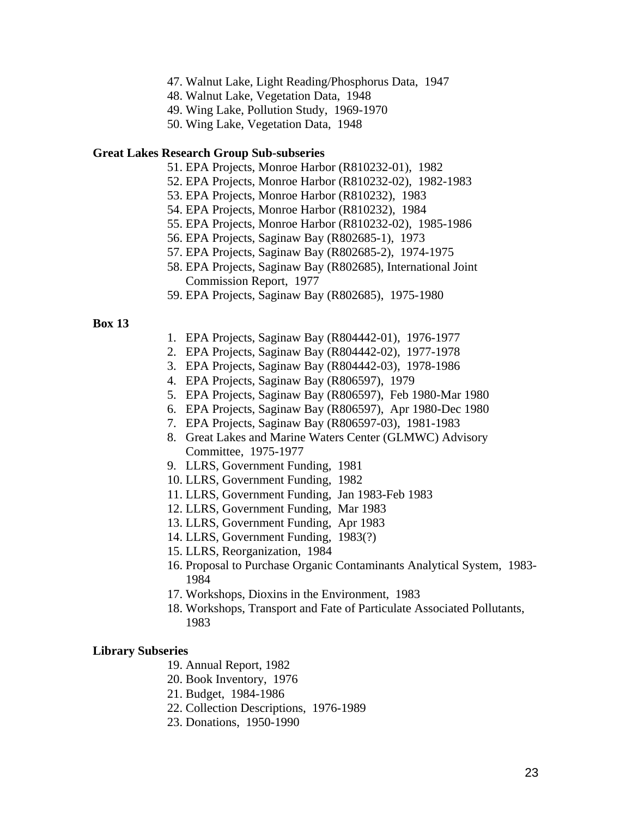- 47. Walnut Lake, Light Reading/Phosphorus Data, 1947
- 48. Walnut Lake, Vegetation Data, 1948
- 49. Wing Lake, Pollution Study, 1969-1970
- 50. Wing Lake, Vegetation Data, 1948

#### **Great Lakes Research Group Sub-subseries**

- 51. EPA Projects, Monroe Harbor (R810232-01), 1982
- 52. EPA Projects, Monroe Harbor (R810232-02), 1982-1983
- 53. EPA Projects, Monroe Harbor (R810232), 1983
- 54. EPA Projects, Monroe Harbor (R810232), 1984
- 55. EPA Projects, Monroe Harbor (R810232-02), 1985-1986
- 56. EPA Projects, Saginaw Bay (R802685-1), 1973
- 57. EPA Projects, Saginaw Bay (R802685-2), 1974-1975
- 58. EPA Projects, Saginaw Bay (R802685), International Joint Commission Report, 1977
- 59. EPA Projects, Saginaw Bay (R802685), 1975-1980

#### **Box 13**

- 1. EPA Projects, Saginaw Bay (R804442-01), 1976-1977
- 2. EPA Projects, Saginaw Bay (R804442-02), 1977-1978
- 3. EPA Projects, Saginaw Bay (R804442-03), 1978-1986
- 4. EPA Projects, Saginaw Bay (R806597), 1979
- 5. EPA Projects, Saginaw Bay (R806597), Feb 1980-Mar 1980
- 6. EPA Projects, Saginaw Bay (R806597), Apr 1980-Dec 1980
- 7. EPA Projects, Saginaw Bay (R806597-03), 1981-1983
- 8. Great Lakes and Marine Waters Center (GLMWC) Advisory Committee, 1975-1977
- 9. LLRS, Government Funding, 1981
- 10. LLRS, Government Funding, 1982
- 11. LLRS, Government Funding, Jan 1983-Feb 1983
- 12. LLRS, Government Funding, Mar 1983
- 13. LLRS, Government Funding, Apr 1983
- 14. LLRS, Government Funding, 1983(?)
- 15. LLRS, Reorganization, 1984
- 16. Proposal to Purchase Organic Contaminants Analytical System, 1983- 1984
- 17. Workshops, Dioxins in the Environment, 1983
- 18. Workshops, Transport and Fate of Particulate Associated Pollutants, 1983

#### **Library Subseries**

- 19. Annual Report, 1982
- 20. Book Inventory, 1976
- 21. Budget, 1984-1986
- 22. Collection Descriptions, 1976-1989
- 23. Donations, 1950-1990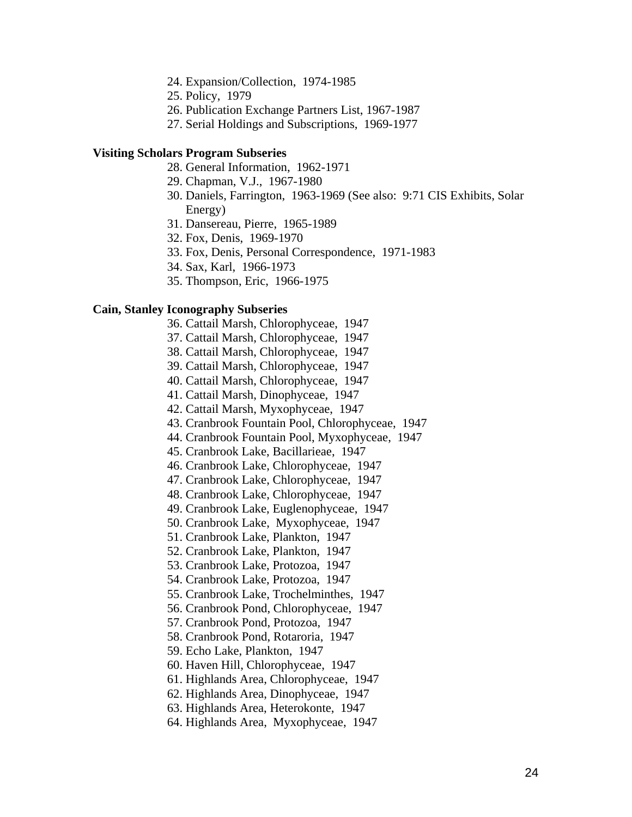- 24. Expansion/Collection, 1974-1985
- 25. Policy, 1979
- 26. Publication Exchange Partners List, 1967-1987
- 27. Serial Holdings and Subscriptions, 1969-1977

#### **Visiting Scholars Program Subseries**

- 28. General Information, 1962-1971
- 29. Chapman, V.J., 1967-1980
- 30. Daniels, Farrington, 1963-1969 (See also: 9:71 CIS Exhibits, Solar Energy)
- 31. Dansereau, Pierre, 1965-1989
- 32. Fox, Denis, 1969-1970
- 33. Fox, Denis, Personal Correspondence, 1971-1983
- 34. Sax, Karl, 1966-1973
- 35. Thompson, Eric, 1966-1975

#### **Cain, Stanley Iconography Subseries**

- 36. Cattail Marsh, Chlorophyceae, 1947
- 37. Cattail Marsh, Chlorophyceae, 1947
- 38. Cattail Marsh, Chlorophyceae, 1947
- 39. Cattail Marsh, Chlorophyceae, 1947
- 40. Cattail Marsh, Chlorophyceae, 1947
- 41. Cattail Marsh, Dinophyceae, 1947
- 42. Cattail Marsh, Myxophyceae, 1947
- 43. Cranbrook Fountain Pool, Chlorophyceae, 1947
- 44. Cranbrook Fountain Pool, Myxophyceae, 1947
- 45. Cranbrook Lake, Bacillarieae, 1947
- 46. Cranbrook Lake, Chlorophyceae, 1947
- 47. Cranbrook Lake, Chlorophyceae, 1947
- 48. Cranbrook Lake, Chlorophyceae, 1947
- 49. Cranbrook Lake, Euglenophyceae, 1947
- 50. Cranbrook Lake, Myxophyceae, 1947
- 51. Cranbrook Lake, Plankton, 1947
- 52. Cranbrook Lake, Plankton, 1947
- 53. Cranbrook Lake, Protozoa, 1947
- 54. Cranbrook Lake, Protozoa, 1947
- 55. Cranbrook Lake, Trochelminthes, 1947
- 56. Cranbrook Pond, Chlorophyceae, 1947
- 57. Cranbrook Pond, Protozoa, 1947
- 58. Cranbrook Pond, Rotaroria, 1947
- 59. Echo Lake, Plankton, 1947
- 60. Haven Hill, Chlorophyceae, 1947
- 61. Highlands Area, Chlorophyceae, 1947
- 62. Highlands Area, Dinophyceae, 1947
- 63. Highlands Area, Heterokonte, 1947
- 64. Highlands Area, Myxophyceae, 1947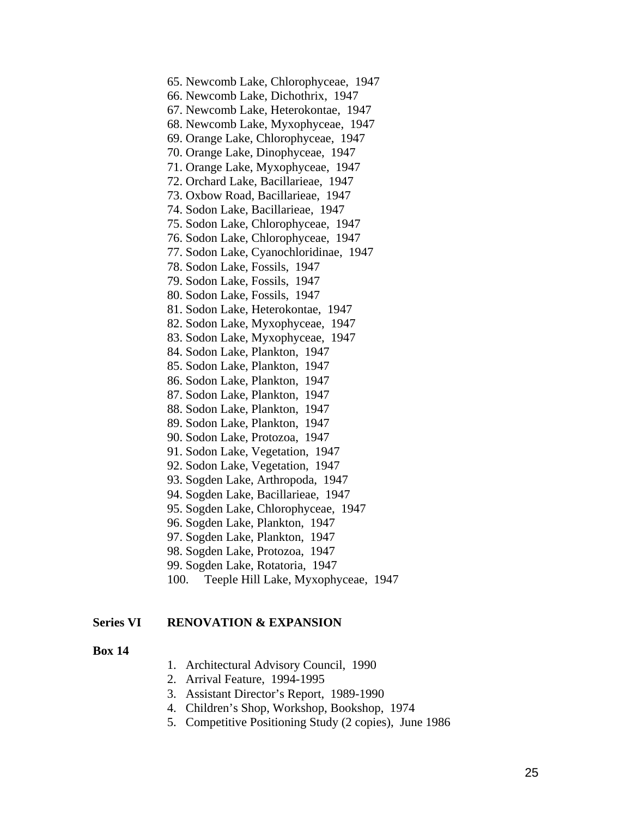65. Newcomb Lake, Chlorophyceae, 1947 66. Newcomb Lake, Dichothrix, 1947 67. Newcomb Lake, Heterokontae, 1947 68. Newcomb Lake, Myxophyceae, 1947 69. Orange Lake, Chlorophyceae, 1947 70. Orange Lake, Dinophyceae, 1947 71. Orange Lake, Myxophyceae, 1947 72. Orchard Lake, Bacillarieae, 1947 73. Oxbow Road, Bacillarieae, 1947 74. Sodon Lake, Bacillarieae, 1947 75. Sodon Lake, Chlorophyceae, 1947 76. Sodon Lake, Chlorophyceae, 1947 77. Sodon Lake, Cyanochloridinae, 1947 78. Sodon Lake, Fossils, 1947 79. Sodon Lake, Fossils, 1947 80. Sodon Lake, Fossils, 1947 81. Sodon Lake, Heterokontae, 1947 82. Sodon Lake, Myxophyceae, 1947 83. Sodon Lake, Myxophyceae, 1947 84. Sodon Lake, Plankton, 1947 85. Sodon Lake, Plankton, 1947 86. Sodon Lake, Plankton, 1947 87. Sodon Lake, Plankton, 1947 88. Sodon Lake, Plankton, 1947 89. Sodon Lake, Plankton, 1947 90. Sodon Lake, Protozoa, 1947 91. Sodon Lake, Vegetation, 1947 92. Sodon Lake, Vegetation, 1947 93. Sogden Lake, Arthropoda, 1947 94. Sogden Lake, Bacillarieae, 1947 95. Sogden Lake, Chlorophyceae, 1947 96. Sogden Lake, Plankton, 1947 97. Sogden Lake, Plankton, 1947 98. Sogden Lake, Protozoa, 1947 99. Sogden Lake, Rotatoria, 1947 100. Teeple Hill Lake, Myxophyceae, 1947

### **Series VI RENOVATION & EXPANSION**

- 1. Architectural Advisory Council, 1990
- 2. Arrival Feature, 1994-1995
- 3. Assistant Director's Report, 1989-1990
- 4. Children's Shop, Workshop, Bookshop, 1974
- 5. Competitive Positioning Study (2 copies), June 1986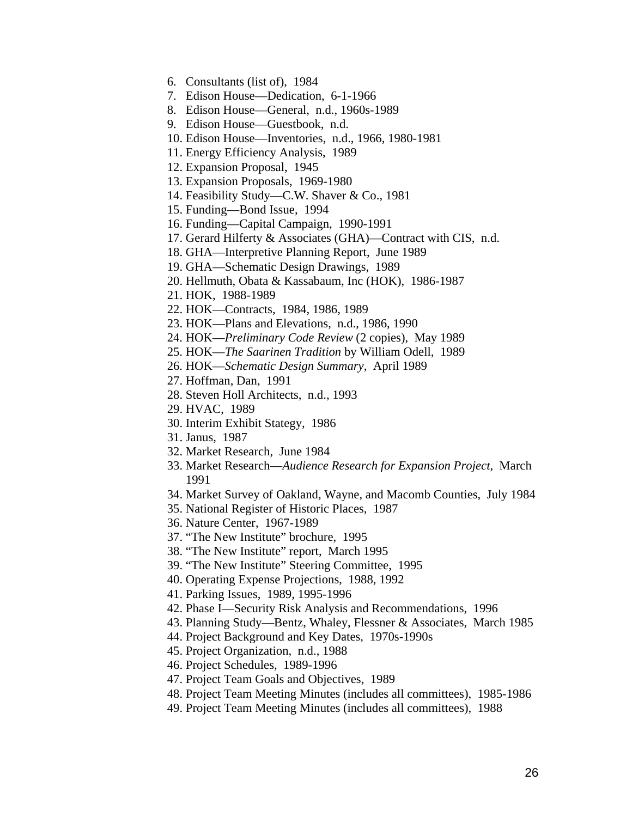- 6. Consultants (list of), 1984
- 7. Edison House—Dedication, 6-1-1966
- 8. Edison House—General, n.d., 1960s-1989
- 9. Edison House—Guestbook, n.d.
- 10. Edison House—Inventories, n.d., 1966, 1980-1981
- 11. Energy Efficiency Analysis, 1989
- 12. Expansion Proposal, 1945
- 13. Expansion Proposals, 1969-1980
- 14. Feasibility Study—C.W. Shaver & Co., 1981
- 15. Funding—Bond Issue, 1994
- 16. Funding—Capital Campaign, 1990-1991
- 17. Gerard Hilferty & Associates (GHA)—Contract with CIS, n.d.
- 18. GHA—Interpretive Planning Report, June 1989
- 19. GHA—Schematic Design Drawings, 1989
- 20. Hellmuth, Obata & Kassabaum, Inc (HOK), 1986-1987
- 21. HOK, 1988-1989
- 22. HOK—Contracts, 1984, 1986, 1989
- 23. HOK—Plans and Elevations, n.d., 1986, 1990
- 24. HOK—*Preliminary Code Review* (2 copies), May 1989
- 25. HOK—*The Saarinen Tradition* by William Odell, 1989
- 26. HOK—*Schematic Design Summary*, April 1989
- 27. Hoffman, Dan, 1991
- 28. Steven Holl Architects, n.d., 1993
- 29. HVAC, 1989
- 30. Interim Exhibit Stategy, 1986
- 31. Janus, 1987
- 32. Market Research, June 1984
- 33. Market Research—*Audience Research for Expansion Project*, March 1991
- 34. Market Survey of Oakland, Wayne, and Macomb Counties, July 1984
- 35. National Register of Historic Places, 1987
- 36. Nature Center, 1967-1989
- 37. "The New Institute" brochure, 1995
- 38. "The New Institute" report, March 1995
- 39. "The New Institute" Steering Committee, 1995
- 40. Operating Expense Projections, 1988, 1992
- 41. Parking Issues, 1989, 1995-1996
- 42. Phase I—Security Risk Analysis and Recommendations, 1996
- 43. Planning Study—Bentz, Whaley, Flessner & Associates, March 1985
- 44. Project Background and Key Dates, 1970s-1990s
- 45. Project Organization, n.d., 1988
- 46. Project Schedules, 1989-1996
- 47. Project Team Goals and Objectives, 1989
- 48. Project Team Meeting Minutes (includes all committees), 1985-1986
- 49. Project Team Meeting Minutes (includes all committees), 1988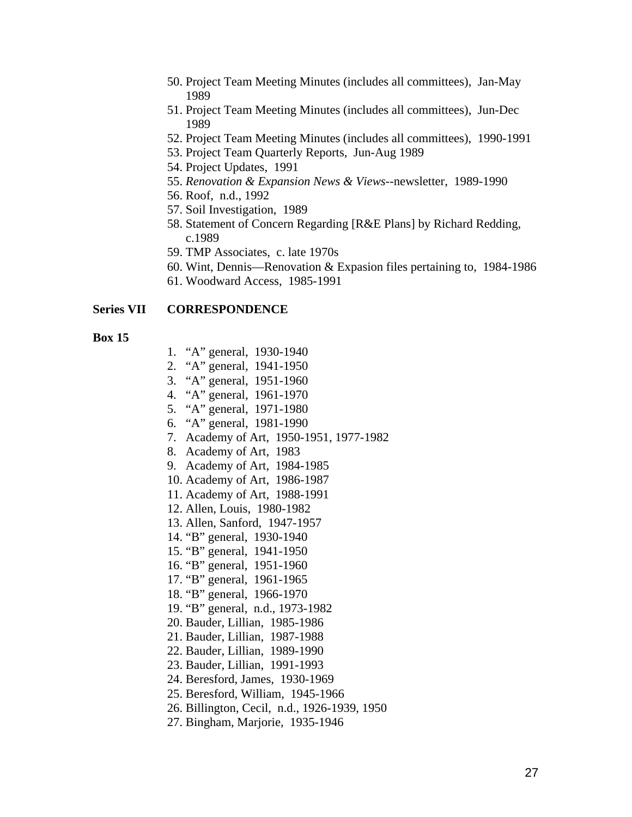- 50. Project Team Meeting Minutes (includes all committees), Jan-May 1989
- 51. Project Team Meeting Minutes (includes all committees), Jun-Dec 1989
- 52. Project Team Meeting Minutes (includes all committees), 1990-1991
- 53. Project Team Quarterly Reports, Jun-Aug 1989
- 54. Project Updates, 1991
- 55. *Renovation & Expansion News & Views*--newsletter, 1989-1990
- 56. Roof, n.d., 1992
- 57. Soil Investigation, 1989
- 58. Statement of Concern Regarding [R&E Plans] by Richard Redding, c.1989
- 59. TMP Associates, c. late 1970s
- 60. Wint, Dennis—Renovation & Expasion files pertaining to, 1984-1986
- 61. Woodward Access, 1985-1991

#### **Series VII CORRESPONDENCE**

- 1. "A" general, 1930-1940
- 2. "A" general, 1941-1950
- 3. "A" general, 1951-1960
- 4. "A" general, 1961-1970
- 5. "A" general, 1971-1980
- 6. "A" general, 1981-1990
- 7. Academy of Art, 1950-1951, 1977-1982
- 8. Academy of Art, 1983
- 9. Academy of Art, 1984-1985
- 10. Academy of Art, 1986-1987
- 11. Academy of Art, 1988-1991
- 12. Allen, Louis, 1980-1982
- 13. Allen, Sanford, 1947-1957
- 14. "B" general, 1930-1940
- 15. "B" general, 1941-1950
- 16. "B" general, 1951-1960
- 17. "B" general, 1961-1965
- 18. "B" general, 1966-1970
- 19. "B" general, n.d., 1973-1982
- 20. Bauder, Lillian, 1985-1986
- 21. Bauder, Lillian, 1987-1988
- 22. Bauder, Lillian, 1989-1990
- 23. Bauder, Lillian, 1991-1993
- 24. Beresford, James, 1930-1969
- 25. Beresford, William, 1945-1966
- 26. Billington, Cecil, n.d., 1926-1939, 1950
- 27. Bingham, Marjorie, 1935-1946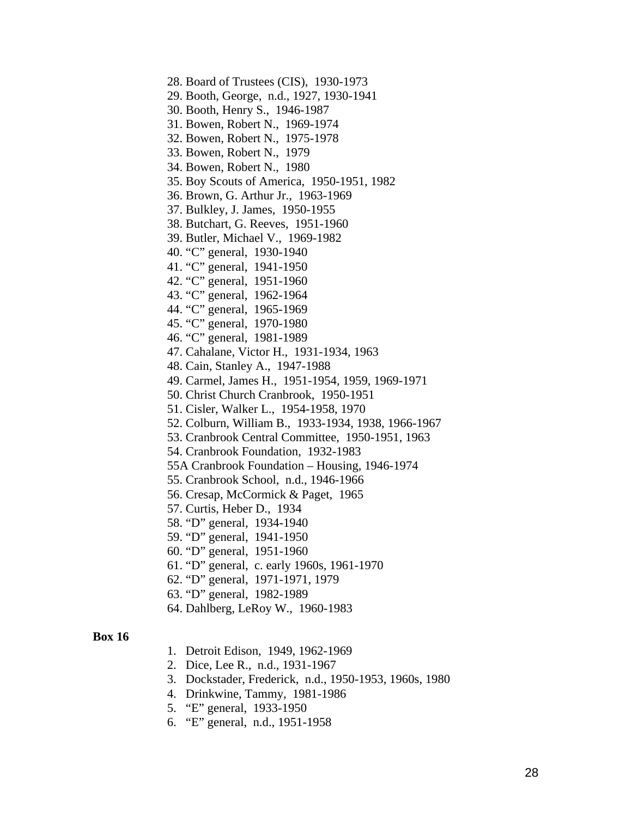28. Board of Trustees (CIS), 1930-1973

- 29. Booth, George, n.d., 1927, 1930-1941
- 30. Booth, Henry S., 1946-1987
- 31. Bowen, Robert N., 1969-1974
- 32. Bowen, Robert N., 1975-1978
- 33. Bowen, Robert N., 1979
- 34. Bowen, Robert N., 1980
- 35. Boy Scouts of America, 1950-1951, 1982
- 36. Brown, G. Arthur Jr., 1963-1969
- 37. Bulkley, J. James, 1950-1955
- 38. Butchart, G. Reeves, 1951-1960
- 39. Butler, Michael V., 1969-1982
- 40. "C" general, 1930-1940
- 41. "C" general, 1941-1950
- 42. "C" general, 1951-1960
- 43. "C" general, 1962-1964
- 44. "C" general, 1965-1969
- 45. "C" general, 1970-1980
- 46. "C" general, 1981-1989
- 47. Cahalane, Victor H., 1931-1934, 1963
- 48. Cain, Stanley A., 1947-1988
- 49. Carmel, James H., 1951-1954, 1959, 1969-1971
- 50. Christ Church Cranbrook, 1950-1951
- 51. Cisler, Walker L., 1954-1958, 1970
- 52. Colburn, William B., 1933-1934, 1938, 1966-1967
- 53. Cranbrook Central Committee, 1950-1951, 1963
- 54. Cranbrook Foundation, 1932-1983
- 55A Cranbrook Foundation Housing, 1946-1974
- 55. Cranbrook School, n.d., 1946-1966
- 56. Cresap, McCormick & Paget, 1965
- 57. Curtis, Heber D., 1934
- 58. "D" general, 1934-1940
- 59. "D" general, 1941-1950
- 60. "D" general, 1951-1960
- 61. "D" general, c. early 1960s, 1961-1970
- 62. "D" general, 1971-1971, 1979
- 63. "D" general, 1982-1989
- 64. Dahlberg, LeRoy W., 1960-1983

- 1. Detroit Edison, 1949, 1962-1969
- 2. Dice, Lee R., n.d., 1931-1967
- 3. Dockstader, Frederick, n.d., 1950-1953, 1960s, 1980
- 4. Drinkwine, Tammy, 1981-1986
- 5. "E" general, 1933-1950
- 6. "E" general, n.d., 1951-1958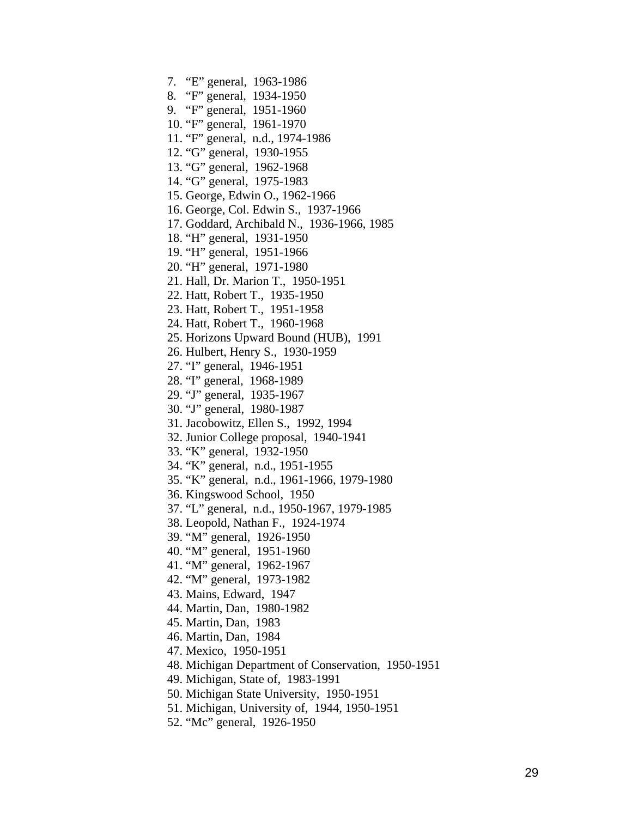7. "E" general, 1963-1986 8. "F" general, 1934-1950 9. "F" general, 1951-1960 10. "F" general, 1961-1970 11. "F" general, n.d., 1974-1986 12. "G" general, 1930-1955 13. "G" general, 1962-1968 14. "G" general, 1975-1983 15. George, Edwin O., 1962-1966 16. George, Col. Edwin S., 1937-1966 17. Goddard, Archibald N., 1936-1966, 1985 18. "H" general, 1931-1950 19. "H" general, 1951-1966 20. "H" general, 1971-1980 21. Hall, Dr. Marion T., 1950-1951 22. Hatt, Robert T., 1935-1950 23. Hatt, Robert T., 1951-1958 24. Hatt, Robert T., 1960-1968 25. Horizons Upward Bound (HUB), 1991 26. Hulbert, Henry S., 1930-1959 27. "I" general, 1946-1951 28. "I" general, 1968-1989 29. "J" general, 1935-1967 30. "J" general, 1980-1987 31. Jacobowitz, Ellen S., 1992, 1994 32. Junior College proposal, 1940-1941 33. "K" general, 1932-1950 34. "K" general, n.d., 1951-1955 35. "K" general, n.d., 1961-1966, 1979-1980 36. Kingswood School, 1950 37. "L" general, n.d., 1950-1967, 1979-1985 38. Leopold, Nathan F., 1924-1974 39. "M" general, 1926-1950 40. "M" general, 1951-1960 41. "M" general, 1962-1967 42. "M" general, 1973-1982 43. Mains, Edward, 1947 44. Martin, Dan, 1980-1982 45. Martin, Dan, 1983 46. Martin, Dan, 1984 47. Mexico, 1950-1951 48. Michigan Department of Conservation, 1950-1951 49. Michigan, State of, 1983-1991 50. Michigan State University, 1950-1951 51. Michigan, University of, 1944, 1950-1951 52. "Mc" general, 1926-1950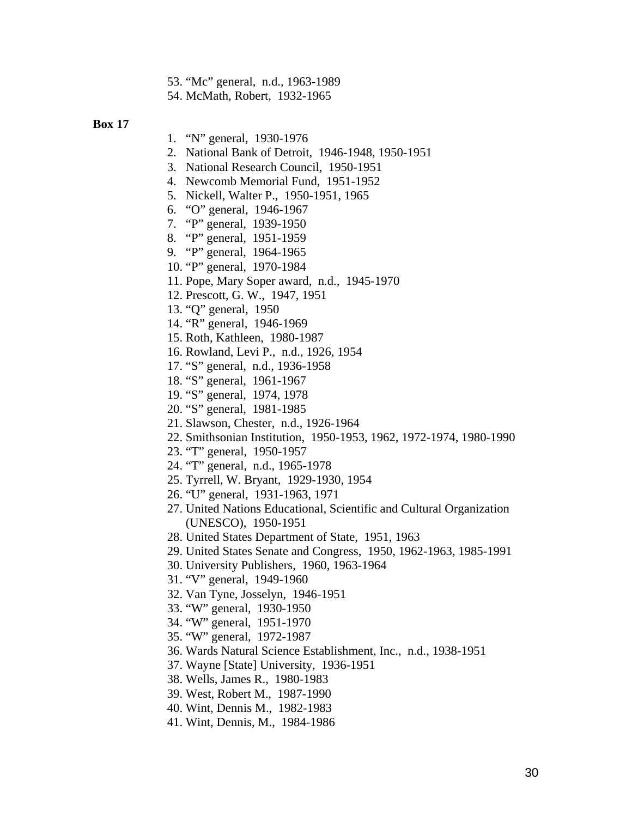- 53. "Mc" general, n.d., 1963-1989
- 54. McMath, Robert, 1932-1965

- 1. "N" general, 1930-1976
- 2. National Bank of Detroit, 1946-1948, 1950-1951
- 3. National Research Council, 1950-1951
- 4. Newcomb Memorial Fund, 1951-1952
- 5. Nickell, Walter P., 1950-1951, 1965
- 6. "O" general, 1946-1967
- 7. "P" general, 1939-1950
- 8. "P" general, 1951-1959
- 9. "P" general, 1964-1965
- 10. "P" general, 1970-1984
- 11. Pope, Mary Soper award, n.d., 1945-1970
- 12. Prescott, G. W., 1947, 1951
- 13. "Q" general, 1950
- 14. "R" general, 1946-1969
- 15. Roth, Kathleen, 1980-1987
- 16. Rowland, Levi P., n.d., 1926, 1954
- 17. "S" general, n.d., 1936-1958
- 18. "S" general, 1961-1967
- 19. "S" general, 1974, 1978
- 20. "S" general, 1981-1985
- 21. Slawson, Chester, n.d., 1926-1964
- 22. Smithsonian Institution, 1950-1953, 1962, 1972-1974, 1980-1990
- 23. "T" general, 1950-1957
- 24. "T" general, n.d., 1965-1978
- 25. Tyrrell, W. Bryant, 1929-1930, 1954
- 26. "U" general, 1931-1963, 1971
- 27. United Nations Educational, Scientific and Cultural Organization (UNESCO), 1950-1951
- 28. United States Department of State, 1951, 1963
- 29. United States Senate and Congress, 1950, 1962-1963, 1985-1991
- 30. University Publishers, 1960, 1963-1964
- 31. "V" general, 1949-1960
- 32. Van Tyne, Josselyn, 1946-1951
- 33. "W" general, 1930-1950
- 34. "W" general, 1951-1970
- 35. "W" general, 1972-1987
- 36. Wards Natural Science Establishment, Inc., n.d., 1938-1951
- 37. Wayne [State] University, 1936-1951
- 38. Wells, James R., 1980-1983
- 39. West, Robert M., 1987-1990
- 40. Wint, Dennis M., 1982-1983
- 41. Wint, Dennis, M., 1984-1986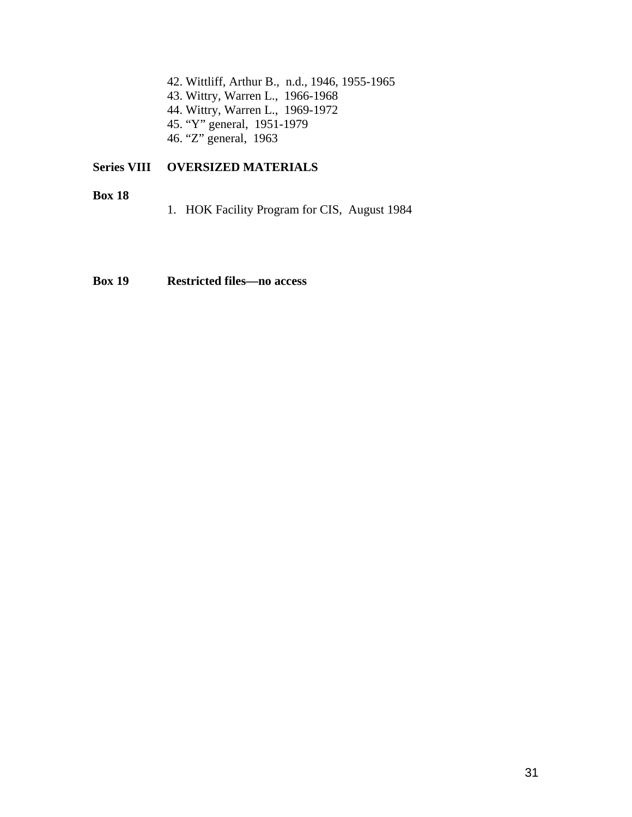42. Wittliff, Arthur B., n.d., 1946, 1955-1965 43. Wittry, Warren L., 1966-1968 44. Wittry, Warren L., 1969-1972 45. "Y" general, 1951-1979 46. "Z" general, 1963

## **Series VIII OVERSIZED MATERIALS**

**Box 18** 

1. HOK Facility Program for CIS, August 1984

## **Box 19 Restricted files—no access**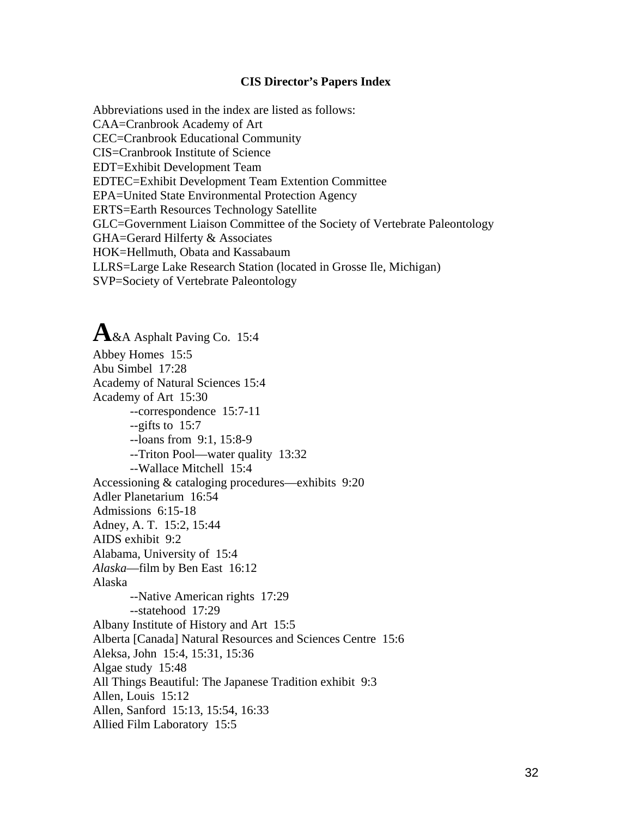#### **CIS Director's Papers Index**

Abbreviations used in the index are listed as follows: CAA=Cranbrook Academy of Art CEC=Cranbrook Educational Community CIS=Cranbrook Institute of Science EDT=Exhibit Development Team EDTEC=Exhibit Development Team Extention Committee EPA=United State Environmental Protection Agency ERTS=Earth Resources Technology Satellite GLC=Government Liaison Committee of the Society of Vertebrate Paleontology GHA=Gerard Hilferty & Associates HOK=Hellmuth, Obata and Kassabaum LLRS=Large Lake Research Station (located in Grosse Ile, Michigan) SVP=Society of Vertebrate Paleontology

**A**&A Asphalt Paving Co. 15:4 Abbey Homes 15:5 Abu Simbel 17:28 Academy of Natural Sciences 15:4 Academy of Art 15:30 --correspondence 15:7-11 --gifts to 15:7 --loans from 9:1, 15:8-9 --Triton Pool—water quality 13:32 --Wallace Mitchell 15:4 Accessioning & cataloging procedures—exhibits 9:20 Adler Planetarium 16:54 Admissions 6:15-18 Adney, A. T. 15:2, 15:44 AIDS exhibit 9:2 Alabama, University of 15:4 *Alaska*—film by Ben East 16:12 Alaska --Native American rights 17:29 --statehood 17:29 Albany Institute of History and Art 15:5 Alberta [Canada] Natural Resources and Sciences Centre 15:6 Aleksa, John 15:4, 15:31, 15:36 Algae study 15:48 All Things Beautiful: The Japanese Tradition exhibit 9:3 Allen, Louis 15:12 Allen, Sanford 15:13, 15:54, 16:33 Allied Film Laboratory 15:5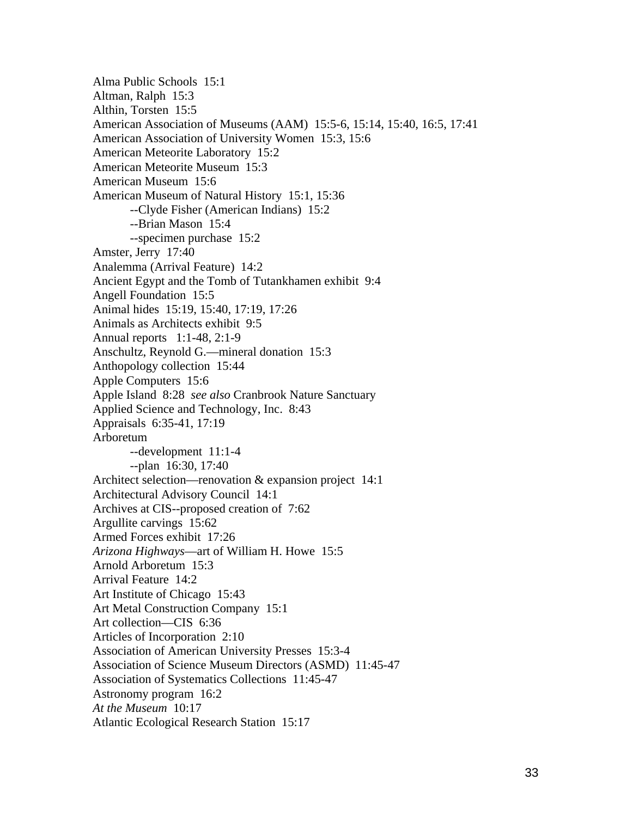Alma Public Schools 15:1 Altman, Ralph 15:3 Althin, Torsten 15:5 American Association of Museums (AAM) 15:5-6, 15:14, 15:40, 16:5, 17:41 American Association of University Women 15:3, 15:6 American Meteorite Laboratory 15:2 American Meteorite Museum 15:3 American Museum 15:6 American Museum of Natural History 15:1, 15:36 --Clyde Fisher (American Indians) 15:2 --Brian Mason 15:4 --specimen purchase 15:2 Amster, Jerry 17:40 Analemma (Arrival Feature) 14:2 Ancient Egypt and the Tomb of Tutankhamen exhibit 9:4 Angell Foundation 15:5 Animal hides 15:19, 15:40, 17:19, 17:26 Animals as Architects exhibit 9:5 Annual reports 1:1-48, 2:1-9 Anschultz, Reynold G.—mineral donation 15:3 Anthopology collection 15:44 Apple Computers 15:6 Apple Island 8:28 *see also* Cranbrook Nature Sanctuary Applied Science and Technology, Inc. 8:43 Appraisals 6:35-41, 17:19 Arboretum --development 11:1-4 --plan 16:30, 17:40 Architect selection—renovation & expansion project 14:1 Architectural Advisory Council 14:1 Archives at CIS--proposed creation of 7:62 Argullite carvings 15:62 Armed Forces exhibit 17:26 *Arizona Highways*—art of William H. Howe 15:5 Arnold Arboretum 15:3 Arrival Feature 14:2 Art Institute of Chicago 15:43 Art Metal Construction Company 15:1 Art collection—CIS 6:36 Articles of Incorporation 2:10 Association of American University Presses 15:3-4 Association of Science Museum Directors (ASMD) 11:45-47 Association of Systematics Collections 11:45-47 Astronomy program 16:2 *At the Museum* 10:17 Atlantic Ecological Research Station 15:17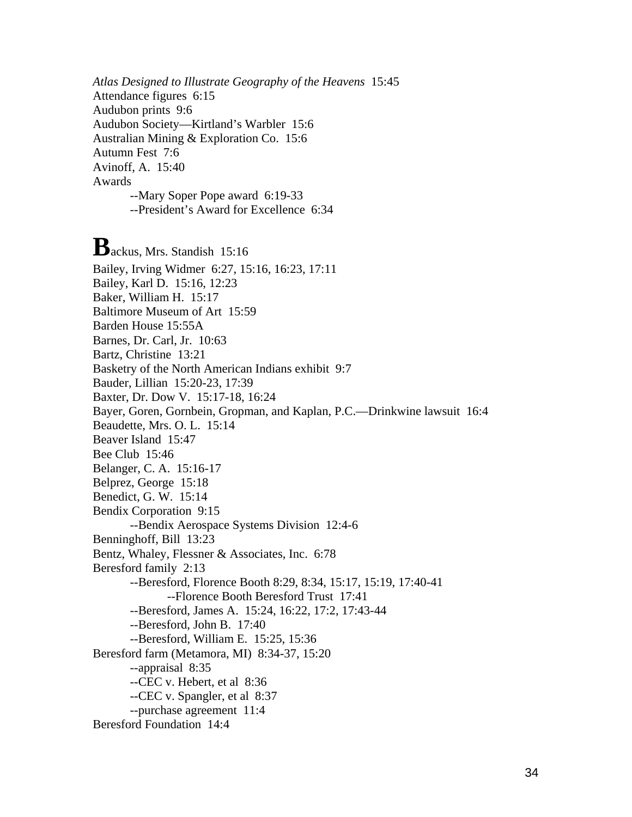*Atlas Designed to Illustrate Geography of the Heavens* 15:45 Attendance figures 6:15 Audubon prints 9:6 Audubon Society—Kirtland's Warbler 15:6 Australian Mining & Exploration Co. 15:6 Autumn Fest 7:6 Avinoff, A. 15:40 Awards --Mary Soper Pope award 6:19-33 --President's Award for Excellence 6:34

**B**ackus, Mrs. Standish 15:16 Bailey, Irving Widmer 6:27, 15:16, 16:23, 17:11 Bailey, Karl D. 15:16, 12:23 Baker, William H. 15:17 Baltimore Museum of Art 15:59 Barden House 15:55A Barnes, Dr. Carl, Jr. 10:63 Bartz, Christine 13:21 Basketry of the North American Indians exhibit 9:7 Bauder, Lillian 15:20-23, 17:39 Baxter, Dr. Dow V. 15:17-18, 16:24 Bayer, Goren, Gornbein, Gropman, and Kaplan, P.C.—Drinkwine lawsuit 16:4 Beaudette, Mrs. O. L. 15:14 Beaver Island 15:47 Bee Club 15:46 Belanger, C. A. 15:16-17 Belprez, George 15:18 Benedict, G. W. 15:14 Bendix Corporation 9:15 --Bendix Aerospace Systems Division 12:4-6 Benninghoff, Bill 13:23 Bentz, Whaley, Flessner & Associates, Inc. 6:78 Beresford family 2:13 --Beresford, Florence Booth 8:29, 8:34, 15:17, 15:19, 17:40-41 --Florence Booth Beresford Trust 17:41 --Beresford, James A. 15:24, 16:22, 17:2, 17:43-44 --Beresford, John B. 17:40 --Beresford, William E. 15:25, 15:36 Beresford farm (Metamora, MI) 8:34-37, 15:20 --appraisal 8:35 --CEC v. Hebert, et al 8:36 --CEC v. Spangler, et al 8:37 --purchase agreement 11:4 Beresford Foundation 14:4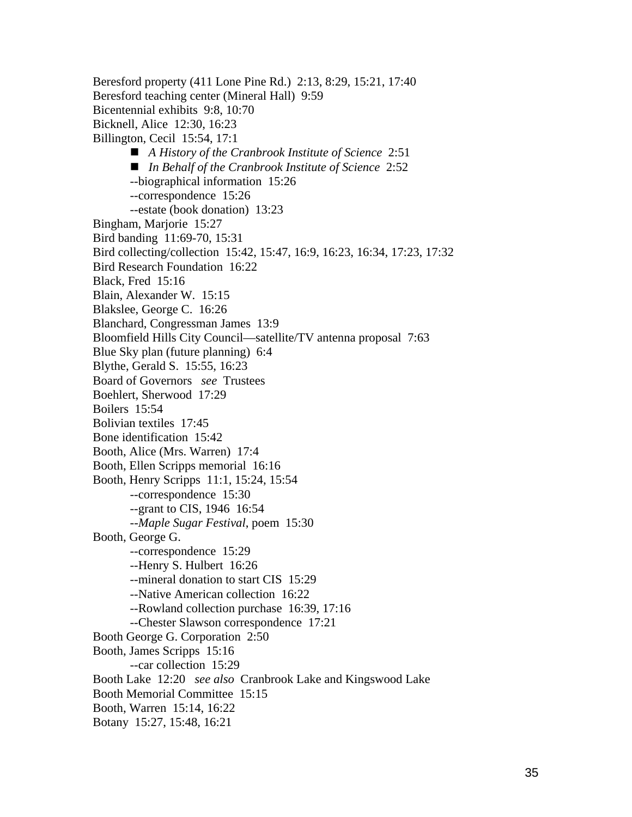Beresford property (411 Lone Pine Rd.) 2:13, 8:29, 15:21, 17:40 Beresford teaching center (Mineral Hall) 9:59 Bicentennial exhibits 9:8, 10:70 Bicknell, Alice 12:30, 16:23 Billington, Cecil 15:54, 17:1 *A History of the Cranbrook Institute of Science* 2:51 ■ *In Behalf of the Cranbrook Institute of Science* 2:52 --biographical information 15:26 --correspondence 15:26 --estate (book donation) 13:23 Bingham, Marjorie 15:27 Bird banding 11:69-70, 15:31 Bird collecting/collection 15:42, 15:47, 16:9, 16:23, 16:34, 17:23, 17:32 Bird Research Foundation 16:22 Black, Fred 15:16 Blain, Alexander W. 15:15 Blakslee, George C. 16:26 Blanchard, Congressman James 13:9 Bloomfield Hills City Council—satellite/TV antenna proposal 7:63 Blue Sky plan (future planning) 6:4 Blythe, Gerald S. 15:55, 16:23 Board of Governors *see* Trustees Boehlert, Sherwood 17:29 Boilers 15:54 Bolivian textiles 17:45 Bone identification 15:42 Booth, Alice (Mrs. Warren) 17:4 Booth, Ellen Scripps memorial 16:16 Booth, Henry Scripps 11:1, 15:24, 15:54 --correspondence 15:30 --grant to CIS, 1946 16:54 --*Maple Sugar Festival*, poem 15:30 Booth, George G. --correspondence 15:29 --Henry S. Hulbert 16:26 --mineral donation to start CIS 15:29 --Native American collection 16:22 --Rowland collection purchase 16:39, 17:16 --Chester Slawson correspondence 17:21 Booth George G. Corporation 2:50 Booth, James Scripps 15:16 --car collection 15:29 Booth Lake 12:20 *see also* Cranbrook Lake and Kingswood Lake Booth Memorial Committee 15:15 Booth, Warren 15:14, 16:22 Botany 15:27, 15:48, 16:21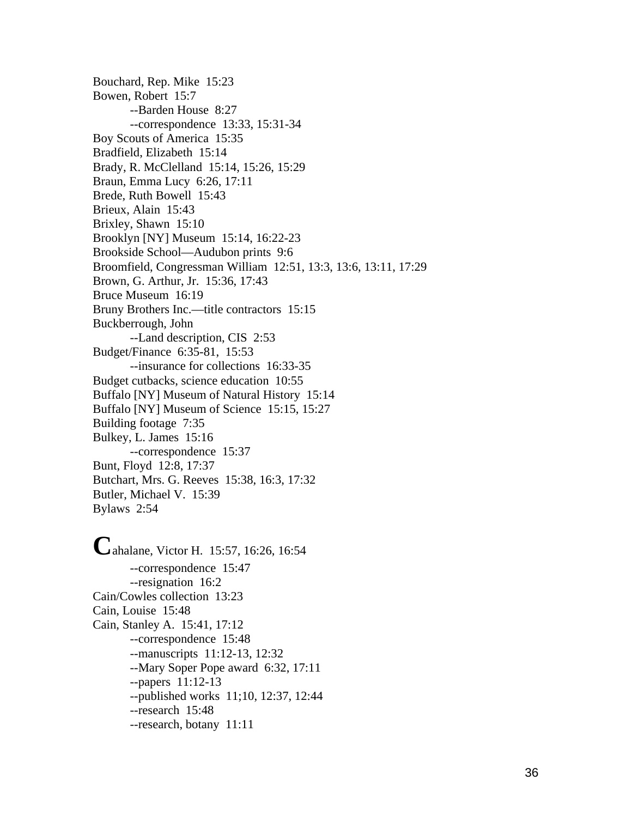Bouchard, Rep. Mike 15:23 Bowen, Robert 15:7 --Barden House 8:27 --correspondence 13:33, 15:31-34 Boy Scouts of America 15:35 Bradfield, Elizabeth 15:14 Brady, R. McClelland 15:14, 15:26, 15:29 Braun, Emma Lucy 6:26, 17:11 Brede, Ruth Bowell 15:43 Brieux, Alain 15:43 Brixley, Shawn 15:10 Brooklyn [NY] Museum 15:14, 16:22-23 Brookside School—Audubon prints 9:6 Broomfield, Congressman William 12:51, 13:3, 13:6, 13:11, 17:29 Brown, G. Arthur, Jr. 15:36, 17:43 Bruce Museum 16:19 Bruny Brothers Inc.—title contractors 15:15 Buckberrough, John --Land description, CIS 2:53 Budget/Finance 6:35-81, 15:53 --insurance for collections 16:33-35 Budget cutbacks, science education 10:55 Buffalo [NY] Museum of Natural History 15:14 Buffalo [NY] Museum of Science 15:15, 15:27 Building footage 7:35 Bulkey, L. James 15:16 --correspondence 15:37 Bunt, Floyd 12:8, 17:37 Butchart, Mrs. G. Reeves 15:38, 16:3, 17:32 Butler, Michael V. 15:39 Bylaws 2:54

**C**ahalane, Victor H. 15:57, 16:26, 16:54 --correspondence 15:47 --resignation 16:2 Cain/Cowles collection 13:23 Cain, Louise 15:48 Cain, Stanley A. 15:41, 17:12 --correspondence 15:48 --manuscripts 11:12-13, 12:32 --Mary Soper Pope award 6:32, 17:11 --papers 11:12-13 --published works 11;10, 12:37, 12:44 --research 15:48 --research, botany 11:11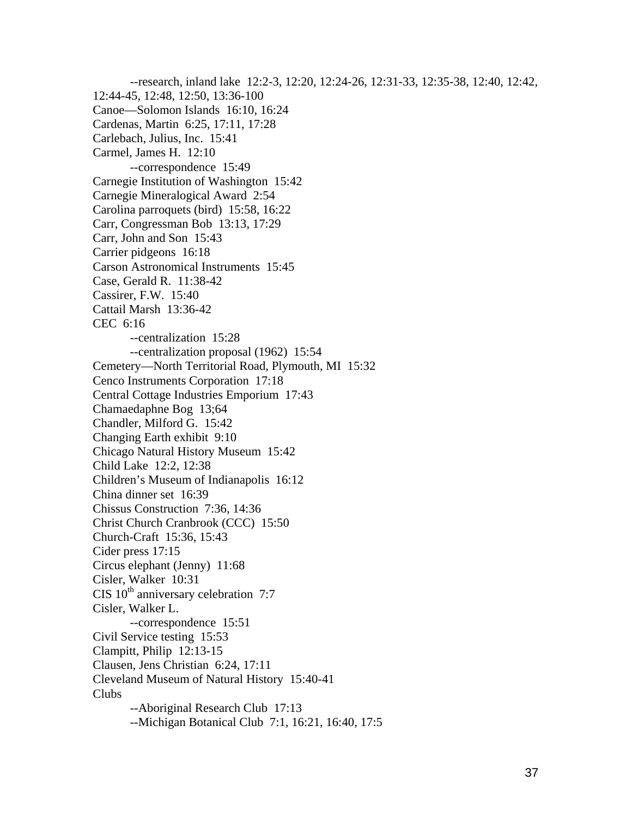--research, inland lake 12:2-3, 12:20, 12:24-26, 12:31-33, 12:35-38, 12:40, 12:42, 12:44-45, 12:48, 12:50, 13:36-100 Canoe—Solomon Islands 16:10, 16:24 Cardenas, Martin 6:25, 17:11, 17:28 Carlebach, Julius, Inc. 15:41 Carmel, James H. 12:10 --correspondence 15:49 Carnegie Institution of Washington 15:42 Carnegie Mineralogical Award 2:54 Carolina parroquets (bird) 15:58, 16:22 Carr, Congressman Bob 13:13, 17:29 Carr, John and Son 15:43 Carrier pidgeons 16:18 Carson Astronomical Instruments 15:45 Case, Gerald R. 11:38-42 Cassirer, F.W. 15:40 Cattail Marsh 13:36-42 CEC 6:16 --centralization 15:28 --centralization proposal (1962) 15:54 Cemetery—North Territorial Road, Plymouth, MI 15:32 Cenco Instruments Corporation 17:18 Central Cottage Industries Emporium 17:43 Chamaedaphne Bog 13;64 Chandler, Milford G. 15:42 Changing Earth exhibit 9:10 Chicago Natural History Museum 15:42 Child Lake 12:2, 12:38 Children's Museum of Indianapolis 16:12 China dinner set 16:39 Chissus Construction 7:36, 14:36 Christ Church Cranbrook (CCC) 15:50 Church-Craft 15:36, 15:43 Cider press 17:15 Circus elephant (Jenny) 11:68 Cisler, Walker 10:31 CIS  $10^{th}$  anniversary celebration 7:7 Cisler, Walker L. --correspondence 15:51 Civil Service testing 15:53 Clampitt, Philip 12:13-15 Clausen, Jens Christian 6:24, 17:11 Cleveland Museum of Natural History 15:40-41 Clubs --Aboriginal Research Club 17:13 --Michigan Botanical Club 7:1, 16:21, 16:40, 17:5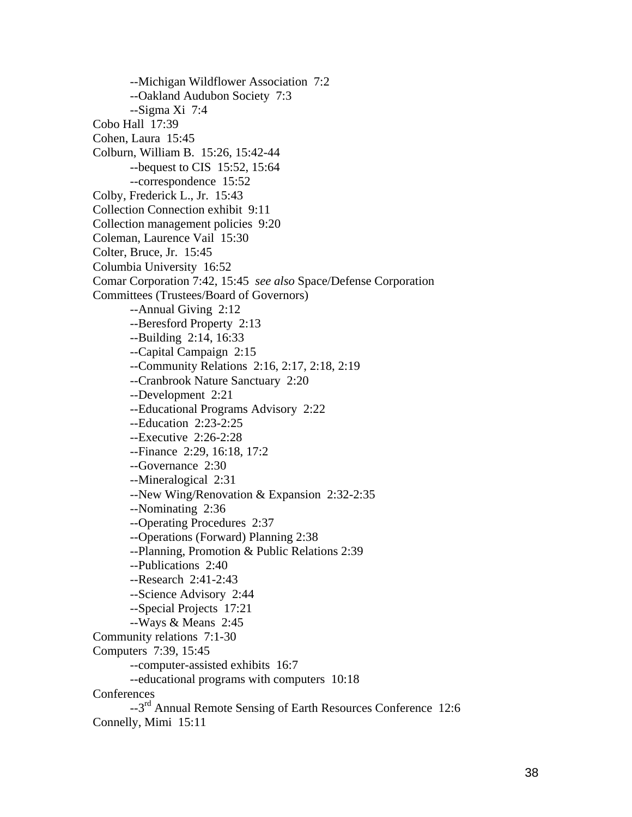--Michigan Wildflower Association 7:2 --Oakland Audubon Society 7:3 --Sigma Xi 7:4 Cobo Hall 17:39 Cohen, Laura 15:45 Colburn, William B. 15:26, 15:42-44 --bequest to CIS 15:52, 15:64 --correspondence 15:52 Colby, Frederick L., Jr. 15:43 Collection Connection exhibit 9:11 Collection management policies 9:20 Coleman, Laurence Vail 15:30 Colter, Bruce, Jr. 15:45 Columbia University 16:52 Comar Corporation 7:42, 15:45 *see also* Space/Defense Corporation Committees (Trustees/Board of Governors) --Annual Giving 2:12 --Beresford Property 2:13 --Building 2:14, 16:33 --Capital Campaign 2:15 --Community Relations 2:16, 2:17, 2:18, 2:19 --Cranbrook Nature Sanctuary 2:20 --Development 2:21 --Educational Programs Advisory 2:22 --Education 2:23-2:25 --Executive 2:26-2:28 --Finance 2:29, 16:18, 17:2 --Governance 2:30 --Mineralogical 2:31 --New Wing/Renovation & Expansion 2:32-2:35 --Nominating 2:36 --Operating Procedures 2:37 --Operations (Forward) Planning 2:38 --Planning, Promotion & Public Relations 2:39 --Publications 2:40 --Research 2:41-2:43 --Science Advisory 2:44 --Special Projects 17:21 --Ways & Means 2:45 Community relations 7:1-30 Computers 7:39, 15:45 --computer-assisted exhibits 16:7 --educational programs with computers 10:18 **Conferences** --3rd Annual Remote Sensing of Earth Resources Conference 12:6

Connelly, Mimi 15:11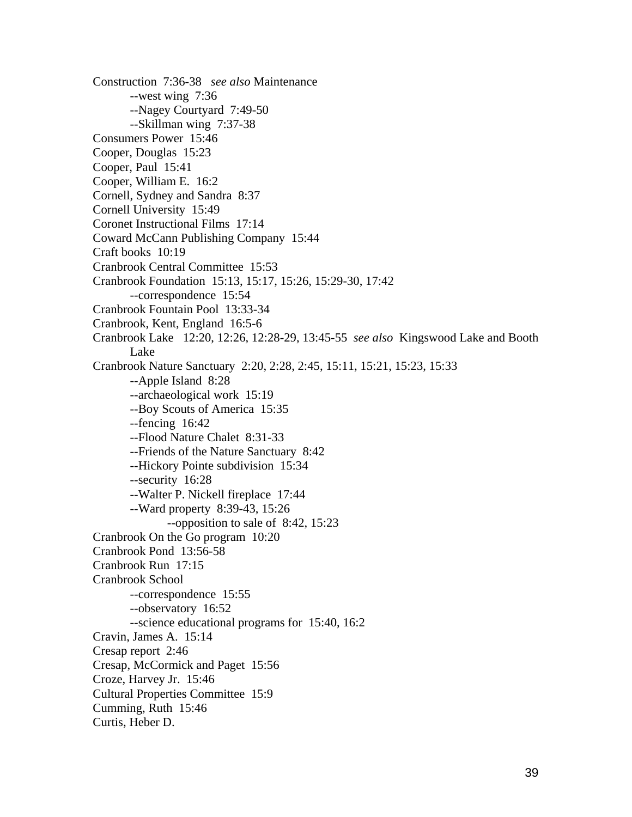Construction 7:36-38 *see also* Maintenance --west wing 7:36 --Nagey Courtyard 7:49-50 --Skillman wing 7:37-38 Consumers Power 15:46 Cooper, Douglas 15:23 Cooper, Paul 15:41 Cooper, William E. 16:2 Cornell, Sydney and Sandra 8:37 Cornell University 15:49 Coronet Instructional Films 17:14 Coward McCann Publishing Company 15:44 Craft books 10:19 Cranbrook Central Committee 15:53 Cranbrook Foundation 15:13, 15:17, 15:26, 15:29-30, 17:42 --correspondence 15:54 Cranbrook Fountain Pool 13:33-34 Cranbrook, Kent, England 16:5-6 Cranbrook Lake 12:20, 12:26, 12:28-29, 13:45-55 *see also* Kingswood Lake and Booth Lake Cranbrook Nature Sanctuary 2:20, 2:28, 2:45, 15:11, 15:21, 15:23, 15:33 --Apple Island 8:28 --archaeological work 15:19 --Boy Scouts of America 15:35 --fencing 16:42 --Flood Nature Chalet 8:31-33 --Friends of the Nature Sanctuary 8:42 --Hickory Pointe subdivision 15:34 --security 16:28 --Walter P. Nickell fireplace 17:44 --Ward property 8:39-43, 15:26 --opposition to sale of 8:42, 15:23 Cranbrook On the Go program 10:20 Cranbrook Pond 13:56-58 Cranbrook Run 17:15 Cranbrook School --correspondence 15:55 --observatory 16:52 --science educational programs for 15:40, 16:2 Cravin, James A. 15:14 Cresap report 2:46 Cresap, McCormick and Paget 15:56 Croze, Harvey Jr. 15:46 Cultural Properties Committee 15:9 Cumming, Ruth 15:46 Curtis, Heber D.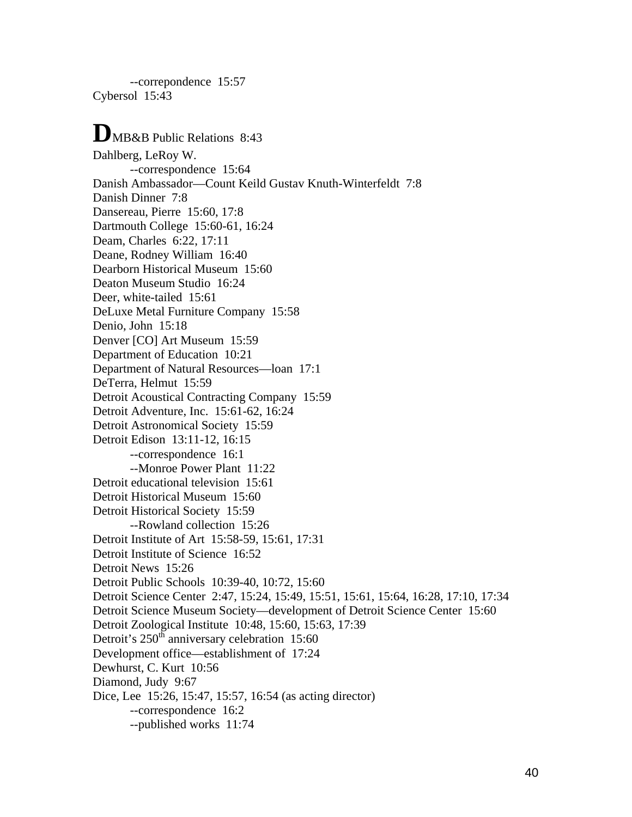--correpondence 15:57 Cybersol 15:43

# **D**MB&B Public Relations 8:43

Dahlberg, LeRoy W. --correspondence 15:64 Danish Ambassador—Count Keild Gustav Knuth-Winterfeldt 7:8 Danish Dinner 7:8 Dansereau, Pierre 15:60, 17:8 Dartmouth College 15:60-61, 16:24 Deam, Charles 6:22, 17:11 Deane, Rodney William 16:40 Dearborn Historical Museum 15:60 Deaton Museum Studio 16:24 Deer, white-tailed 15:61 DeLuxe Metal Furniture Company 15:58 Denio, John 15:18 Denver [CO] Art Museum 15:59 Department of Education 10:21 Department of Natural Resources—loan 17:1 DeTerra, Helmut 15:59 Detroit Acoustical Contracting Company 15:59 Detroit Adventure, Inc. 15:61-62, 16:24 Detroit Astronomical Society 15:59 Detroit Edison 13:11-12, 16:15 --correspondence 16:1 --Monroe Power Plant 11:22 Detroit educational television 15:61 Detroit Historical Museum 15:60 Detroit Historical Society 15:59 --Rowland collection 15:26 Detroit Institute of Art 15:58-59, 15:61, 17:31 Detroit Institute of Science 16:52 Detroit News 15:26 Detroit Public Schools 10:39-40, 10:72, 15:60 Detroit Science Center 2:47, 15:24, 15:49, 15:51, 15:61, 15:64, 16:28, 17:10, 17:34 Detroit Science Museum Society—development of Detroit Science Center 15:60 Detroit Zoological Institute 10:48, 15:60, 15:63, 17:39 Detroit's  $250<sup>th</sup>$  anniversary celebration 15:60 Development office—establishment of 17:24 Dewhurst, C. Kurt 10:56 Diamond, Judy 9:67 Dice, Lee 15:26, 15:47, 15:57, 16:54 (as acting director) --correspondence 16:2 --published works 11:74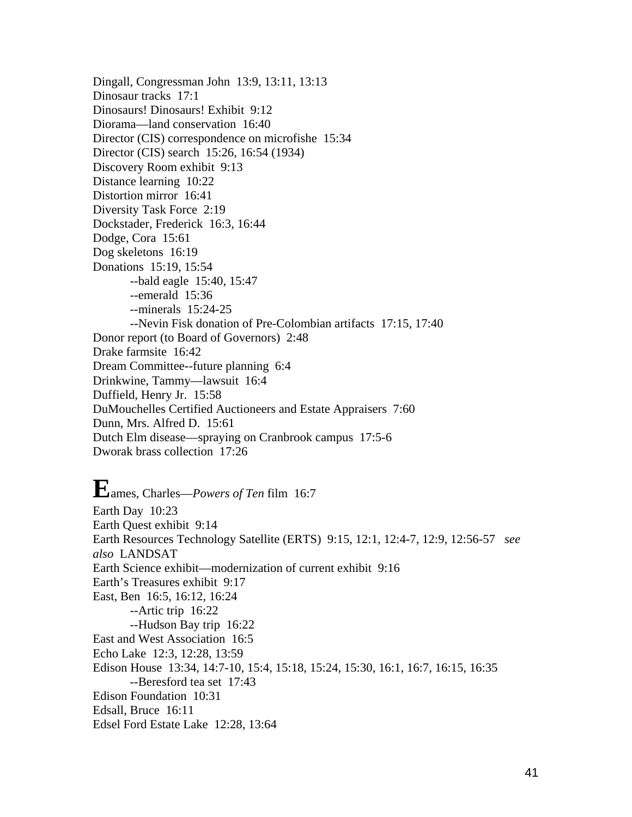Dingall, Congressman John 13:9, 13:11, 13:13 Dinosaur tracks 17:1 Dinosaurs! Dinosaurs! Exhibit 9:12 Diorama—land conservation 16:40 Director (CIS) correspondence on microfishe 15:34 Director (CIS) search 15:26, 16:54 (1934) Discovery Room exhibit 9:13 Distance learning 10:22 Distortion mirror 16:41 Diversity Task Force 2:19 Dockstader, Frederick 16:3, 16:44 Dodge, Cora 15:61 Dog skeletons 16:19 Donations 15:19, 15:54 --bald eagle 15:40, 15:47 --emerald 15:36 --minerals 15:24-25 --Nevin Fisk donation of Pre-Colombian artifacts 17:15, 17:40 Donor report (to Board of Governors) 2:48 Drake farmsite 16:42 Dream Committee--future planning 6:4 Drinkwine, Tammy—lawsuit 16:4 Duffield, Henry Jr. 15:58 DuMouchelles Certified Auctioneers and Estate Appraisers 7:60 Dunn, Mrs. Alfred D. 15:61 Dutch Elm disease—spraying on Cranbrook campus 17:5-6 Dworak brass collection 17:26

**E**ames, Charles—*Powers of Ten* film 16:7 Earth Day 10:23 Earth Quest exhibit 9:14 Earth Resources Technology Satellite (ERTS) 9:15, 12:1, 12:4-7, 12:9, 12:56-57 *see also* LANDSAT Earth Science exhibit—modernization of current exhibit 9:16 Earth's Treasures exhibit 9:17 East, Ben 16:5, 16:12, 16:24 --Artic trip 16:22 --Hudson Bay trip 16:22 East and West Association 16:5 Echo Lake 12:3, 12:28, 13:59 Edison House 13:34, 14:7-10, 15:4, 15:18, 15:24, 15:30, 16:1, 16:7, 16:15, 16:35 --Beresford tea set 17:43 Edison Foundation 10:31 Edsall, Bruce 16:11 Edsel Ford Estate Lake 12:28, 13:64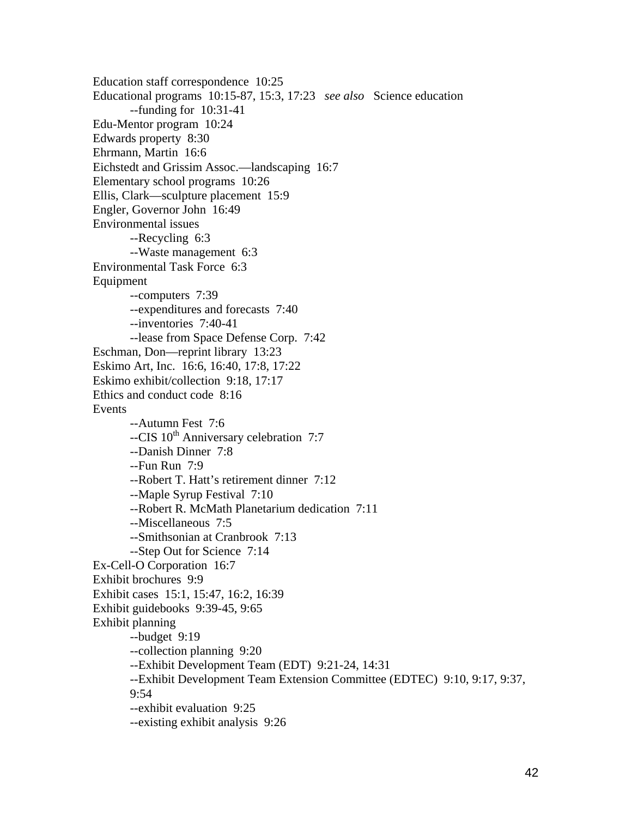Education staff correspondence 10:25 Educational programs 10:15-87, 15:3, 17:23 *see also* Science education --funding for 10:31-41 Edu-Mentor program 10:24 Edwards property 8:30 Ehrmann, Martin 16:6 Eichstedt and Grissim Assoc.—landscaping 16:7 Elementary school programs 10:26 Ellis, Clark—sculpture placement 15:9 Engler, Governor John 16:49 Environmental issues --Recycling 6:3 --Waste management 6:3 Environmental Task Force 6:3 Equipment --computers 7:39 --expenditures and forecasts 7:40 --inventories 7:40-41 --lease from Space Defense Corp. 7:42 Eschman, Don—reprint library 13:23 Eskimo Art, Inc. 16:6, 16:40, 17:8, 17:22 Eskimo exhibit/collection 9:18, 17:17 Ethics and conduct code 8:16 Events --Autumn Fest 7:6 --CIS 10<sup>th</sup> Anniversary celebration 7:7 --Danish Dinner 7:8 --Fun Run 7:9 --Robert T. Hatt's retirement dinner 7:12 --Maple Syrup Festival 7:10 --Robert R. McMath Planetarium dedication 7:11 --Miscellaneous 7:5 --Smithsonian at Cranbrook 7:13 --Step Out for Science 7:14 Ex-Cell-O Corporation 16:7 Exhibit brochures 9:9 Exhibit cases 15:1, 15:47, 16:2, 16:39 Exhibit guidebooks 9:39-45, 9:65 Exhibit planning --budget 9:19 --collection planning 9:20 --Exhibit Development Team (EDT) 9:21-24, 14:31 --Exhibit Development Team Extension Committee (EDTEC) 9:10, 9:17, 9:37, 9:54 --exhibit evaluation 9:25 --existing exhibit analysis 9:26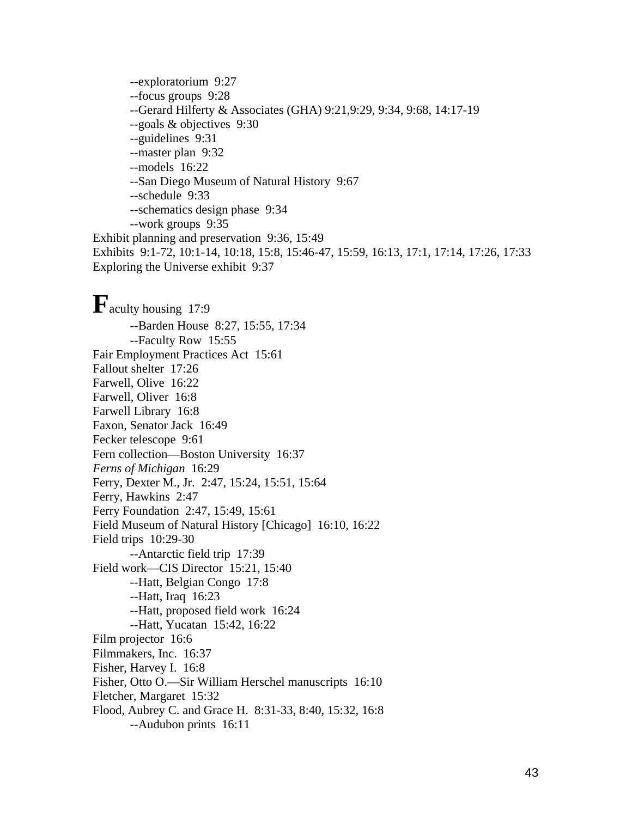--exploratorium 9:27 --focus groups 9:28 --Gerard Hilferty & Associates (GHA) 9:21,9:29, 9:34, 9:68, 14:17-19 --goals & objectives 9:30 --guidelines 9:31 --master plan 9:32 --models 16:22 --San Diego Museum of Natural History 9:67 --schedule 9:33 --schematics design phase 9:34 --work groups 9:35 Exhibit planning and preservation 9:36, 15:49 Exhibits 9:1-72, 10:1-14, 10:18, 15:8, 15:46-47, 15:59, 16:13, 17:1, 17:14, 17:26, 17:33 Exploring the Universe exhibit 9:37

**F**aculty housing 17:9 --Barden House 8:27, 15:55, 17:34 --Faculty Row 15:55 Fair Employment Practices Act 15:61 Fallout shelter 17:26 Farwell, Olive 16:22 Farwell, Oliver 16:8 Farwell Library 16:8 Faxon, Senator Jack 16:49 Fecker telescope 9:61 Fern collection—Boston University 16:37 *Ferns of Michigan* 16:29 Ferry, Dexter M., Jr. 2:47, 15:24, 15:51, 15:64 Ferry, Hawkins 2:47 Ferry Foundation 2:47, 15:49, 15:61 Field Museum of Natural History [Chicago] 16:10, 16:22 Field trips 10:29-30 --Antarctic field trip 17:39 Field work—CIS Director 15:21, 15:40 --Hatt, Belgian Congo 17:8 --Hatt, Iraq 16:23 --Hatt, proposed field work 16:24 --Hatt, Yucatan 15:42, 16:22 Film projector 16:6 Filmmakers, Inc. 16:37 Fisher, Harvey I. 16:8 Fisher, Otto O.—Sir William Herschel manuscripts 16:10 Fletcher, Margaret 15:32 Flood, Aubrey C. and Grace H. 8:31-33, 8:40, 15:32, 16:8 --Audubon prints 16:11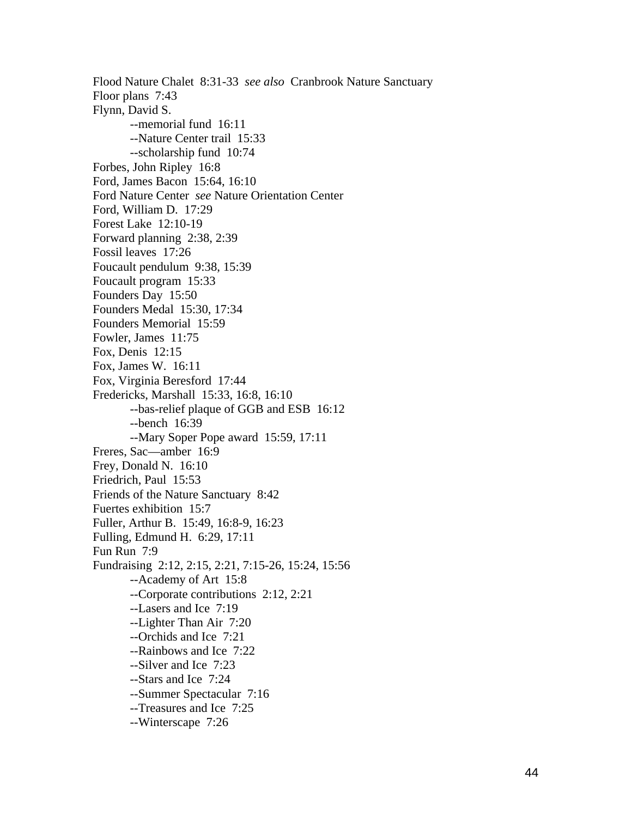Flood Nature Chalet 8:31-33 *see also* Cranbrook Nature Sanctuary Floor plans 7:43 Flynn, David S. --memorial fund 16:11 --Nature Center trail 15:33 --scholarship fund 10:74 Forbes, John Ripley 16:8 Ford, James Bacon 15:64, 16:10 Ford Nature Center *see* Nature Orientation Center Ford, William D. 17:29 Forest Lake 12:10-19 Forward planning 2:38, 2:39 Fossil leaves 17:26 Foucault pendulum 9:38, 15:39 Foucault program 15:33 Founders Day 15:50 Founders Medal 15:30, 17:34 Founders Memorial 15:59 Fowler, James 11:75 Fox, Denis 12:15 Fox, James W. 16:11 Fox, Virginia Beresford 17:44 Fredericks, Marshall 15:33, 16:8, 16:10 --bas-relief plaque of GGB and ESB 16:12 --bench 16:39 --Mary Soper Pope award 15:59, 17:11 Freres, Sac—amber 16:9 Frey, Donald N. 16:10 Friedrich, Paul 15:53 Friends of the Nature Sanctuary 8:42 Fuertes exhibition 15:7 Fuller, Arthur B. 15:49, 16:8-9, 16:23 Fulling, Edmund H. 6:29, 17:11 Fun Run 7:9 Fundraising 2:12, 2:15, 2:21, 7:15-26, 15:24, 15:56 --Academy of Art 15:8 --Corporate contributions 2:12, 2:21 --Lasers and Ice 7:19 --Lighter Than Air 7:20 --Orchids and Ice 7:21 --Rainbows and Ice 7:22 --Silver and Ice 7:23 --Stars and Ice 7:24 --Summer Spectacular 7:16 --Treasures and Ice 7:25 --Winterscape 7:26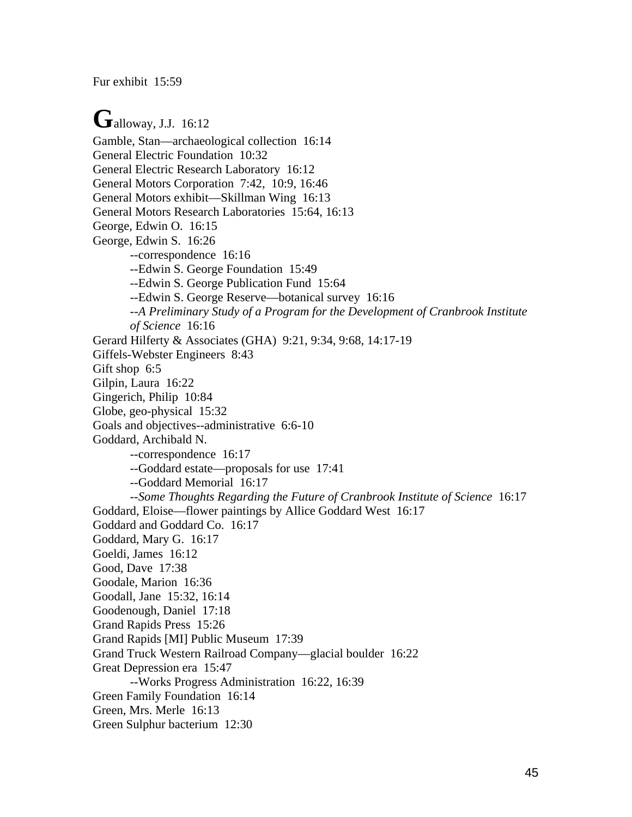Fur exhibit 15:59

Galloway, J.J. 16:12 Gamble, Stan—archaeological collection 16:14 General Electric Foundation 10:32 General Electric Research Laboratory 16:12 General Motors Corporation 7:42, 10:9, 16:46 General Motors exhibit—Skillman Wing 16:13 General Motors Research Laboratories 15:64, 16:13 George, Edwin O. 16:15 George, Edwin S. 16:26 --correspondence 16:16 --Edwin S. George Foundation 15:49 --Edwin S. George Publication Fund 15:64 --Edwin S. George Reserve—botanical survey 16:16 --*A Preliminary Study of a Program for the Development of Cranbrook Institute of Science* 16:16 Gerard Hilferty & Associates (GHA) 9:21, 9:34, 9:68, 14:17-19 Giffels-Webster Engineers 8:43 Gift shop 6:5 Gilpin, Laura 16:22 Gingerich, Philip 10:84 Globe, geo-physical 15:32 Goals and objectives--administrative 6:6-10 Goddard, Archibald N. --correspondence 16:17 --Goddard estate—proposals for use 17:41 --Goddard Memorial 16:17 --*Some Thoughts Regarding the Future of Cranbrook Institute of Science* 16:17 Goddard, Eloise—flower paintings by Allice Goddard West 16:17 Goddard and Goddard Co. 16:17 Goddard, Mary G. 16:17 Goeldi, James 16:12 Good, Dave 17:38 Goodale, Marion 16:36 Goodall, Jane 15:32, 16:14 Goodenough, Daniel 17:18 Grand Rapids Press 15:26 Grand Rapids [MI] Public Museum 17:39 Grand Truck Western Railroad Company—glacial boulder 16:22 Great Depression era 15:47 --Works Progress Administration 16:22, 16:39 Green Family Foundation 16:14 Green, Mrs. Merle 16:13 Green Sulphur bacterium 12:30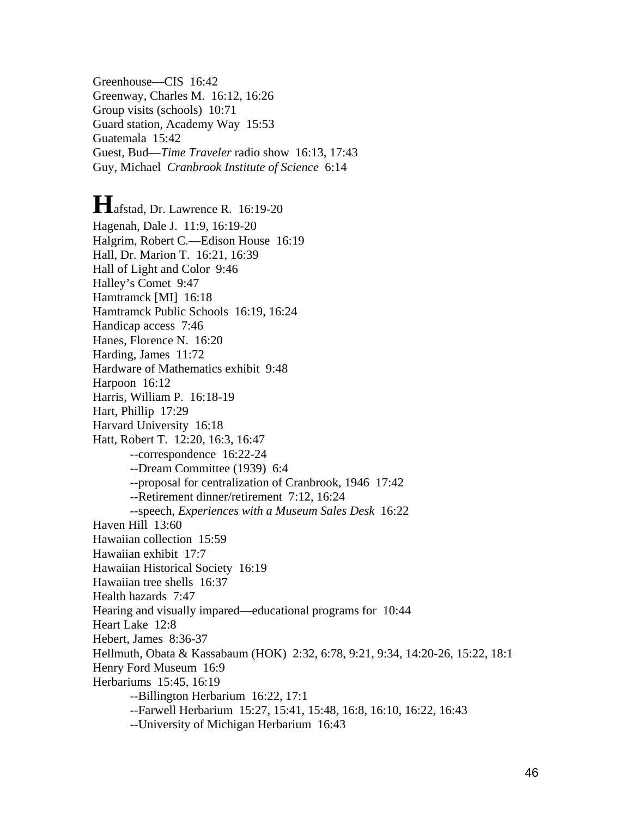Greenhouse—CIS 16:42 Greenway, Charles M. 16:12, 16:26 Group visits (schools) 10:71 Guard station, Academy Way 15:53 Guatemala 15:42 Guest, Bud—*Time Traveler* radio show 16:13, 17:43 Guy, Michael *Cranbrook Institute of Science* 6:14

**H**afstad, Dr. Lawrence R. 16:19-20 Hagenah, Dale J. 11:9, 16:19-20 Halgrim, Robert C.—Edison House 16:19 Hall, Dr. Marion T. 16:21, 16:39 Hall of Light and Color 9:46 Halley's Comet 9:47 Hamtramck [MI] 16:18 Hamtramck Public Schools 16:19, 16:24 Handicap access 7:46 Hanes, Florence N. 16:20 Harding, James 11:72 Hardware of Mathematics exhibit 9:48 Harpoon 16:12 Harris, William P. 16:18-19 Hart, Phillip 17:29 Harvard University 16:18 Hatt, Robert T. 12:20, 16:3, 16:47 --correspondence 16:22-24 --Dream Committee (1939) 6:4 --proposal for centralization of Cranbrook, 1946 17:42 --Retirement dinner/retirement 7:12, 16:24 --speech, *Experiences with a Museum Sales Desk* 16:22 Haven Hill 13:60 Hawaiian collection 15:59 Hawaiian exhibit 17:7 Hawaiian Historical Society 16:19 Hawaiian tree shells 16:37 Health hazards 7:47 Hearing and visually impared—educational programs for 10:44 Heart Lake 12:8 Hebert, James 8:36-37 Hellmuth, Obata & Kassabaum (HOK) 2:32, 6:78, 9:21, 9:34, 14:20-26, 15:22, 18:1 Henry Ford Museum 16:9 Herbariums 15:45, 16:19 --Billington Herbarium 16:22, 17:1 --Farwell Herbarium 15:27, 15:41, 15:48, 16:8, 16:10, 16:22, 16:43 --University of Michigan Herbarium 16:43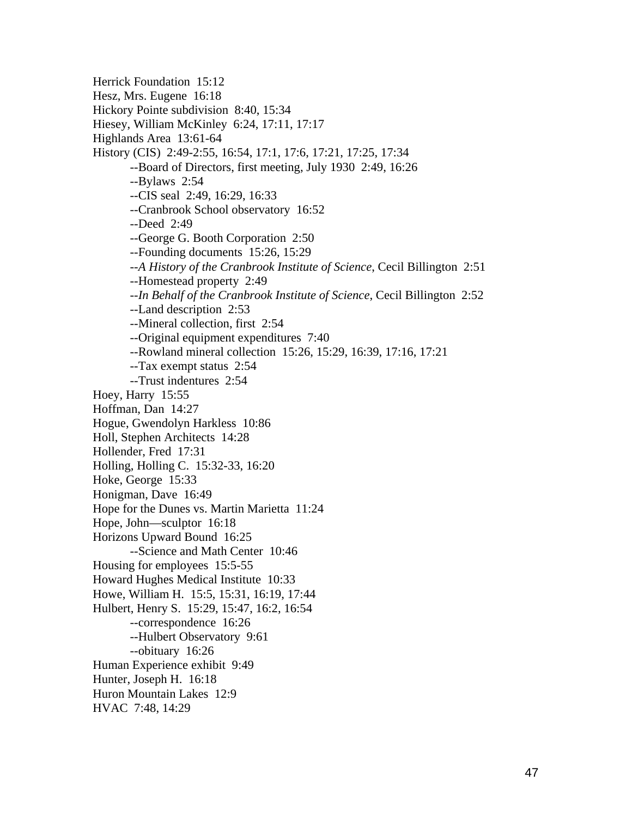Herrick Foundation 15:12 Hesz, Mrs. Eugene 16:18 Hickory Pointe subdivision 8:40, 15:34 Hiesey, William McKinley 6:24, 17:11, 17:17 Highlands Area 13:61-64 History (CIS) 2:49-2:55, 16:54, 17:1, 17:6, 17:21, 17:25, 17:34 --Board of Directors, first meeting, July 1930 2:49, 16:26 --Bylaws 2:54 --CIS seal 2:49, 16:29, 16:33 --Cranbrook School observatory 16:52 --Deed 2:49 --George G. Booth Corporation 2:50 --Founding documents 15:26, 15:29 --*A History of the Cranbrook Institute of Science*, Cecil Billington 2:51 --Homestead property 2:49 --*In Behalf of the Cranbrook Institute of Science*, Cecil Billington 2:52 --Land description 2:53 --Mineral collection, first 2:54 --Original equipment expenditures 7:40 --Rowland mineral collection 15:26, 15:29, 16:39, 17:16, 17:21 --Tax exempt status 2:54 --Trust indentures 2:54 Hoey, Harry 15:55 Hoffman, Dan 14:27 Hogue, Gwendolyn Harkless 10:86 Holl, Stephen Architects 14:28 Hollender, Fred 17:31 Holling, Holling C. 15:32-33, 16:20 Hoke, George 15:33 Honigman, Dave 16:49 Hope for the Dunes vs. Martin Marietta 11:24 Hope, John—sculptor 16:18 Horizons Upward Bound 16:25 --Science and Math Center 10:46 Housing for employees 15:5-55 Howard Hughes Medical Institute 10:33 Howe, William H. 15:5, 15:31, 16:19, 17:44 Hulbert, Henry S. 15:29, 15:47, 16:2, 16:54 --correspondence 16:26 --Hulbert Observatory 9:61 --obituary 16:26 Human Experience exhibit 9:49 Hunter, Joseph H. 16:18 Huron Mountain Lakes 12:9 HVAC 7:48, 14:29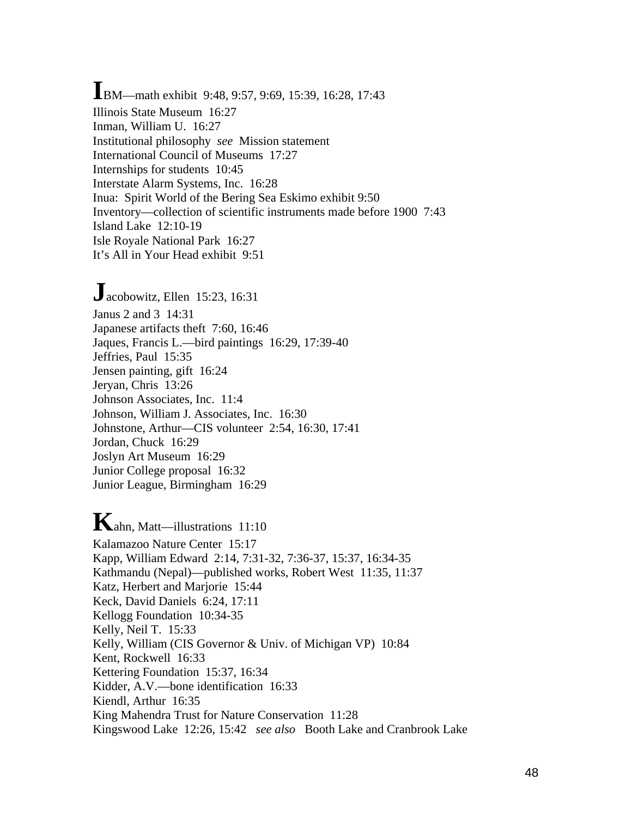**I**BM—math exhibit 9:48, 9:57, 9:69, 15:39, 16:28, 17:43 Illinois State Museum 16:27 Inman, William U. 16:27 Institutional philosophy *see* Mission statement International Council of Museums 17:27 Internships for students 10:45 Interstate Alarm Systems, Inc. 16:28 Inua: Spirit World of the Bering Sea Eskimo exhibit 9:50 Inventory—collection of scientific instruments made before 1900 7:43 Island Lake 12:10-19 Isle Royale National Park 16:27 It's All in Your Head exhibit 9:51

**J**acobowitz, Ellen 15:23, 16:31 Janus 2 and 3 14:31 Japanese artifacts theft 7:60, 16:46 Jaques, Francis L.—bird paintings 16:29, 17:39-40 Jeffries, Paul 15:35 Jensen painting, gift 16:24 Jeryan, Chris 13:26 Johnson Associates, Inc. 11:4 Johnson, William J. Associates, Inc. 16:30 Johnstone, Arthur—CIS volunteer 2:54, 16:30, 17:41 Jordan, Chuck 16:29 Joslyn Art Museum 16:29 Junior College proposal 16:32 Junior League, Birmingham 16:29

**K**ahn, Matt—illustrations 11:10 Kalamazoo Nature Center 15:17 Kapp, William Edward 2:14, 7:31-32, 7:36-37, 15:37, 16:34-35 Kathmandu (Nepal)—published works, Robert West 11:35, 11:37 Katz, Herbert and Marjorie 15:44 Keck, David Daniels 6:24, 17:11 Kellogg Foundation 10:34-35 Kelly, Neil T. 15:33 Kelly, William (CIS Governor & Univ. of Michigan VP) 10:84 Kent, Rockwell 16:33 Kettering Foundation 15:37, 16:34 Kidder, A.V.—bone identification 16:33 Kiendl, Arthur 16:35 King Mahendra Trust for Nature Conservation 11:28 Kingswood Lake 12:26, 15:42 *see also* Booth Lake and Cranbrook Lake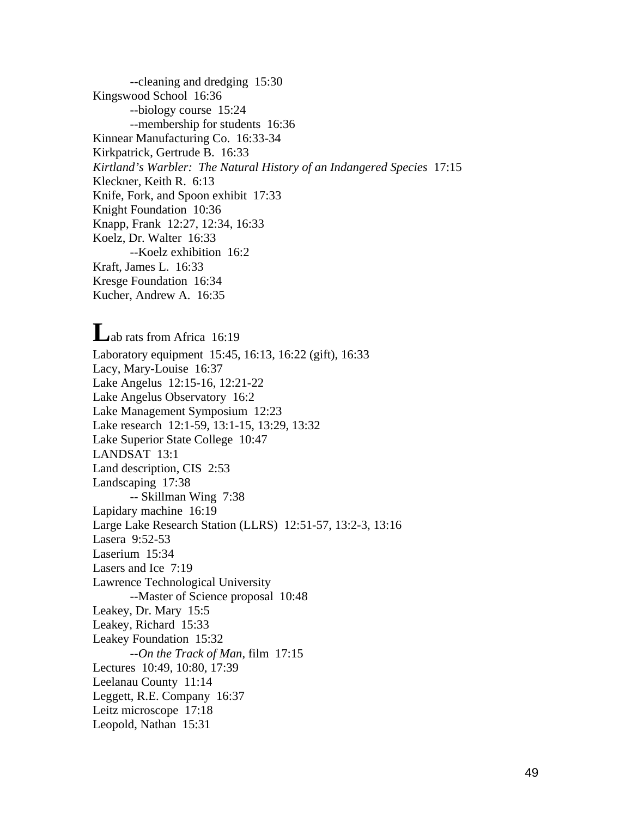--cleaning and dredging 15:30 Kingswood School 16:36 --biology course 15:24 --membership for students 16:36 Kinnear Manufacturing Co. 16:33-34 Kirkpatrick, Gertrude B. 16:33 *Kirtland's Warbler: The Natural History of an Indangered Species* 17:15 Kleckner, Keith R. 6:13 Knife, Fork, and Spoon exhibit 17:33 Knight Foundation 10:36 Knapp, Frank 12:27, 12:34, 16:33 Koelz, Dr. Walter 16:33 --Koelz exhibition 16:2 Kraft, James L. 16:33 Kresge Foundation 16:34 Kucher, Andrew A. 16:35

Lab rats from Africa 16:19 Laboratory equipment 15:45, 16:13, 16:22 (gift), 16:33 Lacy, Mary-Louise 16:37 Lake Angelus 12:15-16, 12:21-22 Lake Angelus Observatory 16:2 Lake Management Symposium 12:23 Lake research 12:1-59, 13:1-15, 13:29, 13:32 Lake Superior State College 10:47 LANDSAT 13:1 Land description, CIS 2:53 Landscaping 17:38 -- Skillman Wing 7:38 Lapidary machine 16:19 Large Lake Research Station (LLRS) 12:51-57, 13:2-3, 13:16 Lasera 9:52-53 Laserium 15:34 Lasers and Ice 7:19 Lawrence Technological University --Master of Science proposal 10:48 Leakey, Dr. Mary 15:5 Leakey, Richard 15:33 Leakey Foundation 15:32 --*On the Track of Man*, film 17:15 Lectures 10:49, 10:80, 17:39 Leelanau County 11:14 Leggett, R.E. Company 16:37 Leitz microscope 17:18 Leopold, Nathan 15:31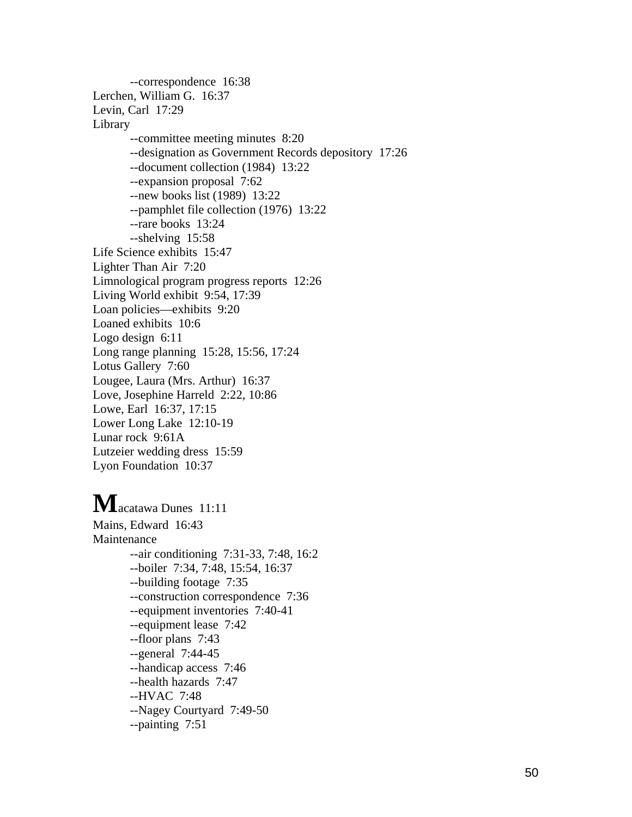--correspondence 16:38 Lerchen, William G. 16:37 Levin, Carl 17:29 Library --committee meeting minutes 8:20 --designation as Government Records depository 17:26 --document collection (1984) 13:22 --expansion proposal 7:62 --new books list (1989) 13:22 --pamphlet file collection (1976) 13:22 --rare books 13:24 --shelving 15:58 Life Science exhibits 15:47 Lighter Than Air 7:20 Limnological program progress reports 12:26 Living World exhibit 9:54, 17:39 Loan policies—exhibits 9:20 Loaned exhibits 10:6 Logo design 6:11 Long range planning 15:28, 15:56, 17:24 Lotus Gallery 7:60 Lougee, Laura (Mrs. Arthur) 16:37 Love, Josephine Harreld 2:22, 10:86 Lowe, Earl 16:37, 17:15 Lower Long Lake 12:10-19 Lunar rock 9:61A Lutzeier wedding dress 15:59 Lyon Foundation 10:37 **M**acatawa Dunes 11:11 Mains, Edward 16:43 Maintenance --air conditioning 7:31-33, 7:48, 16:2 --boiler 7:34, 7:48, 15:54, 16:37 --building footage 7:35 --construction correspondence 7:36 --equipment inventories 7:40-41

> --equipment lease 7:42 --floor plans 7:43 --general 7:44-45 --handicap access 7:46 --health hazards 7:47

--Nagey Courtyard 7:49-50

--HVAC 7:48

--painting 7:51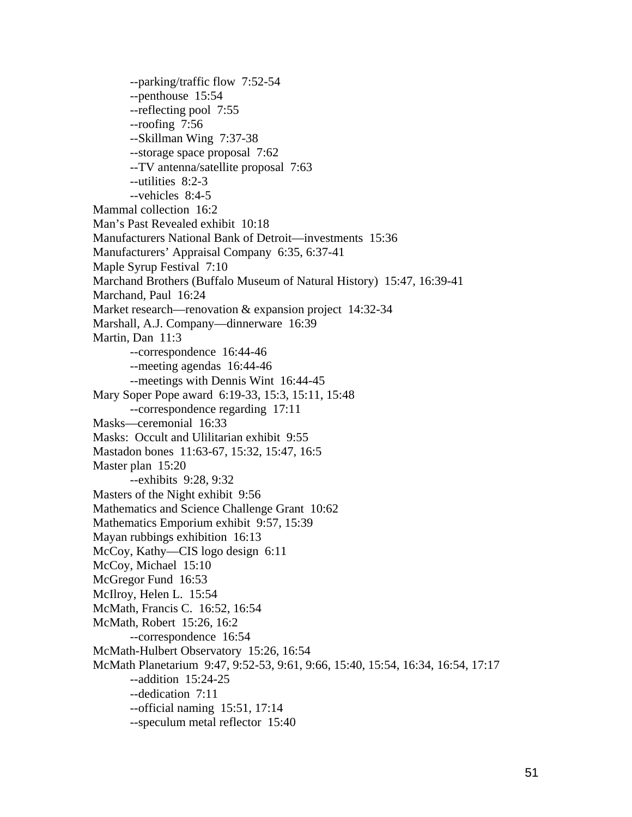--parking/traffic flow 7:52-54 --penthouse 15:54 --reflecting pool 7:55 --roofing 7:56 --Skillman Wing 7:37-38 --storage space proposal 7:62 --TV antenna/satellite proposal 7:63 --utilities 8:2-3 --vehicles 8:4-5 Mammal collection 16:2 Man's Past Revealed exhibit 10:18 Manufacturers National Bank of Detroit—investments 15:36 Manufacturers' Appraisal Company 6:35, 6:37-41 Maple Syrup Festival 7:10 Marchand Brothers (Buffalo Museum of Natural History) 15:47, 16:39-41 Marchand, Paul 16:24 Market research—renovation & expansion project 14:32-34 Marshall, A.J. Company—dinnerware 16:39 Martin, Dan 11:3 --correspondence 16:44-46 --meeting agendas 16:44-46 --meetings with Dennis Wint 16:44-45 Mary Soper Pope award 6:19-33, 15:3, 15:11, 15:48 --correspondence regarding 17:11 Masks—ceremonial 16:33 Masks: Occult and Ulilitarian exhibit 9:55 Mastadon bones 11:63-67, 15:32, 15:47, 16:5 Master plan 15:20 --exhibits 9:28, 9:32 Masters of the Night exhibit 9:56 Mathematics and Science Challenge Grant 10:62 Mathematics Emporium exhibit 9:57, 15:39 Mayan rubbings exhibition 16:13 McCoy, Kathy—CIS logo design 6:11 McCoy, Michael 15:10 McGregor Fund 16:53 McIlroy, Helen L. 15:54 McMath, Francis C. 16:52, 16:54 McMath, Robert 15:26, 16:2 --correspondence 16:54 McMath-Hulbert Observatory 15:26, 16:54 McMath Planetarium 9:47, 9:52-53, 9:61, 9:66, 15:40, 15:54, 16:34, 16:54, 17:17 --addition 15:24-25 --dedication 7:11 --official naming 15:51, 17:14 --speculum metal reflector 15:40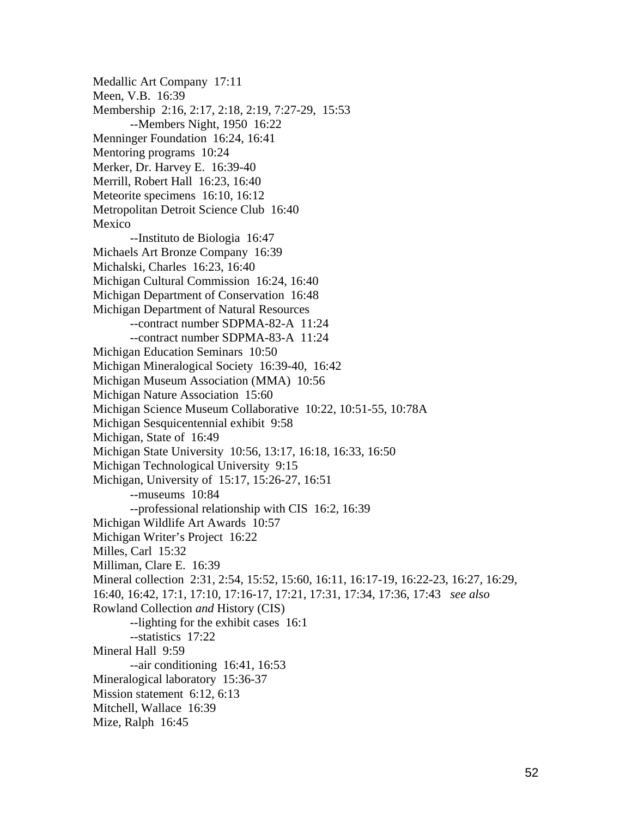Medallic Art Company 17:11 Meen, V.B. 16:39 Membership 2:16, 2:17, 2:18, 2:19, 7:27-29, 15:53 --Members Night, 1950 16:22 Menninger Foundation 16:24, 16:41 Mentoring programs 10:24 Merker, Dr. Harvey E. 16:39-40 Merrill, Robert Hall 16:23, 16:40 Meteorite specimens 16:10, 16:12 Metropolitan Detroit Science Club 16:40 Mexico --Instituto de Biologia 16:47 Michaels Art Bronze Company 16:39 Michalski, Charles 16:23, 16:40 Michigan Cultural Commission 16:24, 16:40 Michigan Department of Conservation 16:48 Michigan Department of Natural Resources --contract number SDPMA-82-A 11:24 --contract number SDPMA-83-A 11:24 Michigan Education Seminars 10:50 Michigan Mineralogical Society 16:39-40, 16:42 Michigan Museum Association (MMA) 10:56 Michigan Nature Association 15:60 Michigan Science Museum Collaborative 10:22, 10:51-55, 10:78A Michigan Sesquicentennial exhibit 9:58 Michigan, State of 16:49 Michigan State University 10:56, 13:17, 16:18, 16:33, 16:50 Michigan Technological University 9:15 Michigan, University of 15:17, 15:26-27, 16:51 --museums 10:84 --professional relationship with CIS 16:2, 16:39 Michigan Wildlife Art Awards 10:57 Michigan Writer's Project 16:22 Milles, Carl 15:32 Milliman, Clare E. 16:39 Mineral collection 2:31, 2:54, 15:52, 15:60, 16:11, 16:17-19, 16:22-23, 16:27, 16:29, 16:40, 16:42, 17:1, 17:10, 17:16-17, 17:21, 17:31, 17:34, 17:36, 17:43 *see also*  Rowland Collection *and* History (CIS) --lighting for the exhibit cases 16:1 --statistics 17:22 Mineral Hall 9:59 --air conditioning 16:41, 16:53 Mineralogical laboratory 15:36-37 Mission statement 6:12, 6:13 Mitchell, Wallace 16:39 Mize, Ralph 16:45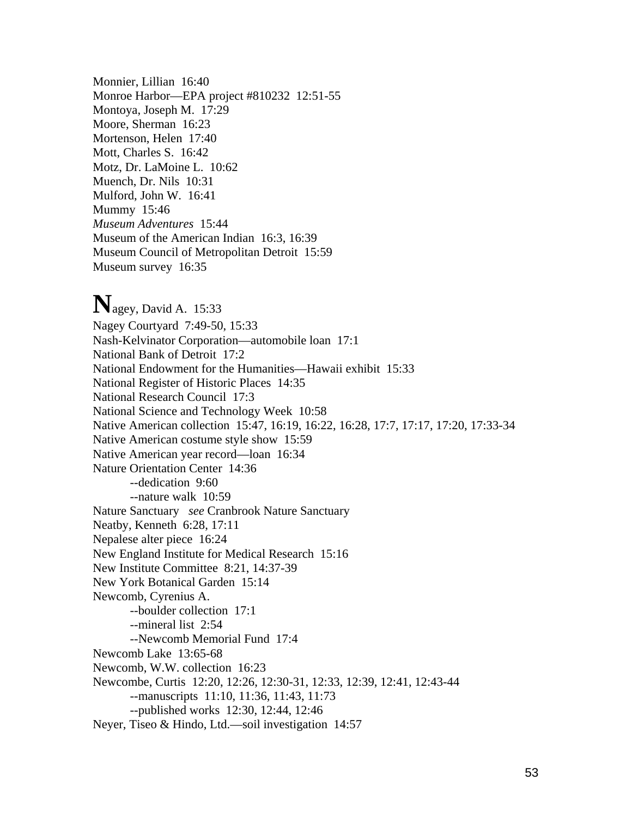Monnier, Lillian 16:40 Monroe Harbor—EPA project #810232 12:51-55 Montoya, Joseph M. 17:29 Moore, Sherman 16:23 Mortenson, Helen 17:40 Mott, Charles S. 16:42 Motz, Dr. LaMoine L. 10:62 Muench, Dr. Nils 10:31 Mulford, John W. 16:41 Mummy 15:46 *Museum Adventures* 15:44 Museum of the American Indian 16:3, 16:39 Museum Council of Metropolitan Detroit 15:59 Museum survey 16:35

# **N**agey, David A. 15:33

Nagey Courtyard 7:49-50, 15:33 Nash-Kelvinator Corporation—automobile loan 17:1 National Bank of Detroit 17:2 National Endowment for the Humanities—Hawaii exhibit 15:33 National Register of Historic Places 14:35 National Research Council 17:3 National Science and Technology Week 10:58 Native American collection 15:47, 16:19, 16:22, 16:28, 17:7, 17:17, 17:20, 17:33-34 Native American costume style show 15:59 Native American year record—loan 16:34 Nature Orientation Center 14:36 --dedication 9:60 --nature walk 10:59 Nature Sanctuary *see* Cranbrook Nature Sanctuary Neatby, Kenneth 6:28, 17:11 Nepalese alter piece 16:24 New England Institute for Medical Research 15:16 New Institute Committee 8:21, 14:37-39 New York Botanical Garden 15:14 Newcomb, Cyrenius A. --boulder collection 17:1 --mineral list 2:54 --Newcomb Memorial Fund 17:4 Newcomb Lake 13:65-68 Newcomb, W.W. collection 16:23 Newcombe, Curtis 12:20, 12:26, 12:30-31, 12:33, 12:39, 12:41, 12:43-44 --manuscripts 11:10, 11:36, 11:43, 11:73 --published works 12:30, 12:44, 12:46 Neyer, Tiseo & Hindo, Ltd.—soil investigation 14:57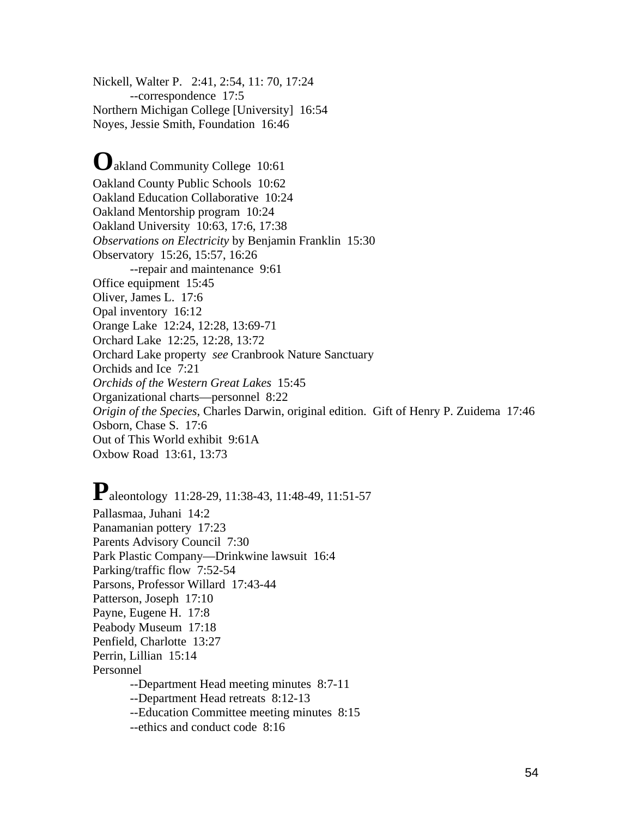Nickell, Walter P. 2:41, 2:54, 11: 70, 17:24 --correspondence 17:5 Northern Michigan College [University] 16:54 Noyes, Jessie Smith, Foundation 16:46

# **O**akland Community College 10:61

Oakland County Public Schools 10:62 Oakland Education Collaborative 10:24 Oakland Mentorship program 10:24 Oakland University 10:63, 17:6, 17:38 *Observations on Electricity* by Benjamin Franklin 15:30 Observatory 15:26, 15:57, 16:26 --repair and maintenance 9:61 Office equipment 15:45 Oliver, James L. 17:6 Opal inventory 16:12 Orange Lake 12:24, 12:28, 13:69-71 Orchard Lake 12:25, 12:28, 13:72 Orchard Lake property *see* Cranbrook Nature Sanctuary Orchids and Ice 7:21 *Orchids of the Western Great Lakes* 15:45 Organizational charts—personnel 8:22 *Origin of the Species*, Charles Darwin, original edition. Gift of Henry P. Zuidema 17:46 Osborn, Chase S. 17:6 Out of This World exhibit 9:61A Oxbow Road 13:61, 13:73

**P**aleontology 11:28-29, 11:38-43, 11:48-49, 11:51-57 Pallasmaa, Juhani 14:2 Panamanian pottery 17:23 Parents Advisory Council 7:30 Park Plastic Company—Drinkwine lawsuit 16:4 Parking/traffic flow 7:52-54 Parsons, Professor Willard 17:43-44 Patterson, Joseph 17:10 Payne, Eugene H. 17:8 Peabody Museum 17:18 Penfield, Charlotte 13:27 Perrin, Lillian 15:14 Personnel --Department Head meeting minutes 8:7-11 --Department Head retreats 8:12-13 --Education Committee meeting minutes 8:15 --ethics and conduct code 8:16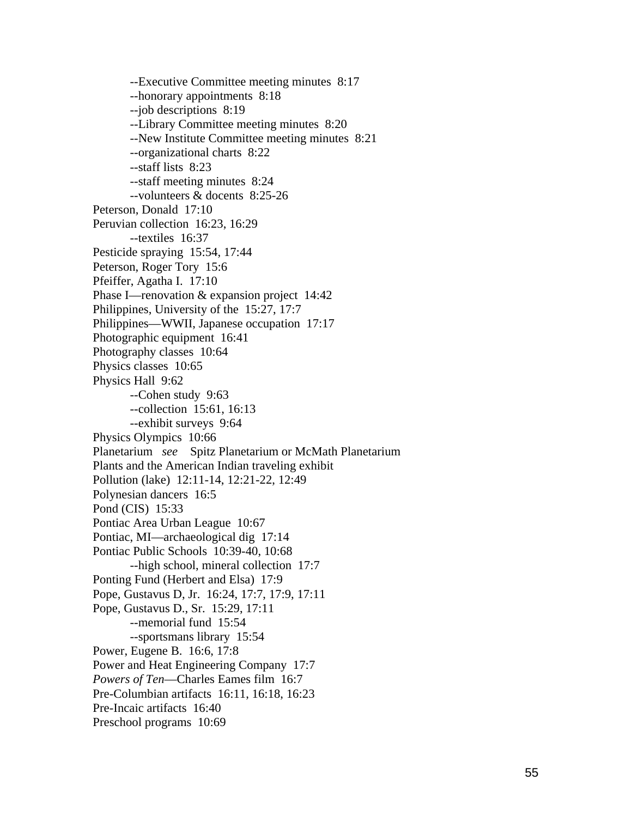--Executive Committee meeting m inutes 8:17 --honorary appointm ents 8:18 --job descriptions 8:19 --Library Committee m eeting m inutes 8:20 --New Institute Committee meeting minutes 8:21 --organizational charts 8:22 --staff lists 8:23 --staff meeting m inutes 8:24 --volunteers & docents 8:25-26 Peterson, Donald 17:10 Peruvian collection 16:23, 16:29 --textiles 16:37 Pesticide spraying 15:54, 17:44 Peterson, Roger Tory 15:6 Pfeiffer, Agatha I. 17:10 Phase I—renovation & expansion project 14:42 Philipp ines, University o f the 15:27, 17:7 Philipp ines — W WII, Japanese occupation 17:17 Photographic equipment 16:41 Photography classes 10:64 Physics classes 10:65 Physics Hall 9:62 --Cohen study 9:63 --collection 15:61, 16:13 --exhibit surveys 9:64 Physics Olympics 10:66 Planetarium *see* Spitz Planetarium or McMath Planetarium Plants and the American Indian traveling exhibit Pollution (lake) 12:11-14, 12:21-22, 12:49 Polynesian dancers 16:5 Pond (CIS) 15:33 Pontiac Area Urban League 10:67 Pontiac, MI—archaeological dig 17:14 Pontiac Public Schools 10:39-40, 10:68 --high school, m ineral collection 17:7 Ponting Fund (Herbert and Elsa) 17:9 Pope, Gustavus D, Jr. 16:24, 17:7, 17:9, 17:11 Pope, Gustavus D., Sr. 15:29, 17:11 --m e morial fund 15:54 --sportsm ans library 15:54 Power, Eugene B. 16:6, 17:8 Power and Heat Engineering Com pany 17:7 Powers of Ten-Charles Eames film 16:7 Pre-Columbian artifacts 16:11, 16:18, 16:23 Pre-Incaic artifacts 16:40 Preschool programs 10:69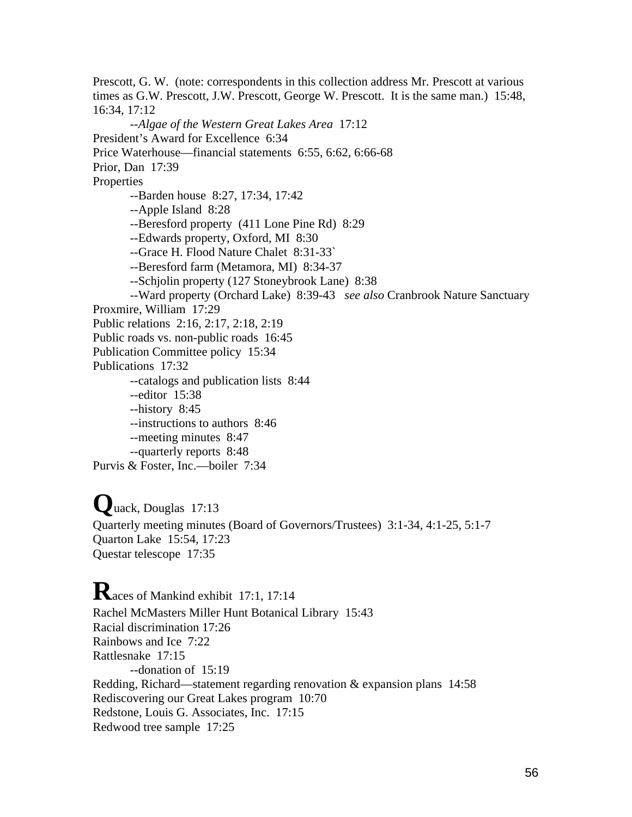Prescott, G. W. (note: correspondents in this collection address Mr. Prescott at various times as G.W. Prescott, J.W. Prescott, George W. Prescott. It is the same man.) 15:48, 16:34, 17:12 --*Algae of the Western Great Lakes Area* 17:12 President's Award for Excellence 6:34 Price Waterhouse—financial statements 6:55, 6:62, 6:66-68 Prior, Dan 17:39 Properties --Barden house 8:27, 17:34, 17:42 --Apple Island 8:28 --Beresford property (411 Lone Pine Rd) 8:29 --Edwards property, Oxford, MI 8:30 --Grace H. Flood Nature Chalet 8:31-33` --Beresford farm (Metamora, MI) 8:34-37 --Schjolin property (127 Stoneybrook Lane) 8:38 --Ward property (Orchard Lake) 8:39-43 *see also* Cranbrook Nature Sanctuary Proxmire, William 17:29 Public relations 2:16, 2:17, 2:18, 2:19 Public roads vs. non-public roads 16:45 Publication Committee policy 15:34 Publications 17:32 --catalogs and publication lists 8:44 --editor 15:38 --history 8:45 --instructions to authors 8:46 --meeting minutes 8:47 --quarterly reports 8:48 Purvis & Foster, Inc.—boiler 7:34

**Q**uack, Douglas 17:13 Quarterly meeting minutes (Board of Governors/Trustees) 3:1-34, 4:1-25, 5:1-7 Quarton Lake 15:54, 17:23 Questar telescope 17:35

**R**aces of Mankind exhibit 17:1, 17:14 Rachel McMasters Miller Hunt Botanical Library 15:43 Racial discrimination 17:26 Rainbows and Ice 7:22 Rattlesnake 17:15 --donation of 15:19 Redding, Richard—statement regarding renovation & expansion plans 14:58 Rediscovering our Great Lakes program 10:70 Redstone, Louis G. Associates, Inc. 17:15 Redwood tree sample 17:25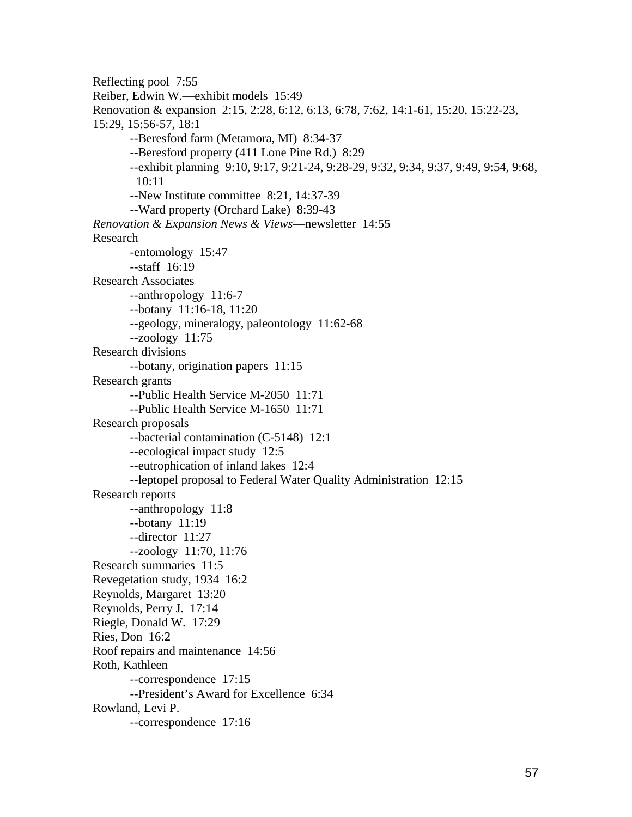Reflecting pool 7:55 Reiber, Edwin W.—exhibit models 15:49 Renovation & expansion 2:15, 2:28, 6:12, 6:13, 6:78, 7:62, 14:1-61, 15:20, 15:22-23, 15:29, 15:56-57, 18:1 --Beresford farm (Metamora, MI) 8:34-37 --Beresford property (411 Lone Pine Rd.) 8:29 --exhibit planning 9:10, 9:17, 9:21-24, 9:28-29, 9:32, 9:34, 9:37, 9:49, 9:54, 9:68, 10:11 --New Institute committee 8:21, 14:37-39 --Ward property (Orchard Lake) 8:39-43 *Renovation & Expansion News & Views*—newsletter 14:55 Research -entomology 15:47 --staff 16:19 Research Associates --anthropology 11:6-7 --botany 11:16-18, 11:20 --geology, mineralogy, paleontology 11:62-68 --zoology 11:75 Research divisions --botany, origination papers 11:15 Research grants --Public Health Service M-2050 11:71 --Public Health Service M-1650 11:71 Research proposals --bacterial contamination (C-5148) 12:1 --ecological impact study 12:5 --eutrophication of inland lakes 12:4 --leptopel proposal to Federal Water Quality Administration 12:15 Research reports --anthropology 11:8 --botany 11:19 --director 11:27 --zoology 11:70, 11:76 Research summaries 11:5 Revegetation study, 1934 16:2 Reynolds, Margaret 13:20 Reynolds, Perry J. 17:14 Riegle, Donald W. 17:29 Ries, Don 16:2 Roof repairs and maintenance 14:56 Roth, Kathleen --correspondence 17:15 --President's Award for Excellence 6:34 Rowland, Levi P. --correspondence 17:16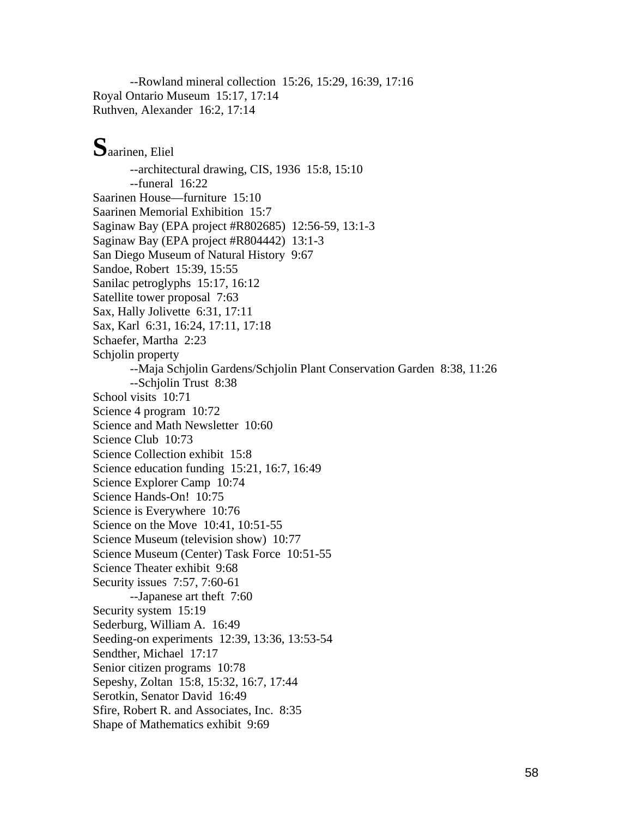--Rowland mineral collection 15:26, 15:29, 16:39, 17:16 Royal Ontario Museum 15:17, 17:14 Ruthven, Alexander 16:2, 17:14

# **S**aarinen, Eliel

--architectural drawing, CIS, 1936 15:8, 15:10 --funeral 16:22 Saarinen House—furniture 15:10 Saarinen Memorial Exhibition 15:7 Saginaw Bay (EPA project #R802685) 12:56-59, 13:1-3 Saginaw Bay (EPA project #R804442) 13:1-3 San Diego Museum of Natural History 9:67 Sandoe, Robert 15:39, 15:55 Sanilac petroglyphs 15:17, 16:12 Satellite tower proposal 7:63 Sax, Hally Jolivette 6:31, 17:11 Sax, Karl 6:31, 16:24, 17:11, 17:18 Schaefer, Martha 2:23 Schjolin property --Maja Schjolin Gardens/Schjolin Plant Conservation Garden 8:38, 11:26 --Schjolin Trust 8:38 School visits 10:71 Science 4 program 10:72 Science and Math Newsletter 10:60 Science Club 10:73 Science Collection exhibit 15:8 Science education funding 15:21, 16:7, 16:49 Science Explorer Camp 10:74 Science Hands-On! 10:75 Science is Everywhere 10:76 Science on the Move 10:41, 10:51-55 Science Museum (television show) 10:77 Science Museum (Center) Task Force 10:51-55 Science Theater exhibit 9:68 Security issues 7:57, 7:60-61 --Japanese art theft 7:60 Security system 15:19 Sederburg, William A. 16:49 Seeding-on experiments 12:39, 13:36, 13:53-54 Sendther, Michael 17:17 Senior citizen programs 10:78 Sepeshy, Zoltan 15:8, 15:32, 16:7, 17:44 Serotkin, Senator David 16:49 Sfire, Robert R. and Associates, Inc. 8:35 Shape of Mathematics exhibit 9:69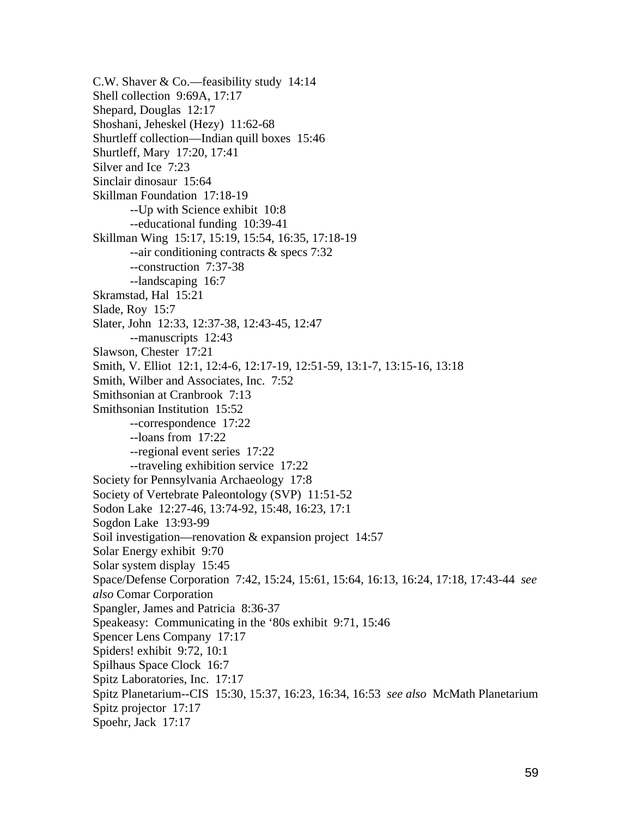C.W. Shaver & Co.—feasibility study 14:14 Shell collection 9:69A, 17:17 Shepard, Douglas 12:17 Shoshani, Jeheskel (Hezy) 11:62-68 Shurtleff collection—Indian quill boxes 15:46 Shurtleff, Mary 17:20, 17:41 Silver and Ice 7:23 Sinclair dinosaur 15:64 Skillman Foundation 17:18-19 --Up with Science exhibit 10:8 --educational funding 10:39-41 Skillman Wing 15:17, 15:19, 15:54, 16:35, 17:18-19 --air conditioning contracts & specs 7:32 --construction 7:37-38 --landscaping 16:7 Skramstad, Hal 15:21 Slade, Roy 15:7 Slater, John 12:33, 12:37-38, 12:43-45, 12:47 --manuscripts 12:43 Slawson, Chester 17:21 Smith, V. Elliot 12:1, 12:4-6, 12:17-19, 12:51-59, 13:1-7, 13:15-16, 13:18 Smith, Wilber and Associates, Inc. 7:52 Smithsonian at Cranbrook 7:13 Smithsonian Institution 15:52 --correspondence 17:22 --loans from 17:22 --regional event series 17:22 --traveling exhibition service 17:22 Society for Pennsylvania Archaeology 17:8 Society of Vertebrate Paleontology (SVP) 11:51-52 Sodon Lake 12:27-46, 13:74-92, 15:48, 16:23, 17:1 Sogdon Lake 13:93-99 Soil investigation—renovation & expansion project 14:57 Solar Energy exhibit 9:70 Solar system display 15:45 Space/Defense Corporation 7:42, 15:24, 15:61, 15:64, 16:13, 16:24, 17:18, 17:43-44 *see also* Comar Corporation Spangler, James and Patricia 8:36-37 Speakeasy: Communicating in the '80s exhibit 9:71, 15:46 Spencer Lens Company 17:17 Spiders! exhibit 9:72, 10:1 Spilhaus Space Clock 16:7 Spitz Laboratories, Inc. 17:17 Spitz Planetarium--CIS 15:30, 15:37, 16:23, 16:34, 16:53 *see also* McMath Planetarium Spitz projector 17:17 Spoehr, Jack 17:17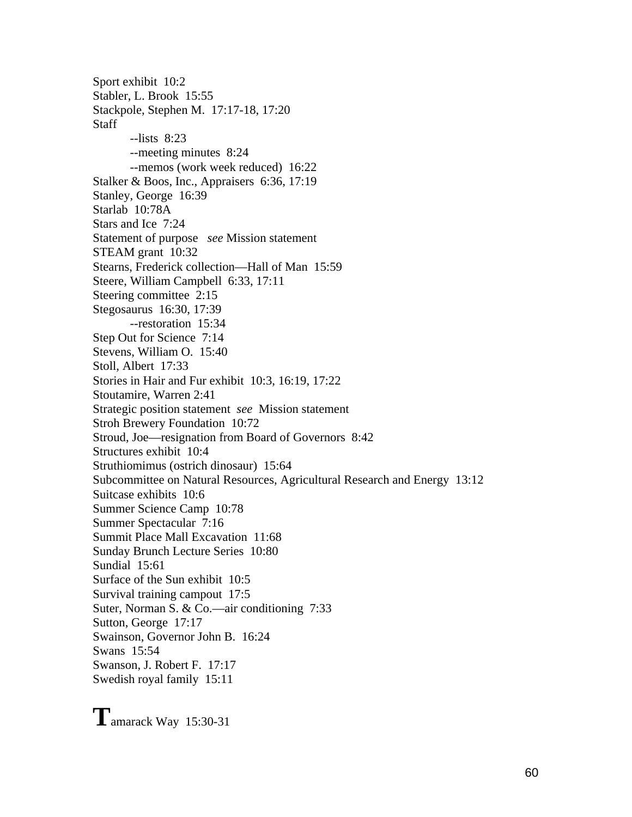Sport exhibit 10:2 Stabler, L. Brook 15:55 Stackpole, Stephen M. 17:17-18, 17:20 **Staff** --lists 8:23 --meeting minutes 8:24 --memos (work week reduced) 16:22 Stalker & Boos, Inc., Appraisers 6:36, 17:19 Stanley, George 16:39 Starlab 10:78A Stars and Ice 7:24 Statement of purpose *see* Mission statement STEAM grant 10:32 Stearns, Frederick collection—Hall of Man 15:59 Steere, William Campbell 6:33, 17:11 Steering committee 2:15 Stegosaurus 16:30, 17:39 --restoration 15:34 Step Out for Science 7:14 Stevens, William O. 15:40 Stoll, Albert 17:33 Stories in Hair and Fur exhibit 10:3, 16:19, 17:22 Stoutamire, Warren 2:41 Strategic position statement *see* Mission statement Stroh Brewery Foundation 10:72 Stroud, Joe—resignation from Board of Governors 8:42 Structures exhibit 10:4 Struthiomimus (ostrich dinosaur) 15:64 Subcommittee on Natural Resources, Agricultural Research and Energy 13:12 Suitcase exhibits 10:6 Summer Science Camp 10:78 Summer Spectacular 7:16 Summit Place Mall Excavation 11:68 Sunday Brunch Lecture Series 10:80 Sundial 15:61 Surface of the Sun exhibit 10:5 Survival training campout 17:5 Suter, Norman S. & Co.—air conditioning 7:33 Sutton, George 17:17 Swainson, Governor John B. 16:24 Swans 15:54 Swanson, J. Robert F. 17:17 Swedish royal family 15:11

**T**amarack Way 15:30-31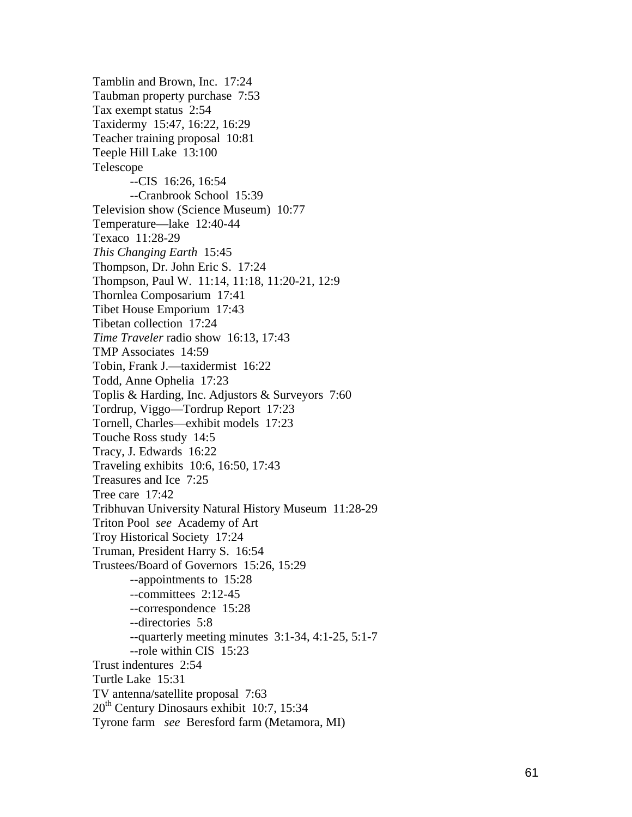Tamblin and Brown, Inc. 17:24 Taubman property purchase 7:53 Tax exempt status 2:54 Taxidermy 15:47, 16:22, 16:29 Teacher training proposal 10:81 Teeple Hill Lake 13:100 Telescope --CIS 16:26, 16:54 --Cranbrook School 15:39 Television show (Science Museum) 10:77 Tem perature—lake 12:40-44 Texaco 11:28-29 *This Changing Earth* 15:45 Thompson, Dr. John Eric S. 17:24 Thompson, Paul W . 11:14, 11:18, 11:20-21, 12:9 Thornlea Composarium 17:41 Tibet House Emporium 17:43 Tibetan collection 17:24 *Time Traveler* radio show 16:13, 17:43 TMP Associates 14:59 Tobin, Frank J.—taxiderm ist 16:22 Todd, Anne Ophelia 17:23 Toplis & Harding, Inc. A djustors & S urveyors 7:60 Tordrup, Viggo—Tordrup Report 17:23 Tornell, Charles—exhibit models 17:23 Touche Ross study 14:5 Tracy, J. Edwards 16:22 Traveling exhibits 10:6, 16:50, 17:43 Treasures and Ice 7:25 Tree care 1 7:42 Tribhuvan University Natural History Museum 11:28-29 Triton Pool *see* Academy of Art Troy Historical Society 17:24 Truman, Pre sident Harry S. 16:54 Trustees/Board of Governors 15:26, 15:29 --appointm ents to 15:28 --committee s 2:12-45 --correspondence 15:28 --directories 5:8 --quarterly meeting m inutes 3:1-34, 4:1-25, 5:1-7 --role within CIS 15:23 Trust indentures 2:54 Turtle Lake 15:31 TV antenna/satellite proposal 7:63  $20<sup>th</sup>$  Century Dinosaurs exhibit 10:7, 15:34 Tyrone farm *see* Beresford far m (Metamora, MI)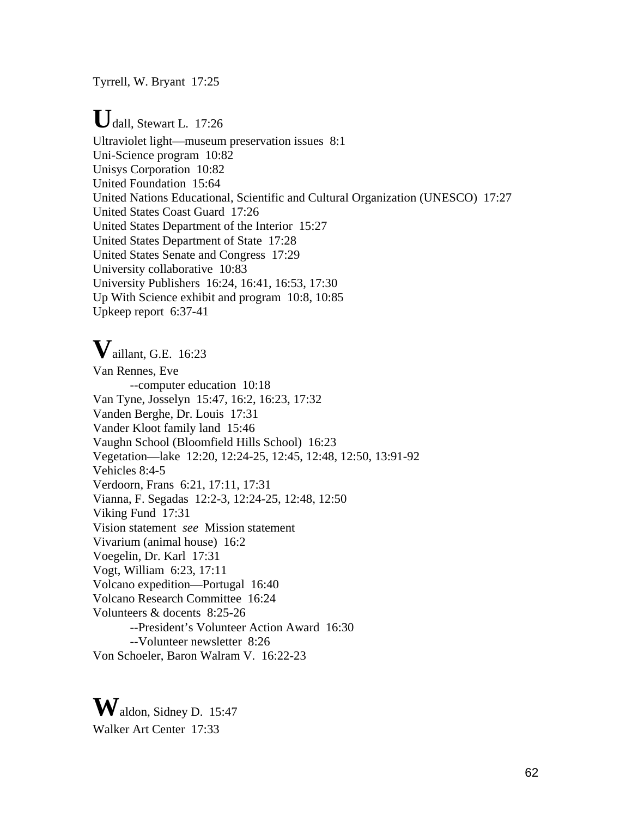Tyrrell, W. Bryant 17:25

# **U**dall, Stewart L. 17:26

Ultraviolet light—museum preservation issues 8:1 Uni-Science program 10:82 Unisys Corporation 10:82 United Foundation 15:64 United Nations Educational, Scientific and Cultural Organization (UNESCO) 17:27 United States Coast Guard 17:26 United States Department of the Interior 15:27 United States Department of State 17:28 United States Senate and Congress 17:29 University collaborative 10:83 University Publishers 16:24, 16:41, 16:53, 17:30 Up With Science exhibit and program 10:8, 10:85 Upkeep report 6:37-41

# **V**aillant, G.E. 16:23

Van Rennes, Eve --computer education 10:18 Van Tyne, Josselyn 15:47, 16:2, 16:23, 17:32 Vanden Berghe, Dr. Louis 17:31 Vander Kloot family land 15:46 Vaughn School (Bloomfield Hills School) 16:23 Vegetation—lake 12:20, 12:24-25, 12:45, 12:48, 12:50, 13:91-92 Vehicles 8:4-5 Verdoorn, Frans 6:21, 17:11, 17:31 Vianna, F. Segadas 12:2-3, 12:24-25, 12:48, 12:50 Viking Fund 17:31 Vision statement *see* Mission statement Vivarium (animal house) 16:2 Voegelin, Dr. Karl 17:31 Vogt, William 6:23, 17:11 Volcano expedition—Portugal 16:40 Volcano Research Committee 16:24 Volunteers & docents 8:25-26 --President's Volunteer Action Award 16:30 --Volunteer newsletter 8:26 Von Schoeler, Baron Walram V. 16:22-23

**W**aldon, Sidney D. 15:47 Walker Art Center 17:33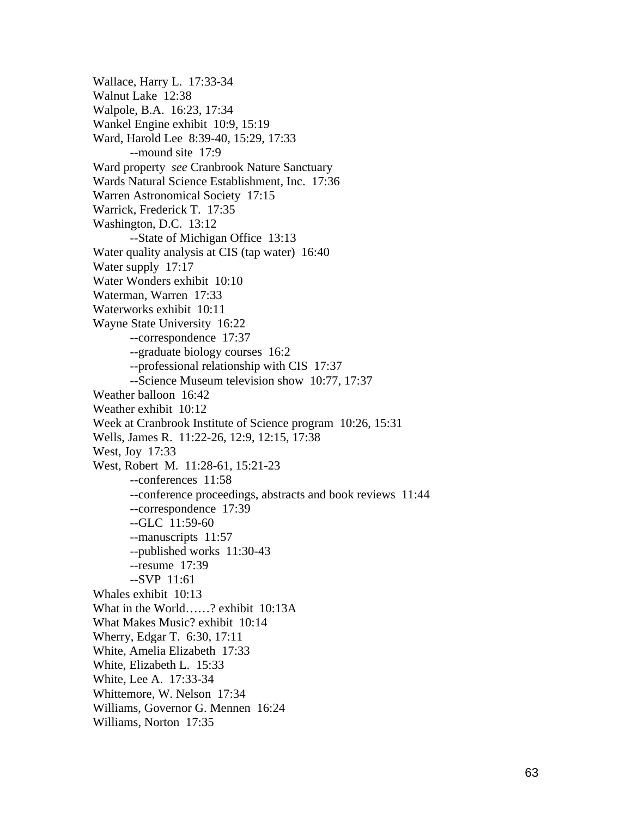Wallace, Harry L. 17:33-34 Walnut Lake 12:38 Walpole, B.A. 16:23, 17:34 Wankel Engine exhibit 10:9, 15:19 Ward, Harold Lee 8:39-40, 15:29, 17:33 --mound site 17:9 Ward property *see* Cranbrook Nature Sanctuary Wards Natural Science Establishment, Inc. 17:36 Warren Astronomical Society 17:15 Warrick, Frederick T. 17:35 Washington, D.C. 13:12 --State of Michigan Office 13:13 Water quality analysis at CIS (tap water) 16:40 Water supply 17:17 Water Wonders exhibit 10:10 Waterman, Warren 17:33 Waterworks exhibit 10:11 Wayne State University 16:22 --correspondence 17:37 --graduate biology courses 16:2 --professional relationship with CIS 17:37 --Science Museum television show 10:77, 17:37 Weather balloon 16:42 Weather exhibit 10:12 Week at Cranbrook Institute of Science program 10:26, 15:31 Wells, James R. 11:22-26, 12:9, 12:15, 17:38 West, Joy 17:33 West, Robert M. 11:28-61, 15:21-23 --conferences 11:58 --conference proceedings, abstracts and book reviews 11:44 --correspondence 17:39 --GLC 11:59-60 --manuscripts 11:57 --published works 11:30-43 --resume 17:39 --SVP 11:61 Whales exhibit 10:13 What in the World……? exhibit 10:13A What Makes Music? exhibit 10:14 Wherry, Edgar T. 6:30, 17:11 White, Amelia Elizabeth 17:33 White, Elizabeth L. 15:33 White, Lee A. 17:33-34 Whittemore, W. Nelson 17:34 Williams, Governor G. Mennen 16:24 Williams, Norton 17:35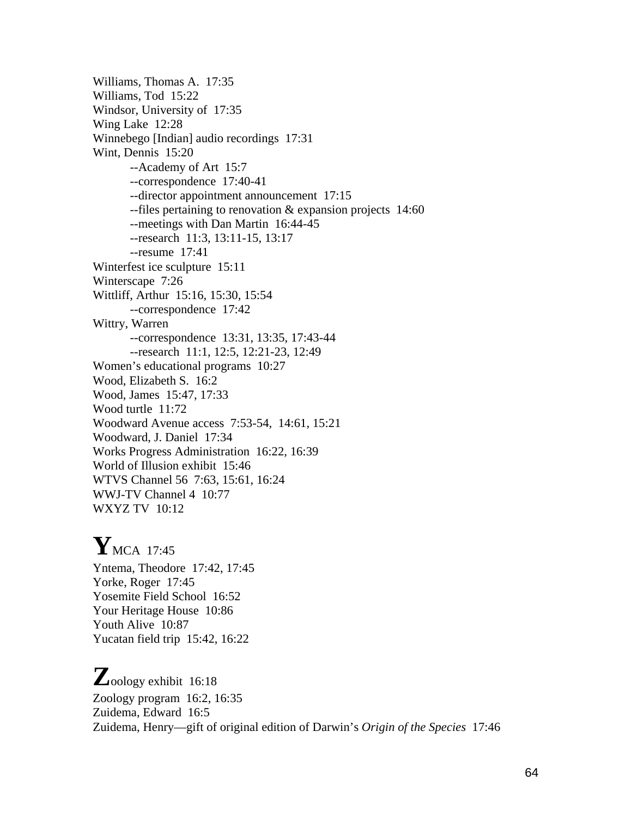Williams, Thomas A. 17:35 Williams, Tod 15:22 Windsor, University of 17:35 Wing Lake 12:28 Winnebego [Indian] audio recordings 17:31 Wint, Dennis 15:20 --Academy of Art 15:7 --correspondence 17:40-41 --director appointment announcement 17:15 --files pertaining to renovation & expansion projects 14:60 --meetings with Dan Martin 16:44-45 --research 11:3, 13:11-15, 13:17 --resume 17:41 Winterfest ice sculpture 15:11 Winterscape 7:26 Wittliff, Arthur 15:16, 15:30, 15:54 --correspondence 17:42 Wittry, Warren --correspondence 13:31, 13:35, 17:43-44 --research 11:1, 12:5, 12:21-23, 12:49 Women's educational programs 10:27 Wood, Elizabeth S. 16:2 Wood, James 15:47, 17:33 Wood turtle 11:72 Woodward Avenue access 7:53-54, 14:61, 15:21 Woodward, J. Daniel 17:34 Works Progress Administration 16:22, 16:39 World of Illusion exhibit 15:46 WTVS Channel 56 7:63, 15:61, 16:24 WWJ-TV Channel 4 10:77 WXYZ TV 10:12

# **Y**MCA 17:45

Yntema, Theodore 17:42, 17:45 Yorke, Roger 17:45 Yosemite Field School 16:52 Your Heritage House 10:86 Youth Alive 10:87 Yucatan field trip 15:42, 16:22

# **Z**oology exhibit 16:18 Zoology program 16:2, 16:35 Zuidema, Edward 16:5 Zuidema, Henry—gift of original edition of Darwin's *Origin of the Species* 17:46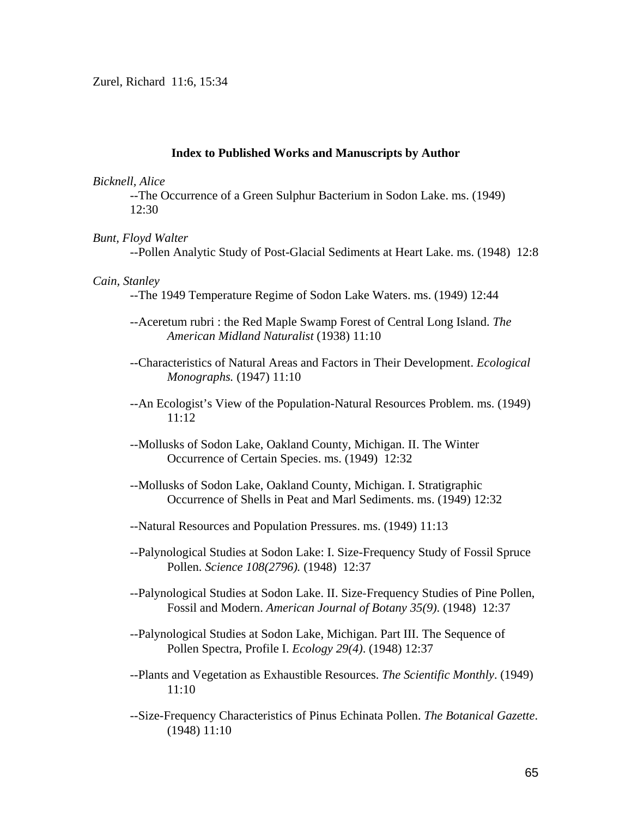Zurel, Richard 11:6, 15:34

#### **Index to Published Works and Manuscripts by Author**

#### *Bicknell, Alice*

--The Occurrence of a Green Sulphur Bacterium in Sodon Lake. ms. (1949) 12:30

#### *Bunt, Floyd Walter*

--Pollen Analytic Study of Post-Glacial Sediments at Heart Lake. ms. (1948) 12:8

#### *Cain, Stanley*

--The 1949 Temperature Regime of Sodon Lake Waters. ms. (1949) 12:44

- --Aceretum rubri : the Red Maple Swamp Forest of Central Long Island. *The American Midland Naturalist* (1938) 11:10
- --Characteristics of Natural Areas and Factors in Their Development. *Ecological Monographs.* (1947) 11:10
- --An Ecologist's View of the Population-Natural Resources Problem. ms. (1949) 11:12
- --Mollusks of Sodon Lake, Oakland County, Michigan. II. The Winter Occurrence of Certain Species. ms. (1949) 12:32
- --Mollusks of Sodon Lake, Oakland County, Michigan. I. Stratigraphic Occurrence of Shells in Peat and Marl Sediments. ms. (1949) 12:32
- --Natural Resources and Population Pressures. ms. (1949) 11:13
- --Palynological Studies at Sodon Lake: I. Size-Frequency Study of Fossil Spruce Pollen. *Science 108(2796).* (1948) 12:37
- --Palynological Studies at Sodon Lake. II. Size-Frequency Studies of Pine Pollen, Fossil and Modern. *American Journal of Botany 35(9)*. (1948) 12:37
- --Palynological Studies at Sodon Lake, Michigan. Part III. The Sequence of Pollen Spectra, Profile I. *Ecology 29(4)*. (1948) 12:37
- --Plants and Vegetation as Exhaustible Resources. *The Scientific Monthly*. (1949) 11:10
- --Size-Frequency Characteristics of Pinus Echinata Pollen. *The Botanical Gazette*. (1948) 11:10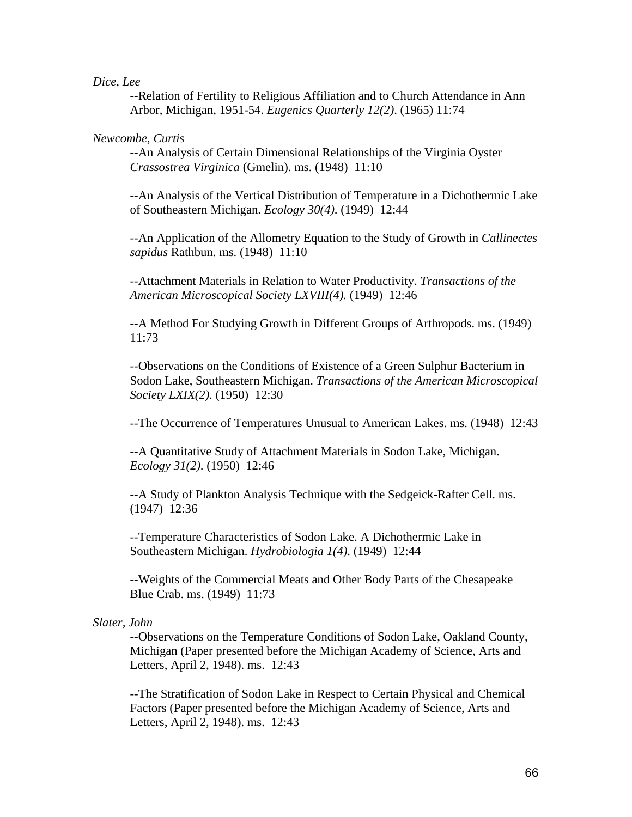*Dice, Lee* 

--Relation of Fertility to Religious Affiliation and to Church Attendance in Ann Arbor, Michigan, 1951-54. *Eugenics Quarterly 12(2)*. (1965) 11:74

### *Newcombe, Curtis*

--An Analysis of Certain Dimensional Relationships of the Virginia Oyster *Crassostrea Virginica* (Gmelin). ms. (1948) 11:10

--An Analysis of the Vertical Distribution of Temperature in a Dichothermic Lake of Southeastern Michigan. *Ecology 30(4)*. (1949) 12:44

--An Application of the Allometry Equation to the Study of Growth in *Callinectes sapidus* Rathbun. ms. (1948) 11:10

--Attachment Materials in Relation to Water Productivity. *Transactions of the American Microscopical Society LXVIII(4).* (1949) 12:46

--A Method For Studying Growth in Different Groups of Arthropods. ms. (1949) 11:73

--Observations on the Conditions of Existence of a Green Sulphur Bacterium in Sodon Lake, Southeastern Michigan. *Transactions of the American Microscopical Society LXIX(2)*. (1950) 12:30

--The Occurrence of Temperatures Unusual to American Lakes. ms. (1948) 12:43

--A Quantitative Study of Attachment Materials in Sodon Lake, Michigan. *Ecology 31(2)*. (1950) 12:46

--A Study of Plankton Analysis Technique with the Sedgeick-Rafter Cell. ms. (1947) 12:36

--Temperature Characteristics of Sodon Lake. A Dichothermic Lake in Southeastern Michigan. *Hydrobiologia 1(4)*. (1949) 12:44

--Weights of the Commercial Meats and Other Body Parts of the Chesapeake Blue Crab. ms. (1949) 11:73

### *Slater, John*

--Observations on the Temperature Conditions of Sodon Lake, Oakland County, Michigan (Paper presented before the Michigan Academy of Science, Arts and Letters, April 2, 1948). ms. 12:43

--The Stratification of Sodon Lake in Respect to Certain Physical and Chemical Factors (Paper presented before the Michigan Academy of Science, Arts and Letters, April 2, 1948). ms. 12:43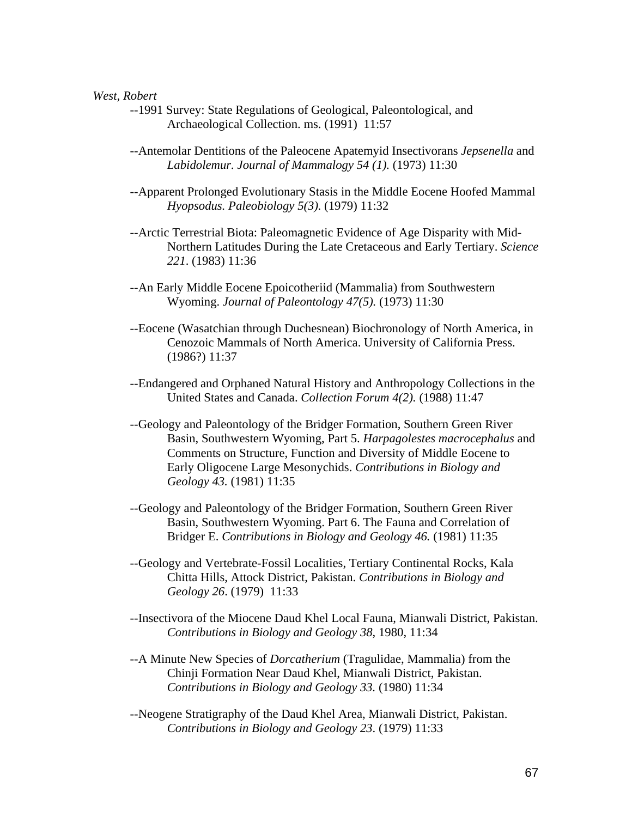### *West, Robert*

- --1991 Survey: State Regulations of Geological, Paleontological, and Archaeological Collection. ms. (1991) 11:57
- --Antemolar Dentitions of the Paleocene Apatemyid Insectivorans *Jepsenella* and *Labidolemur. Journal of Mammalogy 54 (1).* (1973) 11:30
- --Apparent Prolonged Evolutionary Stasis in the Middle Eocene Hoofed Mammal *Hyopsodus. Paleobiology 5(3).* (1979) 11:32
- --Arctic Terrestrial Biota: Paleomagnetic Evidence of Age Disparity with Mid-Northern Latitudes During the Late Cretaceous and Early Tertiary. *Science 221*. (1983) 11:36
- --An Early Middle Eocene Epoicotheriid (Mammalia) from Southwestern Wyoming. *Journal of Paleontology 47(5).* (1973) 11:30
- --Eocene (Wasatchian through Duchesnean) Biochronology of North America, in Cenozoic Mammals of North America. University of California Press. (1986?) 11:37
- --Endangered and Orphaned Natural History and Anthropology Collections in the United States and Canada. *Collection Forum 4(2).* (1988) 11:47
- --Geology and Paleontology of the Bridger Formation, Southern Green River Basin, Southwestern Wyoming, Part 5. *Harpagolestes macrocephalus* and Comments on Structure, Function and Diversity of Middle Eocene to Early Oligocene Large Mesonychids. *Contributions in Biology and Geology 43.* (1981) 11:35
- --Geology and Paleontology of the Bridger Formation, Southern Green River Basin, Southwestern Wyoming. Part 6. The Fauna and Correlation of Bridger E. *Contributions in Biology and Geology 46.* (1981) 11:35
- --Geology and Vertebrate-Fossil Localities, Tertiary Continental Rocks, Kala Chitta Hills, Attock District, Pakistan. *Contributions in Biology and Geology 26*. (1979) 11:33
- --Insectivora of the Miocene Daud Khel Local Fauna, Mianwali District, Pakistan. *Contributions in Biology and Geology 38*, 1980, 11:34
- --A Minute New Species of *Dorcatherium* (Tragulidae, Mammalia) from the Chinji Formation Near Daud Khel, Mianwali District, Pakistan. *Contributions in Biology and Geology 33.* (1980) 11:34
- --Neogene Stratigraphy of the Daud Khel Area, Mianwali District, Pakistan. *Contributions in Biology and Geology 23*. (1979) 11:33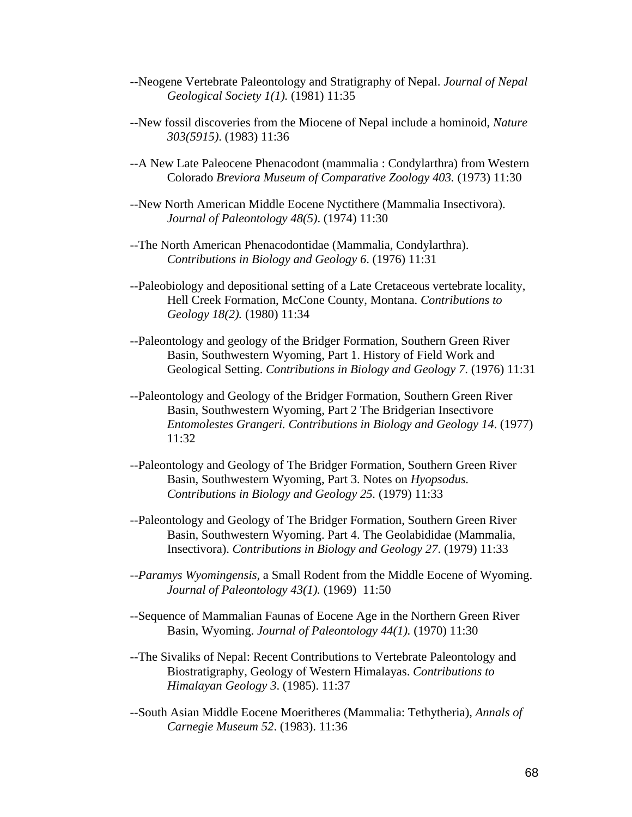- --Neogene Vertebrate Paleontology and Stratigraphy of Nepal. *Journal of Nepal Geological Society 1(1).* (1981) 11:35
- --New fossil discoveries from the Miocene of Nepal include a hominoid, *Nature 303(5915)*. (1983) 11:36
- --A New Late Paleocene Phenacodont (mammalia : Condylarthra) from Western Colorado *Breviora Museum of Comparative Zoology 403.* (1973) 11:30
- --New North American Middle Eocene Nyctithere (Mammalia Insectivora). *Journal of Paleontology 48(5)*. (1974) 11:30
- --The North American Phenacodontidae (Mammalia, Condylarthra). *Contributions in Biology and Geology 6*. (1976) 11:31
- --Paleobiology and depositional setting of a Late Cretaceous vertebrate locality, Hell Creek Formation, McCone County, Montana. *Contributions to Geology 18(2).* (1980) 11:34
- --Paleontology and geology of the Bridger Formation, Southern Green River Basin, Southwestern Wyoming, Part 1. History of Field Work and Geological Setting. *Contributions in Biology and Geology 7*. (1976) 11:31
- --Paleontology and Geology of the Bridger Formation, Southern Green River Basin, Southwestern Wyoming, Part 2 The Bridgerian Insectivore *Entomolestes Grangeri. Contributions in Biology and Geology 14*. (1977) 11:32
- --Paleontology and Geology of The Bridger Formation, Southern Green River Basin, Southwestern Wyoming, Part 3. Notes on *Hyopsodus. Contributions in Biology and Geology 25.* (1979) 11:33
- --Paleontology and Geology of The Bridger Formation, Southern Green River Basin, Southwestern Wyoming. Part 4. The Geolabididae (Mammalia, Insectivora). *Contributions in Biology and Geology 27*. (1979) 11:33
- --*Paramys Wyomingensis,* a Small Rodent from the Middle Eocene of Wyoming. *Journal of Paleontology 43(1).* (1969) 11:50
- --Sequence of Mammalian Faunas of Eocene Age in the Northern Green River Basin, Wyoming. *Journal of Paleontology 44(1).* (1970) 11:30
- --The Sivaliks of Nepal: Recent Contributions to Vertebrate Paleontology and Biostratigraphy, Geology of Western Himalayas. *Contributions to Himalayan Geology 3*. (1985). 11:37
- --South Asian Middle Eocene Moeritheres (Mammalia: Tethytheria), *Annals of Carnegie Museum 52*. (1983). 11:36